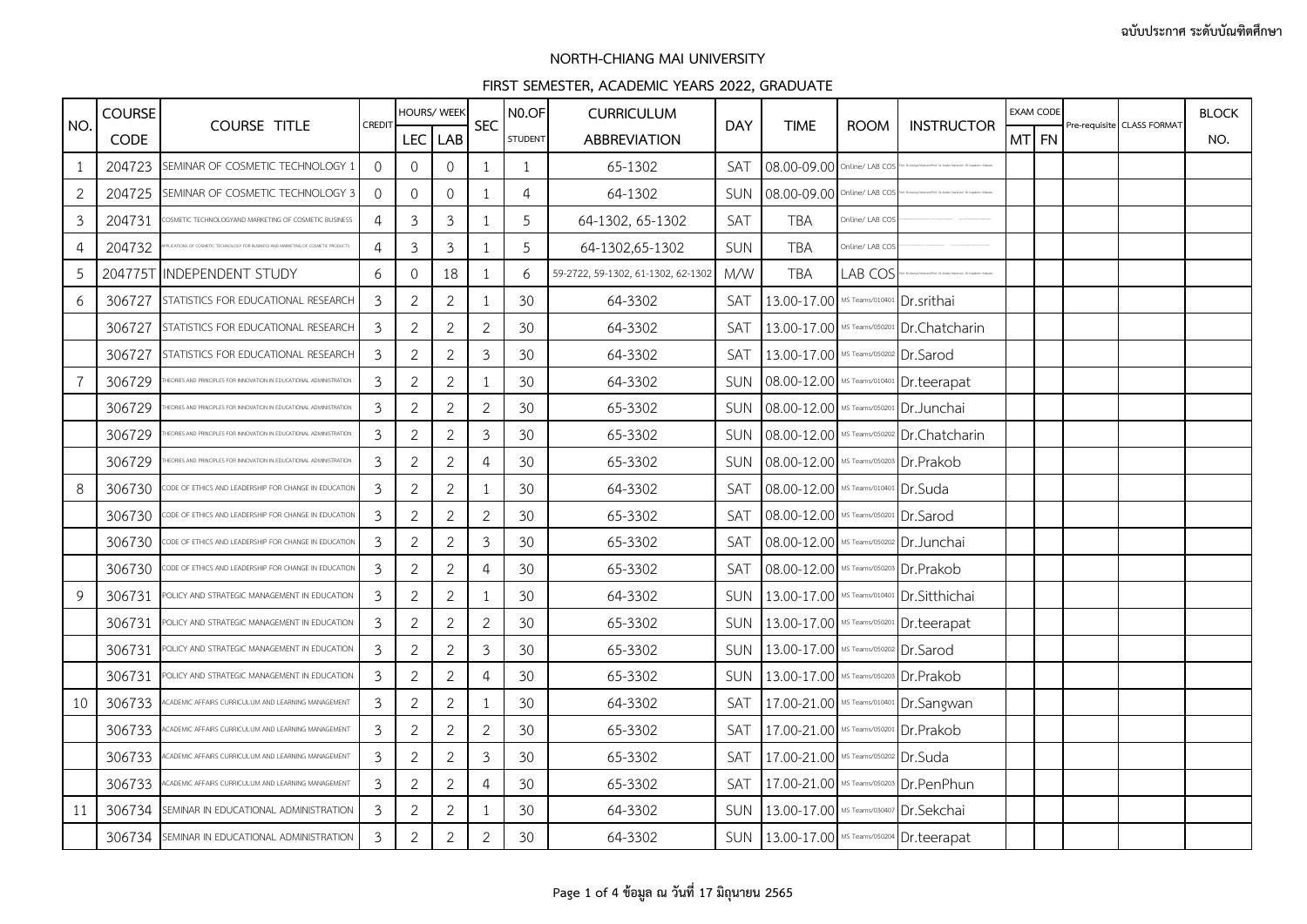|                | <b>COURSE</b> |                                                                    |                | HOURS/ WEEK    |                |                | N <sub>0.OF</sub> | <b>CURRICULUM</b>                  |            |                                         |                 |                                            |       | EXAM CODE |                            | <b>BLOCK</b> |
|----------------|---------------|--------------------------------------------------------------------|----------------|----------------|----------------|----------------|-------------------|------------------------------------|------------|-----------------------------------------|-----------------|--------------------------------------------|-------|-----------|----------------------------|--------------|
| NO.            | <b>CODE</b>   | <b>COURSE TITLE</b>                                                | CREDIT         | LEC LAB        |                | <b>SEC</b>     | <b>STUDENT</b>    | <b>ABBREVIATION</b>                | <b>DAY</b> | <b>TIME</b>                             | <b>ROOM</b>     | <b>INSTRUCTOR</b>                          | MT FN |           | Pre-requisite CLASS FORMAT | NO.          |
| 1              | 204723        | SEMINAR OF COSMETIC TECHNOLOGY 1                                   | $\Omega$       | 0              | $\mathbf{0}$   | $\mathbf{1}$   | $\mathbf{1}$      | 65-1302                            | SAT        | 08.00-09.00 Online/ LAB COS             |                 |                                            |       |           |                            |              |
| $\mathbf{2}$   | 204725        | SEMINAR OF COSMETIC TECHNOLOGY 3                                   | $\Omega$       | 0              | $\mathbf{0}$   | $\mathbf{1}$   | $\overline{4}$    | 64-1302                            | SUN        | 08.00-09.00 Online/ LAB CO              |                 |                                            |       |           |                            |              |
| $\mathfrak{Z}$ | 204731        | DSMETIC TECHNOLOGYAND MARKETING OF COSMETIC BUSINESS               | 4              | $\mathfrak{Z}$ | $\mathfrak{Z}$ | 1              | 5                 | 64-1302, 65-1302                   | <b>SAT</b> | <b>TBA</b>                              | Online/ LAB CO! |                                            |       |           |                            |              |
| 4              | 204732        |                                                                    | 4              | $\mathfrak{Z}$ | $\mathfrak{Z}$ | $\mathbf{1}$   | 5                 | 64-1302,65-1302                    | SUN        | <b>TBA</b>                              | Online/ LAB COS |                                            |       |           |                            |              |
| 5              |               | 204775T INDEPENDENT STUDY                                          | 6              | 0              | 18             | 1              | 6                 | 59-2722, 59-1302, 61-1302, 62-1302 | M/W        | <b>TBA</b>                              | LAB COS         |                                            |       |           |                            |              |
| 6              | 306727        | STATISTICS FOR EDUCATIONAL RESEARCH                                | 3              | $\overline{2}$ | $\mathbf{2}$   | 1              | 30                | 64-3302                            | SAT        | 13.00-17.00 MS Teams/010401 Dr.srithai  |                 |                                            |       |           |                            |              |
|                | 306727        | STATISTICS FOR EDUCATIONAL RESEARCH                                | $\mathfrak{Z}$ | $\overline{2}$ | $\mathbf{2}$   | $\overline{2}$ | 30                | 64-3302                            | SAT        |                                         |                 | 13.00-17.00 MS Teams/050201 Dr. Chatcharin |       |           |                            |              |
|                | 306727        | STATISTICS FOR EDUCATIONAL RESEARCH                                | 3              | $\overline{2}$ | $\mathbf{2}$   | $\mathfrak{Z}$ | 30                | 64-3302                            | <b>SAT</b> | 13.00-17.00 MS Teams/050202 Dr.Sarod    |                 |                                            |       |           |                            |              |
| 7              | 306729        | EORIES AND PRINCIPLES FOR INNOVATION IN EDUCATIONAL ADMINISTRATION | 3              | $\overline{2}$ | $\mathbf{2}$   | $\mathbf{1}$   | 30                | 64-3302                            | SUN        | 08.00-12.00 MS Teams/010401 Dr.teerapat |                 |                                            |       |           |                            |              |
|                | 306729        | EORIES AND PRINCIPLES FOR INNOVATION IN EDUCATIONAL ADMINISTRATIO  | 3              | $\overline{2}$ | $\mathbf{2}$   | $\overline{2}$ | 30                | 65-3302                            | SUN        | 08.00-12.00 MS Teams/050201 Dr.Junchai  |                 |                                            |       |           |                            |              |
|                | 306729        | ORIES AND PRINCIPLES FOR INNOVATION IN EDUCATIONAL ADMINISTRATION  | 3              | $\overline{2}$ | $\overline{2}$ | 3              | 30                | 65-3302                            | <b>SUN</b> |                                         |                 | 08.00-12.00 MS Teams/050202 Dr. Chatcharin |       |           |                            |              |
|                | 306729        | ORIES AND PRINCIPLES FOR INNOVATION IN EDUCATIONAL ADMINISTRATION  | 3              | $\overline{2}$ | $\mathbf{2}$   | $\overline{4}$ | 30                | 65-3302                            | SUN        | 08.00-12.00 MS Teams/050203 Dr.Prakob   |                 |                                            |       |           |                            |              |
| 8              | 306730        | ODE OF ETHICS AND LEADERSHIP FOR CHANGE IN EDUCATION               | 3              | 2              | $\overline{2}$ | 1              | 30                | 64-3302                            | SAT        | 08.00-12.00 MS Teams/010401 Dr. Suda    |                 |                                            |       |           |                            |              |
|                | 306730        | ODE OF ETHICS AND LEADERSHIP FOR CHANGE IN EDUCATION               | 3              | $\overline{2}$ | $\mathbf{2}$   | $\mathbf{2}$   | 30                | 65-3302                            | SAT        | 08.00-12.00 MS Teams/050201 Dr.Sarod    |                 |                                            |       |           |                            |              |
|                | 306730        | ODE OF ETHICS AND LEADERSHIP FOR CHANGE IN EDUCATION               | $\mathfrak{Z}$ | $\overline{2}$ | $\mathbf{2}$   | $\mathfrak{Z}$ | 30                | 65-3302                            | SAT        | 08.00-12.00 MS Teams/050202 Dr.Junchai  |                 |                                            |       |           |                            |              |
|                | 306730        | ODE OF ETHICS AND LEADERSHIP FOR CHANGE IN EDUCATION               | 3              | $\overline{2}$ | $\overline{2}$ | 4              | 30                | 65-3302                            | SAT        | 08.00-12.00 MS Teams/050203 Dr.Prakob   |                 |                                            |       |           |                            |              |
| 9              | 306731        | POLICY AND STRATEGIC MANAGEMENT IN EDUCATION                       | 3              | $\overline{2}$ | $\overline{2}$ | 1              | 30                | 64-3302                            | <b>SUN</b> |                                         |                 | 13.00-17.00 MS Teams/010401 Dr. Sitthichai |       |           |                            |              |
|                | 306731        | OLICY AND STRATEGIC MANAGEMENT IN EDUCATION                        | 3              | $\overline{2}$ | $\mathbf{2}$   | $\mathbf{2}$   | 30                | 65-3302                            | SUN        | 13.00-17.00 MS Teams/050201 Dr.teerapat |                 |                                            |       |           |                            |              |
|                | 306731        | OLICY AND STRATEGIC MANAGEMENT IN EDUCATION                        | 3              | $\overline{2}$ | $\mathbf{2}$   | $\mathfrak z$  | 30                | 65-3302                            | SUN        | 13.00-17.00 MS Teams/050202 Dr. Sarod   |                 |                                            |       |           |                            |              |
|                | 306731        | 'OLICY AND STRATEGIC MANAGEMENT IN EDUCATION                       | 3              | $\overline{2}$ | $\mathbf{2}$   | 4              | 30                | 65-3302                            | SUN        | 13.00-17.00 MS Teams/050203 Dr. Prakob  |                 |                                            |       |           |                            |              |
| 10             | 306733        | CADEMIC AFFAIRS CURRICULUM AND LEARNING MANAGEMENT                 | 3              | $\overline{2}$ | $\mathbf{2}$   | $\mathbf{1}$   | 30                | 64-3302                            | SAT        |                                         |                 | 17.00-21.00 MS Teams/010401 Dr.Sangwan     |       |           |                            |              |
|                | 306733        | CADEMIC AFFAIRS CURRICULUM AND LEARNING MANAGEMENT                 | 3              | $\overline{2}$ | $\mathbf{2}$   | $\overline{2}$ | 30                | 65-3302                            | SAT        | 17.00-21.00 MS Teams/050201 Dr.Prakob   |                 |                                            |       |           |                            |              |
|                | 306733        | CADEMIC AFFAIRS CURRICULUM AND LEARNING MANAGEMEN                  | 3              | $\overline{2}$ | $\mathbf{2}$   | $\mathfrak{Z}$ | 30                | 65-3302                            | SAT        | 17.00-21.00 MS Teams/050202 Dr.Suda     |                 |                                            |       |           |                            |              |
|                | 306733        | CADEMIC AFFAIRS CURRICULUM AND LEARNING MANAGEMENT                 | 3              | 2              | $\mathbf{2}$   | 4              | 30                | 65-3302                            | SAT        |                                         |                 | 17.00-21.00 MS Teams/050203 Dr.PenPhun     |       |           |                            |              |
| 11             | 306734        | SEMINAR IN EDUCATIONAL ADMINISTRATION                              | 3              | $\overline{2}$ | $\overline{2}$ | 1              | 30                | 64-3302                            | <b>SUN</b> | 13.00-17.00 MS Teams/030407 Dr. Sekchai |                 |                                            |       |           |                            |              |
|                | 306734        | SEMINAR IN EDUCATIONAL ADMINISTRATION                              | 3              | $\overline{2}$ | $\sqrt{2}$     | $\overline{2}$ | 30                | 64-3302                            | <b>SUN</b> | 13.00-17.00 MS Teams/050204 Dr.teerapat |                 |                                            |       |           |                            |              |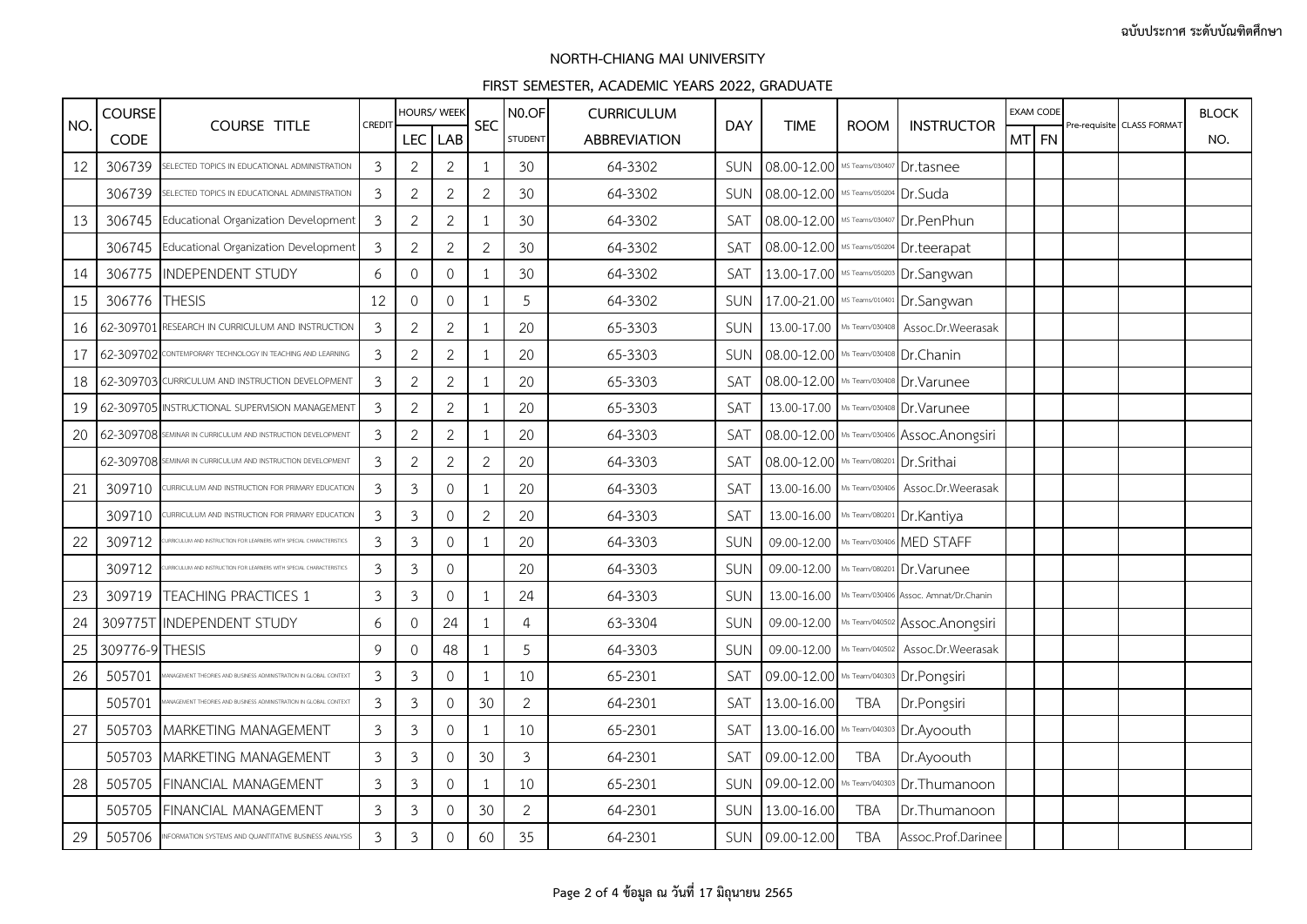|     | <b>COURSE</b>   |                                                                   |                |                | HOURS/ WEEK         |                | N <sub>0.OF</sub> | <b>CURRICULUM</b>   |            |                                         |             |                                              |       | EXAM CODE |                            | <b>BLOCK</b> |
|-----|-----------------|-------------------------------------------------------------------|----------------|----------------|---------------------|----------------|-------------------|---------------------|------------|-----------------------------------------|-------------|----------------------------------------------|-------|-----------|----------------------------|--------------|
| NO. | <b>CODE</b>     | <b>COURSE TITLE</b>                                               | CREDIT         | <b>LEC</b>     | <b>LAB</b>          | <b>SEC</b>     | <b>STUDENT</b>    | <b>ABBREVIATION</b> | <b>DAY</b> | <b>TIME</b>                             | <b>ROOM</b> | <b>INSTRUCTOR</b>                            | MT FN |           | Pre-requisite CLASS FORMAT | NO.          |
| 12  | 306739          | SELECTED TOPICS IN EDUCATIONAL ADMINISTRATION                     | $\mathfrak{Z}$ | $\overline{2}$ | $\mathbf{2}$        | $\mathbf{1}$   | 30                | 64-3302             | SUN        | 08.00-12.00 MS Teams/030407             |             | Dr.tasnee                                    |       |           |                            |              |
|     | 306739          | SELECTED TOPICS IN EDUCATIONAL ADMINISTRATION                     | 3              | $\overline{2}$ | $\mathbf{2}$        | $\overline{2}$ | 30                | 64-3302             | SUN        | 08.00-12.00 MS Teams/050204 Dr.Suda     |             |                                              |       |           |                            |              |
| 13  | 306745          | Educational Organization Development                              | $\mathfrak{Z}$ | $\overline{2}$ | $\mathbf{2}$        | 1              | 30                | 64-3302             | SAT        |                                         |             | 08.00-12.00 MS Teams/030407 Dr.PenPhun       |       |           |                            |              |
|     | 306745          | Educational Organization Development                              | 3              | $\mathbf{2}$   | $\sqrt{2}$          | $\overline{2}$ | 30                | 64-3302             | SAT        | 08.00-12.00 MS Teams/050204 Dr.teerapat |             |                                              |       |           |                            |              |
| 14  | 306775          | <b>INDEPENDENT STUDY</b>                                          | 6              | $\mathbf{0}$   | $\mathbf{0}$        | 1              | 30                | 64-3302             | SAT        |                                         |             | 13.00-17.00 MS Teams/050203 Dr. Sangwan      |       |           |                            |              |
| 15  | 306776          | <b>THESIS</b>                                                     | 12             | 0              | $\mathbb O$         | 1              | 5                 | 64-3302             | SUN        |                                         |             | 17.00-21.00 MS Teams/010401 Dr.Sangwan       |       |           |                            |              |
| 16  | 62-309701       | RESEARCH IN CURRICULUM AND INSTRUCTION                            | $\mathfrak{Z}$ | $\overline{2}$ | $\mathbf{2}$        | $\mathbf{1}$   | 20                | 65-3303             | SUN        |                                         |             | 13.00-17.00 Ms Team/030408 Assoc.Dr.Weerasak |       |           |                            |              |
| 17  |                 | 62-309702 CONTEMPORARY TECHNOLOGY IN TEACHING AND LEARNING        | 3              | $\overline{2}$ | $\mathbf{2}$        | 1              | 20                | 65-3303             | SUN        | 08.00-12.00 Ms Team/030408 Dr.Chanin    |             |                                              |       |           |                            |              |
| 18  |                 | 62-309703 CURRICULUM AND INSTRUCTION DEVELOPMENT                  | 3              | $\overline{2}$ | $\mathbf{2}$        | $\mathbf{1}$   | 20                | 65-3303             | SAT        | 08.00-12.00 Ms Team/030408 Dr. Varunee  |             |                                              |       |           |                            |              |
| 19  |                 | 62-309705 INSTRUCTIONAL SUPERVISION MANAGEMENT                    | 3              | $\overline{2}$ | $\mathbf{2}$        | $\mathbf{1}$   | 20                | 65-3303             | SAT        |                                         |             | 13.00-17.00 Ms Team/030408 Dr. Varunee       |       |           |                            |              |
| 20  |                 | 62-309708 SEMINAR IN CURRICULUM AND INSTRUCTION DEVELOPMENT       | $\mathfrak{Z}$ | $\overline{2}$ | $\sqrt{2}$          | 1              | 20                | 64-3303             | SAT        |                                         |             | 08.00-12.00 Ms Team/030406 Assoc. Anongsiri  |       |           |                            |              |
|     | 62-309708       | EMINAR IN CURRICULUM AND INSTRUCTION DEVELOPMENT                  | 3              | $\overline{2}$ | $\sqrt{2}$          | $\overline{2}$ | 20                | 64-3303             | SAT        | 08.00-12.00 Ms Team/080201              |             | Dr.Srithai                                   |       |           |                            |              |
| 21  | 309710          | URRICULUM AND INSTRUCTION FOR PRIMARY EDUCATION                   | 3              | 3              | $\mathsf{O}\xspace$ | $\mathbf{1}$   | 20                | 64-3303             | SAT        | 13.00-16.00 Ms Team/030406              |             | Assoc.Dr.Weerasak                            |       |           |                            |              |
|     | 309710          | URRICULUM AND INSTRUCTION FOR PRIMARY EDUCATION                   | 3              | 3              | $\mathsf{O}\xspace$ | $\mathbf{2}$   | 20                | 64-3303             | SAT        | 13.00-16.00 Ms Team/080201 Dr. Kantiya  |             |                                              |       |           |                            |              |
| 22  | 309712          |                                                                   | 3              | 3              | $\mathbf{0}$        | 1              | 20                | 64-3303             | SUN        | 09.00-12.00                             |             | Ms Team/030406 MED STAFF                     |       |           |                            |              |
|     | 309712          | RRICULUM AND INSTRUCTION FOR LEARNERS WITH SPECIAL CHARACTERISTIC | 3              | 3              | $\mathsf{O}\xspace$ |                | 20                | 64-3303             | <b>SUN</b> | 09.00-12.00                             |             | Ms Team/080201 Dr.Varunee                    |       |           |                            |              |
| 23  |                 | 309719 TEACHING PRACTICES 1                                       | $\mathfrak{Z}$ | 3              | $\mathsf{O}\xspace$ | $\mathbf{1}$   | 24                | 64-3303             | SUN        | 13.00-16.00                             |             | Ms Team/030406 Assoc. Amnat/Dr.Chanin        |       |           |                            |              |
| 24  |                 | 309775T INDEPENDENT STUDY                                         | 6              | 0              | 24                  | $\mathbf{1}$   | $\overline{4}$    | 63-3304             | SUN        | 09.00-12.00                             |             | Ms Team/040502 Assoc.Anongsiri               |       |           |                            |              |
| 25  | 309776-9 THESIS |                                                                   | 9              | 0              | 48                  | 1              | 5                 | 64-3303             | SUN        | 09.00-12.00 Ms Team/040502              |             | Assoc.Dr.Weerasak                            |       |           |                            |              |
| 26  | 505701          | NAGEMENT THEORIES AND BUSINESS ADMINISTRATION IN GLOBAL CONTEXT   | 3              | 3              | $\mathbf 0$         | 1              | 10                | 65-2301             | SAT        | 09.00-12.00 Ms Team/040303 Dr.Pongsiri  |             |                                              |       |           |                            |              |
|     | 505701          | NAGEMENT THEORIES AND BUSINESS ADMINISTRATION IN GLOBAL CONTEXT   | 3              | 3              | $\mathbf{0}$        | 30             | $\overline{2}$    | 64-2301             | SAT        | 13.00-16.00                             | <b>TBA</b>  | Dr.Pongsiri                                  |       |           |                            |              |
| 27  | 505703          | MARKETING MANAGEMENT                                              | 3              | 3              | $\mathsf{O}\xspace$ | 1              | 10                | 65-2301             | SAT        | 13.00-16.00 Ms Team/040303 Dr.Ayoouth   |             |                                              |       |           |                            |              |
|     | 505703          | MARKETING MANAGEMENT                                              | 3              | 3              | $\mathbf{0}$        | 30             | 3                 | 64-2301             | SAT        | 09.00-12.00                             | <b>TBA</b>  | Dr.Ayoouth                                   |       |           |                            |              |
| 28  | 505705          | FINANCIAL MANAGEMENT                                              | 3              | 3              | $\mathsf{O}\xspace$ | $\mathbf{1}$   | 10                | 65-2301             | SUN        | 09.00-12.00 Ms Team/040303              |             | Dr.Thumanoon                                 |       |           |                            |              |
|     | 505705          | FINANCIAL MANAGEMENT                                              | 3              | 3              | $\mathsf{O}\xspace$ | 30             | $\overline{2}$    | 64-2301             | SUN        | 13.00-16.00                             | <b>TBA</b>  | Dr.Thumanoon                                 |       |           |                            |              |
| 29  | 505706          | INFORMATION SYSTEMS AND QUANTITATIVE BUSINESS ANALYSIS            | 3              | 3              | $\mathbf{0}$        | 60             | 35                | 64-2301             |            | SUN 09.00-12.00                         | <b>TBA</b>  | Assoc.Prof.Darinee                           |       |           |                            |              |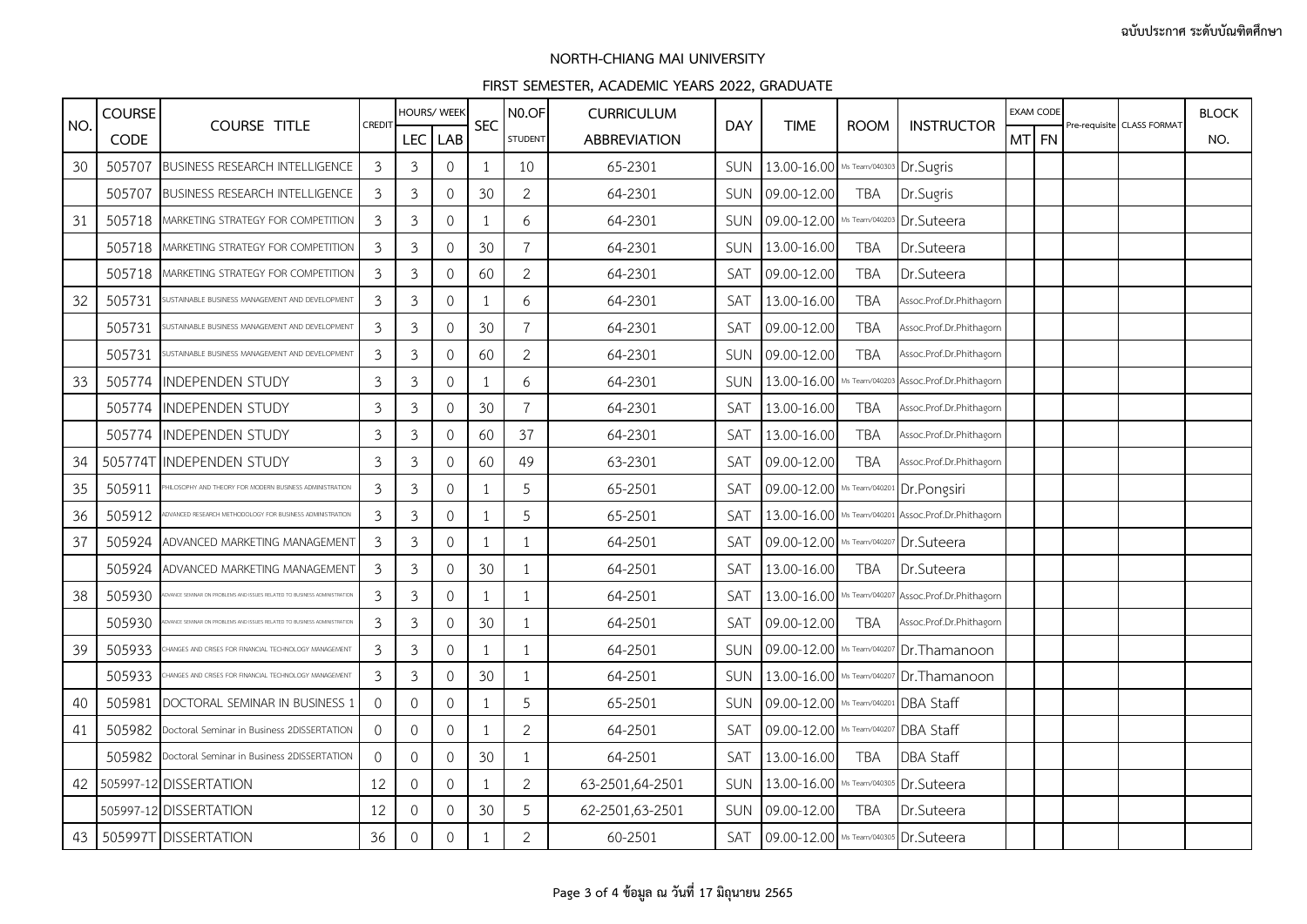|     | <b>COURSE</b> |                                                                       |                | HOURS/ WEEK    |                     |              | N <sub>0.OF</sub> | <b>CURRICULUM</b>   |            |                                        |                |                                                     | EXAM CODE |                            | <b>BLOCK</b> |
|-----|---------------|-----------------------------------------------------------------------|----------------|----------------|---------------------|--------------|-------------------|---------------------|------------|----------------------------------------|----------------|-----------------------------------------------------|-----------|----------------------------|--------------|
| NO. | <b>CODE</b>   | <b>COURSE TITLE</b>                                                   | CREDIT         | <b>LEC</b>     | LAB                 | <b>SEC</b>   | <b>STUDENT</b>    | <b>ABBREVIATION</b> | <b>DAY</b> | <b>TIME</b>                            | <b>ROOM</b>    | <b>INSTRUCTOR</b>                                   | MTI FN    | Pre-requisite CLASS FORMAT | NO.          |
| 30  | 505707        | <b>BUSINESS RESEARCH INTELLIGENCE</b>                                 | 3              | 3              | $\mathbf{0}$        | $\mathbf{1}$ | 10                | 65-2301             | SUN        | 13.00-16.00 Ms Team/040303 Dr. Sugris  |                |                                                     |           |                            |              |
|     | 505707        | <b>BUSINESS RESEARCH INTELLIGENCE</b>                                 | 3              | 3              | $\Omega$            | 30           | $\overline{2}$    | 64-2301             | <b>SUN</b> | 09.00-12.00                            | TBA            | Dr.Sugris                                           |           |                            |              |
| 31  | 505718        | MARKETING STRATEGY FOR COMPETITION                                    | 3              | 3              | $\mathbf 0$         | 1            | 6                 | 64-2301             | <b>SUN</b> | 09.00-12.00 Ms Team/040203 Dr. Suteera |                |                                                     |           |                            |              |
|     | 505718        | MARKETING STRATEGY FOR COMPETITION                                    | 3              | $\mathfrak{Z}$ | $\mathbf 0$         | 30           | $\overline{7}$    | 64-2301             | SUN        | 13.00-16.00                            | <b>TBA</b>     | Dr.Suteera                                          |           |                            |              |
|     | 505718        | MARKETING STRATEGY FOR COMPETITION                                    | 3              | 3              | $\mathbf{0}$        | 60           | $\overline{2}$    | 64-2301             | SAT        | 09.00-12.00                            | <b>TBA</b>     | Dr.Suteera                                          |           |                            |              |
| 32  | 505731        | USTAINABLE BUSINESS MANAGEMENT AND DEVELOPMENT                        | 3              | $\mathfrak{Z}$ | 0                   | 1            | 6                 | 64-2301             | SAT        | 13.00-16.00                            | <b>TBA</b>     | Assoc.Prof.Dr.Phithagorn                            |           |                            |              |
|     | 505731        | USTAINABLE BUSINESS MANAGEMENT AND DEVELOPMENT                        | 3              | 3              | $\overline{0}$      | 30           | $\overline{7}$    | 64-2301             | SAT        | 09.00-12.00                            | <b>TBA</b>     | Assoc.Prof.Dr.Phithagorn                            |           |                            |              |
|     | 505731        | USTAINABLE BUSINESS MANAGEMENT AND DEVELOPMENT                        | 3              | 3              | $\mathbf{0}$        | 60           | $\overline{2}$    | 64-2301             | SUN        | 09.00-12.00                            | <b>TBA</b>     | Assoc.Prof.Dr.Phithagorn                            |           |                            |              |
| 33  | 505774        | <b>INDEPENDEN STUDY</b>                                               | 3              | 3              | $\mathbf 0$         | 1            | 6                 | 64-2301             | SUN        | 13.00-16.00                            | Ms Team/040203 | Assoc.Prof.Dr.Phithagorn                            |           |                            |              |
|     | 505774        | <b>INDEPENDEN STUDY</b>                                               | 3              | 3              | $\mathbf{0}$        | 30           | $\overline{7}$    | 64-2301             | SAT        | 13.00-16.00                            | <b>TBA</b>     | Assoc.Prof.Dr.Phithagorn                            |           |                            |              |
|     |               | 505774 INDEPENDEN STUDY                                               | $\mathfrak{Z}$ | 3              | $\mathbf 0$         | 60           | 37                | 64-2301             | SAT        | 13.00-16.00                            | TBA            | Assoc.Prof.Dr.Phithagorn                            |           |                            |              |
| 34  |               | 505774T INDEPENDEN STUDY                                              | 3              | $\mathfrak{Z}$ | $\circ$             | 60           | 49                | 63-2301             | SAT        | 09.00-12.00                            | <b>TBA</b>     | Assoc.Prof.Dr.Phithagorn                            |           |                            |              |
| 35  | 505911        | HILOSOPHY AND THEORY FOR MODERN BUSINESS ADMINISTRATION               | 3              | 3              | $\mathbf 0$         | 1            | 5                 | 65-2501             | SAT        | 09.00-12.00 Ms Team/040201 Dr.Pongsiri |                |                                                     |           |                            |              |
| 36  | 505912        | DVANCED RESEARCH METHODOLOGY FOR BUSINESS ADMINISTRATION              | 3              | 3              | $\mathbf 0$         | 1            | 5                 | 65-2501             | SAT        |                                        |                | 13.00-16.00 Ms Team/040201 Assoc.Prof.Dr.Phithagorn |           |                            |              |
| 37  | 505924        | ADVANCED MARKETING MANAGEMEN'                                         | 3              | $\mathfrak{Z}$ | $\mathbf{0}$        | 1            | $\mathbf{1}$      | 64-2501             | <b>SAT</b> | 09.00-12.00 Ms Team/040207             |                | Dr.Suteera                                          |           |                            |              |
|     | 505924        | ADVANCED MARKETING MANAGEMENT                                         | 3              | 3              | $\overline{0}$      | 30           | $\mathbf{1}$      | 64-2501             | SAT        | 13.00-16.00                            | <b>TBA</b>     | Dr.Suteera                                          |           |                            |              |
| 38  | 505930        | ANCE SEMINAR ON PROBLEMS AND ISSUES RELATED TO BUSINESS ADMINISTRATIO | 3              | 3              | $\mathbf 0$         | 1            | $\mathbf{1}$      | 64-2501             | SAT        | 13.00-16.00 Ms Team/040207             |                | Assoc.Prof.Dr.Phithagorn                            |           |                            |              |
|     | 505930        |                                                                       | 3              | 3              | $\mathbf 0$         | 30           | $\mathbf{1}$      | 64-2501             | SAT        | 09.00-12.00                            | <b>TBA</b>     | Assoc.Prof.Dr.Phithagorn                            |           |                            |              |
| 39  | 505933        | IANGES AND CRISES FOR FINANCIAL TECHNOLOGY MANAGEMENT                 | 3              | 3              | 0                   | 1            | $\mathbf{1}$      | 64-2501             | <b>SUN</b> |                                        |                | 09.00-12.00 Ms Team/040207 Dr. Thamanoon            |           |                            |              |
|     | 505933        | IANGES AND CRISES FOR FINANCIAL TECHNOLOGY MANAGEMENT                 | 3              | 3              | $\overline{0}$      | 30           | $\mathbf{1}$      | 64-2501             | <b>SUN</b> |                                        |                | 13.00-16.00 Ms Team/040207 Dr. Thamanoon            |           |                            |              |
| 40  | 505981        | DOCTORAL SEMINAR IN BUSINESS                                          | $\Omega$       | $\overline{0}$ | $\mathbf{0}$        | 1            | 5                 | 65-2501             | <b>SUN</b> | 09.00-12.00 Ms Team/040201             |                | <b>DBA Staff</b>                                    |           |                            |              |
| 41  | 505982        | Doctoral Seminar in Business 2DISSERTATION                            | $\circ$        | 0              | $\mathbf 0$         | 1            | $\overline{2}$    | 64-2501             | SAT        | 09.00-12.00 Ms Team/040207 DBA Staff   |                |                                                     |           |                            |              |
|     | 505982        | Doctoral Seminar in Business 2DISSERTATION                            | $\Omega$       | $\mathbf{0}$   | $\mathbf{0}$        | 30           | $\mathbf{1}$      | 64-2501             | SAT        | 13.00-16.00                            | <b>TBA</b>     | <b>DBA Staff</b>                                    |           |                            |              |
| 42  |               | 505997-12 DISSERTATION                                                | 12             | 0              | $\mathbf 0$         | $\mathbf{1}$ | $\overline{2}$    | 63-2501,64-2501     | SUN        | 13.00-16.00 Ms Team/040305             |                | Dr.Suteera                                          |           |                            |              |
|     |               | 505997-12 DISSERTATION                                                | 12             | 0              | $\mathbf 0$         | 30           | 5                 | 62-2501,63-2501     | SUN        | 09.00-12.00                            | <b>TBA</b>     | Dr.Suteera                                          |           |                            |              |
| 43  |               | 505997T DISSERTATION                                                  | 36             | $\mathbf{0}$   | $\mathsf{O}\xspace$ | $\mathbf{1}$ | 2                 | 60-2501             | SAT        | 09.00-12.00 Ms Team/040305 Dr. Suteera |                |                                                     |           |                            |              |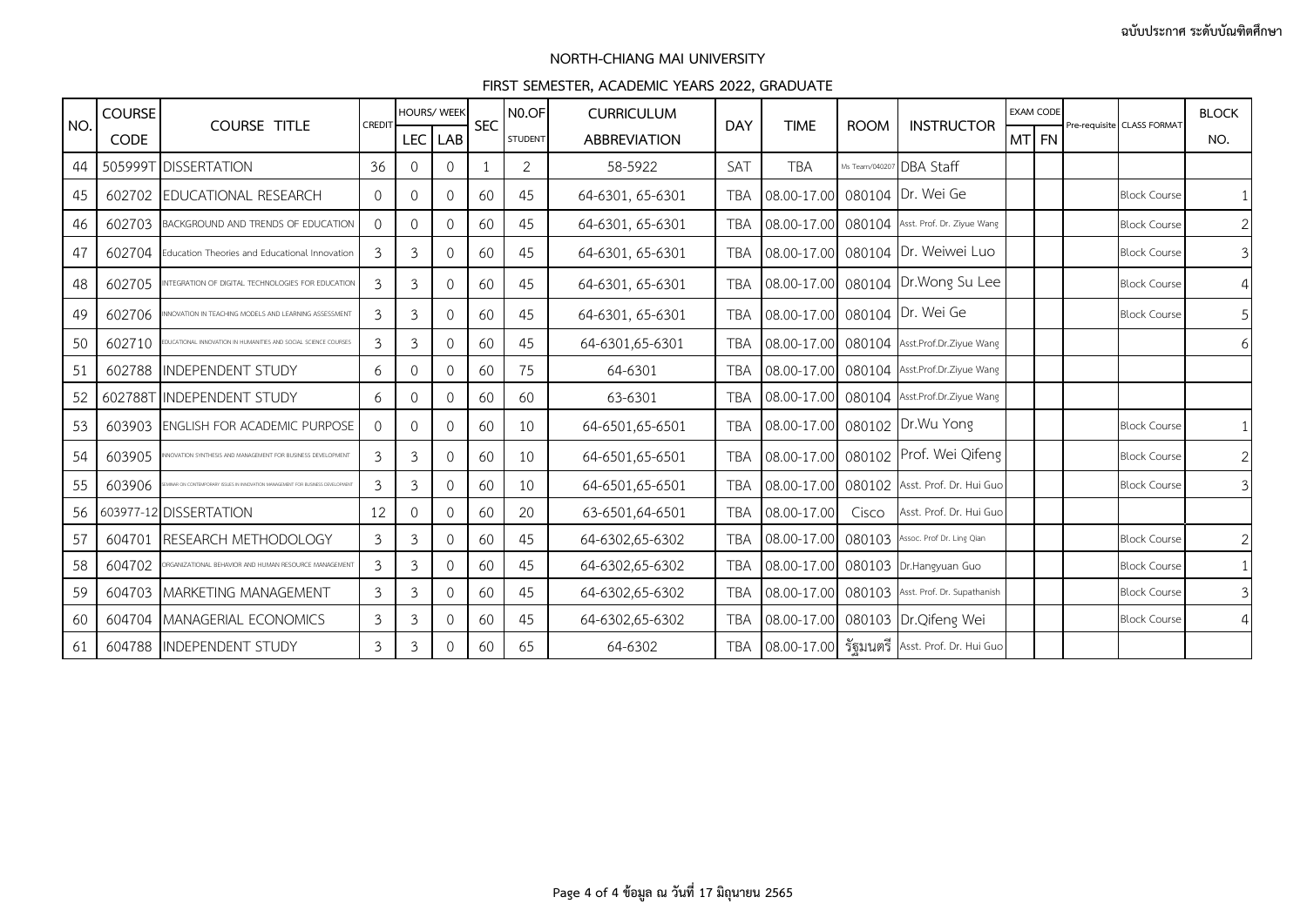| NO. | <b>COURSE</b> | <b>COURSE TITLE</b>                                                           | CREDIT         | <b>HOURS/ WEEK</b> |                | <b>SEC</b> | N <sub>0</sub> .OF | <b>CURRICULUM</b>   | <b>DAY</b> | <b>TIME</b>                   | <b>ROOM</b>   | <b>INSTRUCTOR</b>                              | <b>EXAM CODE</b> | Pre-requisite CLASS FORMAT | <b>BLOCK</b> |
|-----|---------------|-------------------------------------------------------------------------------|----------------|--------------------|----------------|------------|--------------------|---------------------|------------|-------------------------------|---------------|------------------------------------------------|------------------|----------------------------|--------------|
|     | <b>CODE</b>   |                                                                               |                | <b>LEC</b>         | LAB            |            | <b>STUDENT</b>     | <b>ABBREVIATION</b> |            |                               |               |                                                | MT FN            |                            | NO.          |
| 44  |               | 505999T DISSERTATION                                                          | 36             | $\Omega$           | $\Omega$       |            | 2                  | 58-5922             | SAT        | <b>TBA</b>                    | Ms Team/04020 | DBA Staff                                      |                  |                            |              |
| 45  | 602702        | EDUCATIONAL RESEARCH                                                          | $\Omega$       | $\mathbf{0}$       | $\mathbf 0$    | -60        | 45                 | 64-6301, 65-6301    | <b>TBA</b> | 08.00-17.00 080104 Dr. Wei Ge |               |                                                |                  | <b>Block Course</b>        |              |
| 46  | 602703        | BACKGROUND AND TRENDS OF EDUCATION                                            | $\Omega$       | $\mathbf 0$        | $\overline{0}$ | 60         | 45                 | 64-6301, 65-6301    | <b>TBA</b> |                               |               | 08.00-17.00 080104 Asst. Prof. Dr. Ziyue Wang  |                  | <b>Block Course</b>        |              |
| 47  | 602704        | Education Theories and Educational Innovation                                 | 3              | 3                  | $\Omega$       | 60         | 45                 | 64-6301, 65-6301    | <b>TBA</b> |                               |               | 08.00-17.00 080104 Dr. Weiwei Luo              |                  | <b>Block Course</b>        | 3            |
| 48  | 602705        | NTEGRATION OF DIGITAL TECHNOLOGIES FOR EDUCATION                              | 3              | 3                  | $\Omega$       | 60         | 45                 | 64-6301, 65-6301    | <b>TBA</b> | 08.00-17.00 080104            |               | Dr. Wong Su Lee                                |                  | <b>Block Course</b>        | 4            |
| 49  | 602706        | INOVATION IN TEACHING MODELS AND LEARNING ASSESSMENT                          | 3              | 3                  | $\Omega$       | 60         | 45                 | 64-6301, 65-6301    | <b>TBA</b> | 08.00-17.00 080104 Dr. Wei Ge |               |                                                |                  | <b>Block Course</b>        | 5            |
| 50  | 602710        | IUCATIONAL INNOVATION IN HUMANITIES AND SOCIAL SCIENCE COURSES                | 3              | 3                  | $\Omega$       | 60         | 45                 | 64-6301,65-6301     | <b>TBA</b> |                               |               | 08.00-17.00 080104 Asst.Prof.Dr.Ziyue Wang     |                  |                            |              |
| 51  | 602788        | <b>IINDEPENDENT STUDY</b>                                                     | 6              | $\mathbf{0}$       | $\Omega$       | 60         | 75                 | 64-6301             | <b>TBA</b> |                               |               | 08.00-17.00 080104 Asst.Prof.Dr.Ziyue Wang     |                  |                            |              |
| 52  |               | 602788T INDEPENDENT STUDY                                                     | 6              | $\mathbf 0$        | $\overline{0}$ | 60         | 60                 | 63-6301             | <b>TBA</b> |                               |               | 08.00-17.00 080104 Asst.Prof.Dr.Ziyue Wang     |                  |                            |              |
| 53  | 603903        | <b>ENGLISH FOR ACADEMIC PURPOSE</b>                                           | $\Omega$       | $\mathbf{0}$       | $\Omega$       | 60         | 10                 | 64-6501,65-6501     | TBA        |                               |               | 08.00-17.00 080102 Dr.Wu Yong                  |                  | <b>Block Course</b>        |              |
| 54  | 603905        | NOVATION SYNTHESIS AND MANAGEMENT FOR BUSINESS DEVELOPMENT                    | 3              | 3                  | $\overline{0}$ | 60         | 10                 | 64-6501,65-6501     | <b>TBA</b> |                               |               | 08.00-17.00 080102 Prof. Wei Qifeng            |                  | <b>Block Course</b>        | 2            |
| 55  | 603906        | AINAR ON CONTEMPORARY ISSUES IN INNOVATION MANAGEMENT FOR BUSINESS DEVELOPMEN | 3              | 3                  | $\overline{0}$ | 60         | 10                 | 64-6501,65-6501     | TBA        |                               |               | 08.00-17.00 080102 Asst. Prof. Dr. Hui Guo     |                  | <b>Block Course</b>        | 3            |
| 56  |               | 603977-12 DISSERTATION                                                        | 12             | $\Omega$           | $\Omega$       | 60         | 20                 | 63-6501,64-6501     | <b>TBA</b> | 08.00-17.00                   | Cisco         | Asst. Prof. Dr. Hui Guo                        |                  |                            |              |
| 57  | 604701        | RESEARCH METHODOLOGY                                                          | $\mathfrak{Z}$ | 3                  | $\mathbf{0}$   | 60         | 45                 | 64-6302,65-6302     | <b>TBA</b> |                               |               | 08.00-17.00 080103 Assoc. Prof Dr. Ling Qian   |                  | <b>Block Course</b>        |              |
| 58  | 604702        | RGANIZATIONAL BEHAVIOR AND HUMAN RESOURCE MANAGEMENT                          | 3              | 3                  | $\overline{0}$ | 60         | 45                 | 64-6302,65-6302     | <b>TBA</b> |                               |               | 08.00-17.00 080103 Dr.Hangyuan Guo             |                  | <b>Block Course</b>        |              |
| 59  |               | 604703 MARKETING MANAGEMENT                                                   | 3              | 3                  | $\Omega$       | 60         | 45                 | 64-6302,65-6302     | <b>TBA</b> |                               |               | 08.00-17.00 080103 Asst. Prof. Dr. Supathanish |                  | <b>Block Course</b>        |              |
| 60  | 604704        | MANAGERIAL ECONOMICS                                                          | 3              | 3                  | $\mathbf 0$    | 60         | 45                 | 64-6302,65-6302     | TBA        | 08.00-17.00                   |               | 080103 Dr. Qifeng Wei                          |                  | <b>Block Course</b>        |              |
| 61  |               | 604788 INDEPENDENT STUDY                                                      | $\mathfrak{Z}$ | 3                  | $\overline{0}$ | 60         | 65                 | 64-6302             | <b>TBA</b> |                               |               | 08.00-17.00 รัฐมนตรี Asst. Prof. Dr. Hui Guo   |                  |                            |              |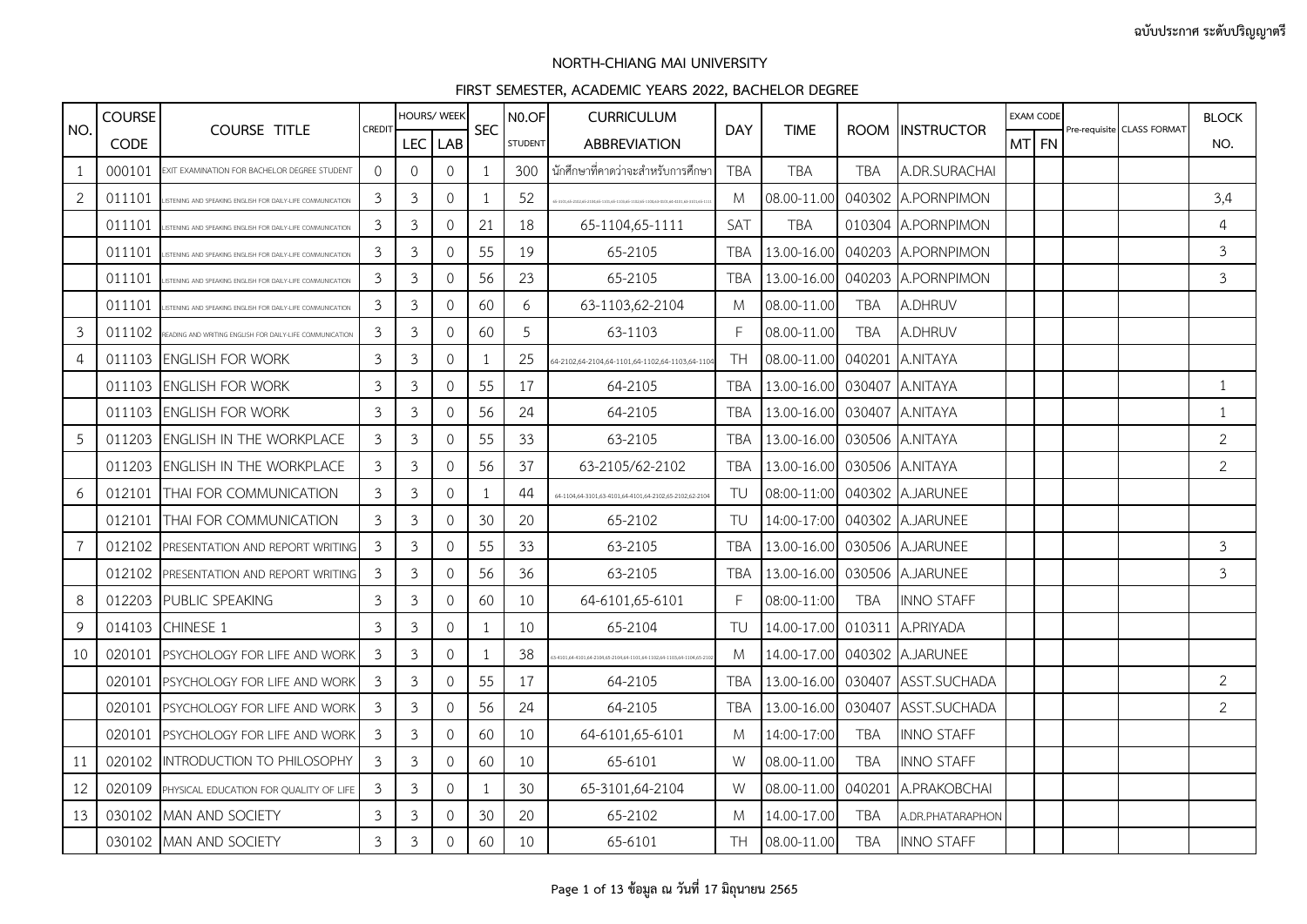| NO.            | <b>COURSE</b> |                                                           |          |                | <b>HOURS/ WEEK</b>  |                          | N <sub>0.OF</sub> | <b>CURRICULUM</b>                                                                 |            |                              |            |                                 | <b>EXAM CODE</b> |                            | <b>BLOCK</b>   |
|----------------|---------------|-----------------------------------------------------------|----------|----------------|---------------------|--------------------------|-------------------|-----------------------------------------------------------------------------------|------------|------------------------------|------------|---------------------------------|------------------|----------------------------|----------------|
|                | <b>CODE</b>   | <b>COURSE TITLE</b>                                       | CREDIT   | <b>LEC</b>     | LAB                 | <b>SEC</b>               | <b>STUDENT</b>    | <b>ABBREVIATION</b>                                                               | <b>DAY</b> | <b>TIME</b>                  |            | ROOM INSTRUCTOR                 | MT FN            | Pre-requisite CLASS FORMAT | NO.            |
| 1              | 000101        | EXIT EXAMINATION FOR BACHELOR DEGREE STUDENT              | $\Omega$ | $\circ$        | $\mathbf{0}$        | -1                       | 300               | ้ นักศึกษาที่คาดว่าจะสำหรับการศึกษา                                               | <b>TBA</b> | <b>TBA</b>                   | <b>TBA</b> | A.DR.SURACHAI                   |                  |                            |                |
| $\overline{2}$ | 011101        | STENING AND SPEAKING ENGLISH FOR DAILY-LIFE COMMUNICATION | 3        | $\mathfrak{Z}$ | $\mathsf{O}\xspace$ | -1                       | 52                | 5-3101,65-2102,65-2104,65-1101,65-1103,65-1102,65-1104,63-4101,64-4101,63-3101,65 | M          | 08.00-11.00                  |            | 040302 A.PORNPIMON              |                  |                            | 3,4            |
|                | 011101        | STENING AND SPEAKING ENGLISH FOR DAILY-LIFE COMMUNICATION | 3        | 3              | $\overline{0}$      | 21                       | 18                | 65-1104,65-1111                                                                   | <b>SAT</b> | <b>TBA</b>                   |            | 010304 A.PORNPIMON              |                  |                            | 4              |
|                | 011101        | STENING AND SPEAKING ENGLISH FOR DAILY-LIFE COMMUNICATION | 3        | 3              | $\mathbf 0$         | 55                       | 19                | 65-2105                                                                           | TBA        | 13.00-16.00                  |            | 040203 A.PORNPIMON              |                  |                            | $\mathbf{3}$   |
|                | 011101        | STENING AND SPEAKING ENGLISH FOR DAILY-LIFE COMMUNICATION | 3        | $\mathfrak{Z}$ | $\mathbf 0$         | 56                       | 23                | 65-2105                                                                           | <b>TBA</b> | 13.00-16.00                  |            | 040203 A.PORNPIMON              |                  |                            | $\mathfrak{Z}$ |
|                | 011101        | STENING AND SPEAKING ENGLISH FOR DAILY-LIFE COMMUNICATION | 3        | 3              | $\mathbf{0}$        | 60                       | 6                 | 63-1103,62-2104                                                                   | M          | 08.00-11.00                  | <b>TBA</b> | A.DHRUV                         |                  |                            |                |
| $\mathfrak{Z}$ | 011102        | READING AND WRITING ENGLISH FOR DAILY-LIFE COMMUNICATION  | 3        | $\mathfrak{Z}$ | 0                   | 60                       | 5                 | 63-1103                                                                           | F          | 08.00-11.00                  | <b>TBA</b> | A.DHRUV                         |                  |                            |                |
| 4              |               | 011103 ENGLISH FOR WORK                                   | 3        | 3              | $\mathbf{0}$        | -1                       | 25                | 64-2102,64-2104,64-1101,64-1102,64-1103,64-110                                    | <b>TH</b>  | 08.00-11.00                  | 040201     | A.NITAYA                        |                  |                            |                |
|                | 011103        | <b>ENGLISH FOR WORK</b>                                   | 3        | $\mathfrak{Z}$ | $\Omega$            | 55                       | 17                | 64-2105                                                                           | <b>TBA</b> | 13.00-16.00 030407           |            | A.NITAYA                        |                  |                            | $\mathbf{1}$   |
|                |               | 011103 ENGLISH FOR WORK                                   | 3        | 3              | $\mathbf 0$         | 56                       | 24                | 64-2105                                                                           | TBA        | 13.00-16.00 030407 A.NITAYA  |            |                                 |                  |                            | $\mathbf{1}$   |
| 5              | 011203        | <b>ENGLISH IN THE WORKPLACE</b>                           | 3        | 3              | 0                   | 55                       | 33                | 63-2105                                                                           | <b>TBA</b> | 13.00-16.00 030506 A.NITAYA  |            |                                 |                  |                            | $\overline{2}$ |
|                | 011203        | IENGLISH IN THE WORKPLACE                                 | 3        | 3              | $\mathbf{O}$        | 56                       | 37                | 63-2105/62-2102                                                                   | TBA        | 13.00-16.00 030506 A.NITAYA  |            |                                 |                  |                            | $\overline{2}$ |
| 6              |               | 012101 THAI FOR COMMUNICATION                             | 3        | 3              | $\overline{0}$      | -1                       | 44                | 64-1104,64-3101,63-4101,64-4101,64-2102,65-2102,62-2104                           | TU         | 08:00-11:00 040302 A.JARUNEE |            |                                 |                  |                            |                |
|                | 012101        | THAI FOR COMMUNICATION                                    | 3        | $\mathfrak{Z}$ | $\mathbf{O}$        | 30                       | 20                | 65-2102                                                                           | TU         | 14:00-17:00 040302 A.JARUNEE |            |                                 |                  |                            |                |
| $\overline{7}$ | 012102        | PRESENTATION AND REPORT WRITING                           | 3        | 3              | $\circ$             | 55                       | 33                | 63-2105                                                                           | TBA        | 13.00-16.00 030506 A.JARUNEE |            |                                 |                  |                            | 3              |
|                |               | 012102 PRESENTATION AND REPORT WRITING                    | 3        | 3              | $\mathbf{0}$        | 56                       | 36                | 63-2105                                                                           | TBA        | 13.00-16.00 030506 A.JARUNEE |            |                                 |                  |                            | 3              |
| 8              | 012203        | PUBLIC SPEAKING                                           | 3        | $\mathfrak{Z}$ | 0                   | 60                       | 10                | 64-6101,65-6101                                                                   | F          | 08:00-11:00                  | <b>TBA</b> | <b>INNO STAFF</b>               |                  |                            |                |
| 9              | 014103        | <b>CHINESE 1</b>                                          | 3        | 3              | $\mathbf{O}$        | -1                       | 10                | 65-2104                                                                           | TU         | 14.00-17.00 010311           |            | A.PRIYADA                       |                  |                            |                |
| 10             | 020101        | PSYCHOLOGY FOR LIFE AND WORK                              | 3        | $\mathfrak{Z}$ | $\mathbf 0$         | -1                       | 38                | 3-4101,64-4101,64-2104,65-2104,64-1101,64-1102,64-1103,64-1104,65-2               | M          | 14.00-17.00 040302 A.JARUNEE |            |                                 |                  |                            |                |
|                | 020101        | PSYCHOLOGY FOR LIFE AND WORK                              | 3        | $\mathfrak{Z}$ | $\mathbf{0}$        | 55                       | 17                | 64-2105                                                                           | TBA        | 13.00-16.00                  |            | 030407 ASST.SUCHADA             |                  |                            | $\overline{2}$ |
|                | 020101        | PSYCHOLOGY FOR LIFE AND WORK                              | 3        | 3              | $\mathbf{0}$        | 56                       | 24                | 64-2105                                                                           | TBA        |                              |            | 13.00-16.00 030407 ASST.SUCHADA |                  |                            | $\overline{2}$ |
|                | 020101        | <b>PSYCHOLOGY FOR LIFE AND WORK</b>                       | 3        | 3              | 0                   | 60                       | 10                | 64-6101,65-6101                                                                   | M          | 14:00-17:00                  | <b>TBA</b> | <b>INNO STAFF</b>               |                  |                            |                |
| 11             | 020102        | INTRODUCTION TO PHILOSOPHY                                | 3        | 3              | $\mathbf{O}$        | 60                       | 10                | 65-6101                                                                           | W          | 08.00-11.00                  | <b>TBA</b> | <b>INNO STAFF</b>               |                  |                            |                |
| 12             | 020109        | PHYSICAL EDUCATION FOR QUALITY OF LIFE                    | 3        | 3              | $\mathbf{O}$        | $\overline{\phantom{a}}$ | 30                | 65-3101,64-2104                                                                   | W          | 08.00-11.00                  | 040201     | A.PRAKOBCHAI                    |                  |                            |                |
| 13             |               | 030102 MAN AND SOCIETY                                    | 3        | 3              | $\circ$             | 30                       | 20                | 65-2102                                                                           | M          | 14.00-17.00                  | <b>TBA</b> | A.DR.PHATARAPHON                |                  |                            |                |
|                |               | 030102 MAN AND SOCIETY                                    | 3        | $\mathfrak{Z}$ | $\mathsf{O}\xspace$ | 60                       | 10                | 65-6101                                                                           | TH.        | 08.00-11.00                  | <b>TBA</b> | <b>INNO STAFF</b>               |                  |                            |                |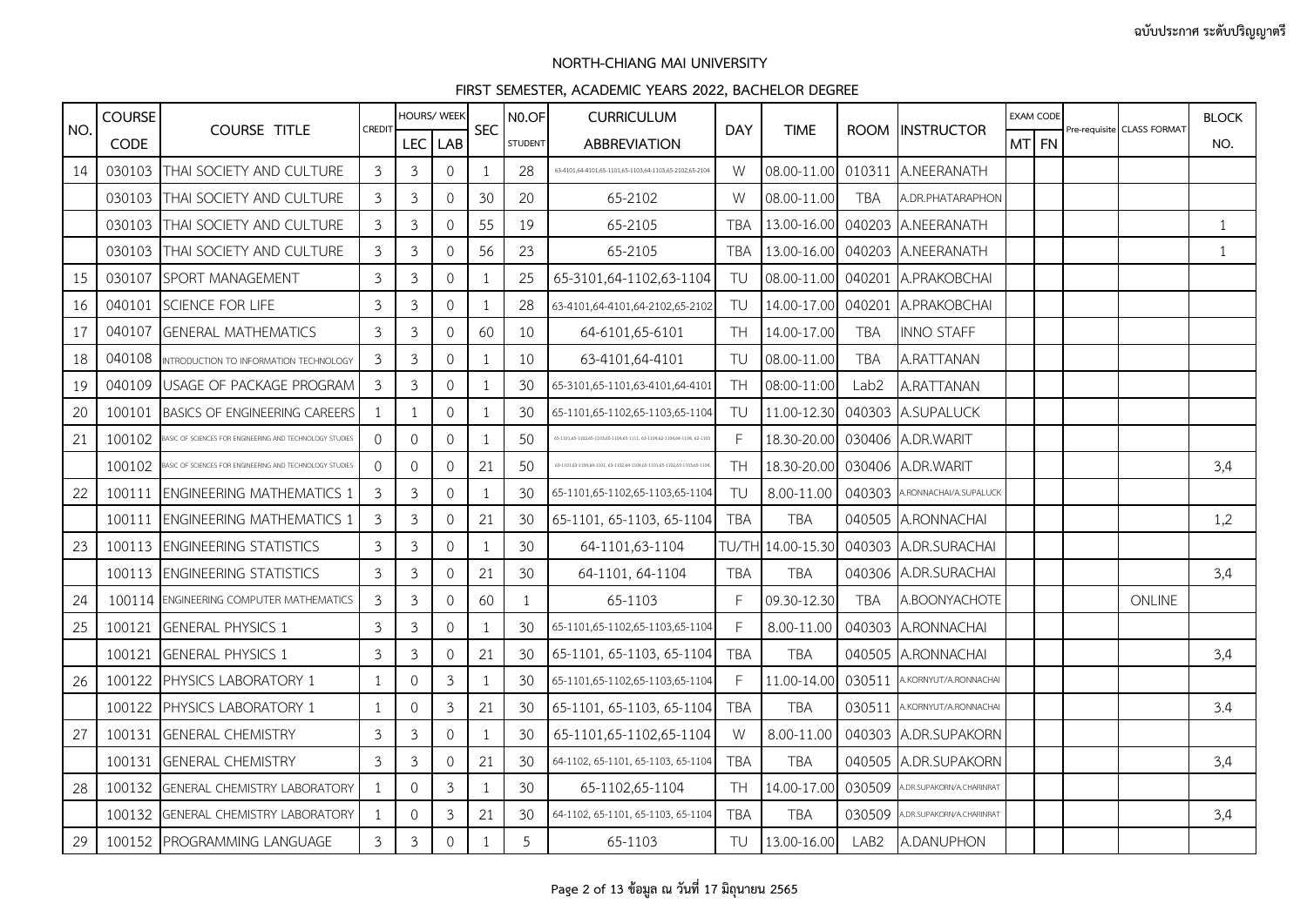|     | <b>COURSE</b> |                                                         |                |                | HOURS/ WEEK         |                | N <sub>0.OF</sub> | <b>CURRICULUM</b>                                                       |              |             |                  |                               |        | <b>EXAM CODE</b> |                            | <b>BLOCK</b> |
|-----|---------------|---------------------------------------------------------|----------------|----------------|---------------------|----------------|-------------------|-------------------------------------------------------------------------|--------------|-------------|------------------|-------------------------------|--------|------------------|----------------------------|--------------|
| NO. | <b>CODE</b>   | <b>COURSE TITLE</b>                                     | CREDIT         | <b>LEC</b>     | LAB                 | <b>SEC</b>     | <b>STUDENT</b>    | ABBREVIATION                                                            | <b>DAY</b>   | <b>TIME</b> |                  | ROOM IINSTRUCTOR              | MTI FN |                  | Pre-requisite CLASS FORMAT | NO.          |
| 14  | 030103        | THAI SOCIETY AND CULTURE                                | $\mathfrak{Z}$ | 3              | $\mathbf{0}$        | -1             | 28                | 63-4101,64-4101,65-1101,65-1103,64-1103,65-2102,65-2104                 | W            | 08.00-11.00 |                  | 010311 A.NEERANATH            |        |                  |                            |              |
|     |               | 030103 THAI SOCIETY AND CULTURE                         | 3              | 3              | $\mathbf{O}$        | 30             | 20                | 65-2102                                                                 | W            | 08.00-11.00 | <b>TBA</b>       | A.DR.PHATARAPHON              |        |                  |                            |              |
|     | 030103        | THAI SOCIETY AND CULTURE                                | 3              | $\mathfrak{Z}$ | $\mathsf{O}\xspace$ | 55             | 19                | 65-2105                                                                 | <b>TBA</b>   | 13.00-16.00 |                  | 040203 A.NEERANATH            |        |                  |                            | $\mathbf{1}$ |
|     | 030103        | <b>THAI SOCIETY AND CULTURE</b>                         | 3              | $\mathfrak{Z}$ | $\mathbf{O}$        | 56             | 23                | 65-2105                                                                 | <b>TBA</b>   | 13.00-16.00 |                  | 040203 A.NEERANATH            |        |                  |                            | 1            |
| 15  | 030107        | SPORT MANAGEMENT                                        | 3              | $\mathfrak{Z}$ | $\mathsf{O}\xspace$ | -1             | 25                | 65-3101,64-1102,63-1104                                                 | TU           | 08.00-11.00 |                  | 040201 A.PRAKOBCHAI           |        |                  |                            |              |
| 16  | 040101        | SCIENCE FOR LIFE                                        | 3              | 3              | $\mathbf{O}$        | -1             | 28                | 63-4101,64-4101,64-2102,65-2102                                         | TU           | 14.00-17.00 | 040201           | A.PRAKOBCHAI                  |        |                  |                            |              |
| 17  | 040107        | <b>GENERAL MATHEMATICS</b>                              | 3              | 3              | $\mathbf{O}$        | 60             | 10                | 64-6101,65-6101                                                         | <b>TH</b>    | 14.00-17.00 | <b>TBA</b>       | <b>INNO STAFF</b>             |        |                  |                            |              |
| 18  | 040108        | INTRODUCTION TO INFORMATION TECHNOLOGY                  | 3              | $\mathfrak{Z}$ | $\mathsf{O}\xspace$ | -1             | 10                | 63-4101,64-4101                                                         | TU           | 08.00-11.00 | <b>TBA</b>       | A.RATTANAN                    |        |                  |                            |              |
| 19  | 040109        | USAGE OF PACKAGE PROGRAM                                | 3              | 3              | $\mathbf{0}$        | -1             | 30                | 65-3101,65-1101,63-4101,64-4101                                         | <b>TH</b>    | 08:00-11:00 | Lab2             | A.RATTANAN                    |        |                  |                            |              |
| 20  | 100101        | <b>BASICS OF ENGINEERING CAREERS</b>                    | $\mathbf{1}$   | 1              | 0                   | -1             | 30                | 65-1101,65-1102,65-1103,65-1104                                         | TU           | 11.00-12.30 |                  | 040303 A.SUPALUCK             |        |                  |                            |              |
| 21  | 100102        | ASIC OF SCIENCES FOR ENGINEERING AND TECHNOLOGY STUDIES | $\Omega$       | $\mathsf{O}$   | 0                   | $\overline{1}$ | 50                | 65-1101.65-1102.65-1103.65-1104.65-1111.63-1104.62-1104.64-1104.62-110  | $\mathsf{F}$ | 18.30-20.00 |                  | 030406 A.DR.WARIT             |        |                  |                            |              |
|     | 100102        | ASIC OF SCIENCES FOR ENGINEERING AND TECHNOLOGY STUDIES | $\Omega$       | $\Omega$       | $\mathbf{0}$        | 21             | 50                | 63-1101,63-1104,64-1101, 63-1102,64-1104,65-1101,65-1102,65-1103,65-110 | <b>TH</b>    | 18.30-20.00 |                  | 030406 A.DR.WARIT             |        |                  |                            | 3,4          |
| 22  | 100111        | <b>ENGINEERING MATHEMATICS 1</b>                        | 3              | 3              | 0                   | -1             | 30                | 65-1101,65-1102,65-1103,65-1104                                         | TU           | 8.00-11.00  |                  | 040303 A.RONNACHAI/A.SUPALUCK |        |                  |                            |              |
|     | 100111        | <b>ENGINEERING MATHEMATICS 1</b>                        | 3              | $\mathfrak{Z}$ | $\mathbf{O}$        | 21             | 30                | 65-1101, 65-1103, 65-1104                                               | <b>TBA</b>   | <b>TBA</b>  |                  | 040505 A.RONNACHAI            |        |                  |                            | 1,2          |
| 23  | 100113        | <b>ENGINEERING STATISTICS</b>                           | 3              | 3              | 0                   | -1             | 30                | 64-1101.63-1104                                                         | TU/TF        | 14.00-15.30 |                  | 040303 A.DR.SURACHAI          |        |                  |                            |              |
|     |               | 100113 ENGINEERING STATISTICS                           | $\mathfrak{Z}$ | $\mathfrak{Z}$ | 0                   | 21             | 30                | 64-1101, 64-1104                                                        | <b>TBA</b>   | <b>TBA</b>  |                  | 040306 A.DR.SURACHAI          |        |                  |                            | 3,4          |
| 24  |               | 100114 ENGINEERING COMPUTER MATHEMATICS                 | 3              | $\mathfrak{Z}$ | $\mathbf{O}$        | 60             | 1                 | 65-1103                                                                 | E            | 09.30-12.30 | <b>TBA</b>       | A.BOONYACHOTE                 |        |                  | <b>ONLINE</b>              |              |
| 25  | 100121        | <b>GENERAL PHYSICS 1</b>                                | $\mathfrak{Z}$ | 3              | $\mathsf{O}\xspace$ | -1             | 30                | 65-1101,65-1102,65-1103,65-1104                                         | F            | 8.00-11.00  |                  | 040303 A.RONNACHAI            |        |                  |                            |              |
|     | 100121        | <b>GENERAL PHYSICS 1</b>                                | 3              | 3              | 0                   | 21             | 30                | 65-1101, 65-1103, 65-1104                                               | <b>TBA</b>   | <b>TBA</b>  |                  | 040505 A.RONNACHAI            |        |                  |                            | 3,4          |
| 26  | 100122        | PHYSICS LABORATORY 1                                    | 1              | $\mathbf{0}$   | 3                   | $\overline{1}$ | 30                | 65-1101,65-1102,65-1103,65-1104                                         | $\mathsf{F}$ | 11.00-14.00 | 030511           | A.KORNYUT/A.RONNACHAI         |        |                  |                            |              |
|     |               | 100122 PHYSICS LABORATORY 1                             | -1             | $\mathbf{O}$   | $\mathfrak{Z}$      | 21             | 30                | 65-1101, 65-1103, 65-1104                                               | <b>TBA</b>   | <b>TBA</b>  | 030511           | A.KORNYUT/A.RONNACHAI         |        |                  |                            | 3.4          |
| 27  | 100131        | <b>GENERAL CHEMISTRY</b>                                | 3              | 3              | 0                   | $\overline{1}$ | 30                | 65-1101,65-1102,65-1104                                                 | W            | 8.00-11.00  |                  | 040303 A.DR.SUPAKORN          |        |                  |                            |              |
|     | 100131        | <b>GENERAL CHEMISTRY</b>                                | 3              | $\mathfrak{Z}$ | 0                   | 21             | 30                | 64-1102, 65-1101, 65-1103, 65-1104                                      | <b>TBA</b>   | <b>TBA</b>  |                  | 040505 A.DR.SUPAKORN          |        |                  |                            | 3,4          |
| 28  | 100132        | <b>GENERAL CHEMISTRY LABORATORY</b>                     |                | $\circ$        | $\mathfrak{Z}$      |                | 30                | 65-1102,65-1104                                                         | <b>TH</b>    | 14.00-17.00 | 030509           | A.DR.SUPAKORN/A.CHARINRAT     |        |                  |                            |              |
|     |               | 100132 GENERAL CHEMISTRY LABORATORY                     |                | $\circ$        | 3                   | 21             | 30                | 64-1102, 65-1101, 65-1103, 65-1104                                      | <b>TBA</b>   | <b>TBA</b>  | 030509           | A.DR.SUPAKORN/A.CHARINRAT     |        |                  |                            | 3,4          |
| 29  |               | 100152 PROGRAMMING LANGUAGE                             | $\mathfrak{Z}$ | $\mathfrak{Z}$ | $\mathsf{O}\xspace$ | $\mathbf{1}$   | 5                 | 65-1103                                                                 | TU           | 13.00-16.00 | LAB <sub>2</sub> | A.DANUPHON                    |        |                  |                            |              |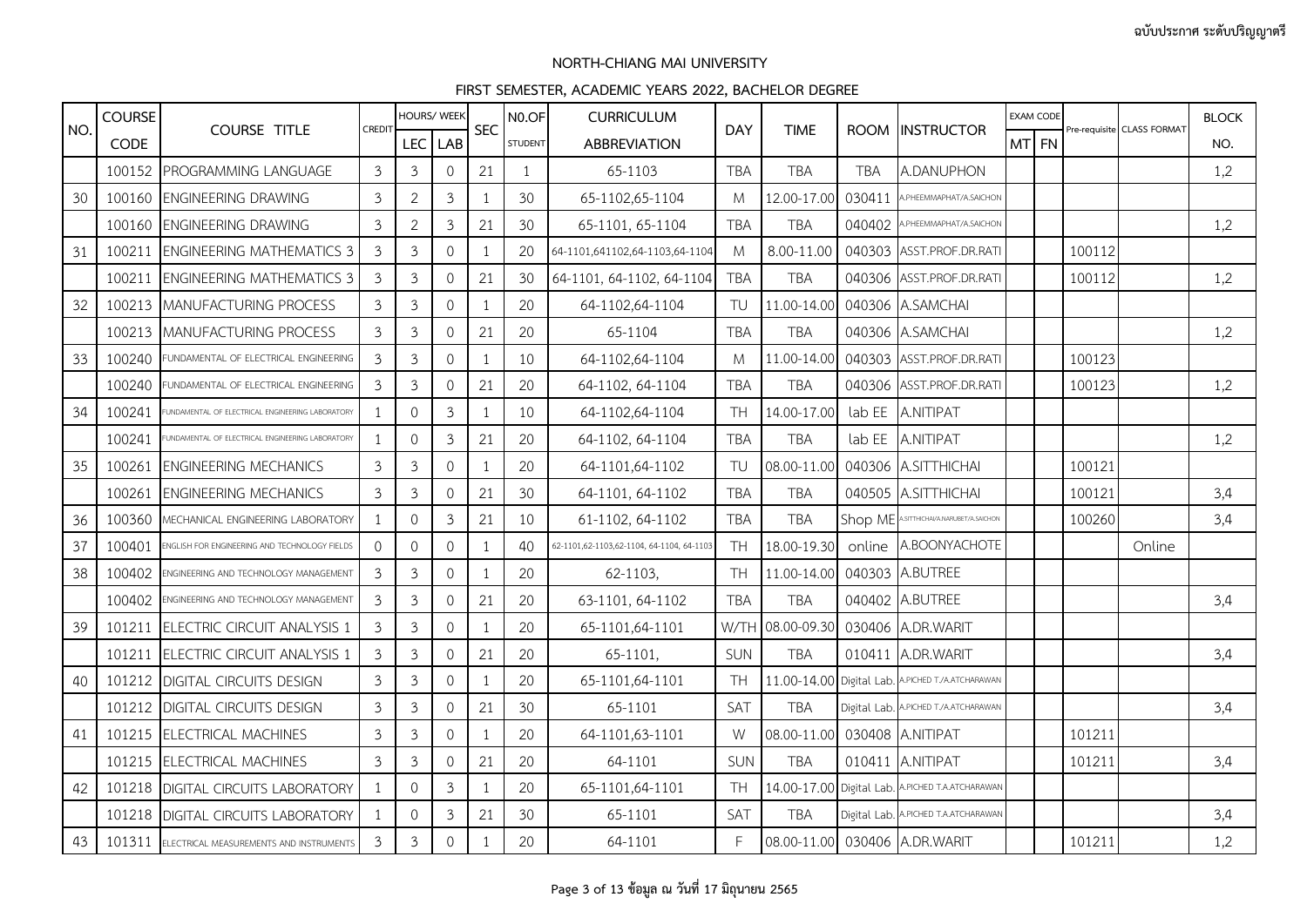|     | <b>COURSE</b> |                                                 |                |                | <b>HOURS/ WEEK</b>  |                | NO.OF          | <b>CURRICULUM</b>                         |            |             |            |                                                  |       | <b>EXAM CODE</b> |        |                            | <b>BLOCK</b> |
|-----|---------------|-------------------------------------------------|----------------|----------------|---------------------|----------------|----------------|-------------------------------------------|------------|-------------|------------|--------------------------------------------------|-------|------------------|--------|----------------------------|--------------|
| NO. | <b>CODE</b>   | <b>COURSE TITLE</b>                             | CREDIT         | <b>LEC</b>     | <b>LAB</b>          | <b>SEC</b>     | <b>STUDENT</b> | <b>ABBREVIATION</b>                       | <b>DAY</b> | <b>TIME</b> |            | ROOM INSTRUCTOR                                  | MT FN |                  |        | Pre-requisite CLASS FORMAT | NO.          |
|     |               | 100152 PROGRAMMING LANGUAGE                     | $\overline{3}$ | $\mathfrak{Z}$ | $\mathbf 0$         | 21             | 1              | 65-1103                                   | <b>TBA</b> | <b>TBA</b>  | <b>TBA</b> | A.DANUPHON                                       |       |                  |        |                            | 1,2          |
| 30  | 100160        | <b>ENGINEERING DRAWING</b>                      | 3              | $\overline{2}$ | 3                   | $\overline{1}$ | 30             | 65-1102,65-1104                           | M          | 12.00-17.00 | 030411     | A.PHEEMMAPHAT/A.SAICHON                          |       |                  |        |                            |              |
|     | 100160        | <b>ENGINEERING DRAWING</b>                      | $\mathfrak{Z}$ | $\overline{2}$ | $\mathfrak{Z}$      | 21             | 30             | 65-1101, 65-1104                          | <b>TBA</b> | <b>TBA</b>  | 040402     | A.PHEEMMAPHAT/A.SAICHON                          |       |                  |        |                            | 1,2          |
| 31  | 100211        | <b>ENGINEERING MATHEMATICS 3</b>                | 3              | $\mathfrak{Z}$ | $\mathbf 0$         | $\mathbf{1}$   | 20             | 64-1101,641102,64-1103,64-1104            | M          | 8.00-11.00  |            | 040303 ASST.PROF.DR.RATI                         |       |                  | 100112 |                            |              |
|     | 100211        | <b>ENGINEERING MATHEMATICS 3</b>                | 3              | $\mathfrak{Z}$ | $\mathbf 0$         | 21             | 30             | 64-1101, 64-1102, 64-1104                 | <b>TBA</b> | <b>TBA</b>  |            | 040306 ASST.PROF.DR.RATI                         |       |                  | 100112 |                            | 1,2          |
| 32  | 100213        | <b>MANUFACTURING PROCESS</b>                    | 3              | $\mathfrak{Z}$ | $\mathbf{0}$        | -1             | 20             | 64-1102,64-1104                           | TU         | 11.00-14.00 |            | 040306 A.SAMCHAI                                 |       |                  |        |                            |              |
|     |               | 100213 MANUFACTURING PROCESS                    | 3              | $\mathfrak{Z}$ | $\mathbf 0$         | 21             | 20             | 65-1104                                   | <b>TBA</b> | <b>TBA</b>  |            | 040306 A.SAMCHAI                                 |       |                  |        |                            | 1,2          |
| 33  | 100240        | FUNDAMENTAL OF ELECTRICAL ENGINEERING           | $\mathfrak{Z}$ | $\mathfrak{Z}$ | $\mathsf{O}\xspace$ | $\overline{1}$ | 10             | 64-1102,64-1104                           | M          | 11.00-14.00 |            | 040303 ASST.PROF.DR.RATI                         |       |                  | 100123 |                            |              |
|     | 100240        | FUNDAMENTAL OF ELECTRICAL ENGINEERING           | 3              | $\mathfrak{Z}$ | $\mathbf{0}$        | 21             | 20             | 64-1102, 64-1104                          | <b>TBA</b> | <b>TBA</b>  |            | 040306 ASST.PROF.DR.RATI                         |       |                  | 100123 |                            | 1,2          |
| 34  | 100241        | UNDAMENTAL OF ELECTRICAL ENGINEERING LABORATORY |                | $\Omega$       | $\mathfrak{Z}$      | 1              | 10             | 64-1102,64-1104                           | <b>TH</b>  | 14.00-17.00 |            | lab EE A.NITIPAT                                 |       |                  |        |                            |              |
|     | 100241        | UNDAMENTAL OF ELECTRICAL ENGINEERING LABORATORY |                | $\mathbf 0$    | $\mathfrak{Z}$      | 21             | 20             | 64-1102, 64-1104                          | <b>TBA</b> | <b>TBA</b>  |            | lab EE A.NITIPAT                                 |       |                  |        |                            | 1,2          |
| 35  | 100261        | <b>ENGINEERING MECHANICS</b>                    | 3              | $\mathfrak{Z}$ | $\mathbf{0}$        | $\overline{1}$ | 20             | 64-1101,64-1102                           | TU         | 08.00-11.00 |            | 040306 A.SITTHICHAI                              |       |                  | 100121 |                            |              |
|     | 100261        | <b>ENGINEERING MECHANICS</b>                    | $\mathfrak{Z}$ | $\mathfrak{Z}$ | $\mathsf{O}\xspace$ | 21             | 30             | 64-1101, 64-1102                          | <b>TBA</b> | <b>TBA</b>  |            | 040505 A.SITTHICHAI                              |       |                  | 100121 |                            | 3,4          |
| 36  | 100360        | MECHANICAL ENGINEERING LABORATORY               |                | $\mathbf 0$    | $\mathfrak{Z}$      | 21             | 10             | 61-1102, 64-1102                          | <b>TBA</b> | <b>TBA</b>  | Shop ME    | <b>\.SITTHICHAI/A.NARUBET/A.SAICHON</b>          |       |                  | 100260 |                            | 3,4          |
| 37  | 100401        | ENGLISH FOR ENGINEERING AND TECHNOLOGY FIELDS   | $\Omega$       | $\Omega$       | $\Omega$            | $\overline{1}$ | 40             | 62-1101,62-1103,62-1104, 64-1104, 64-1103 | <b>TH</b>  | 18.00-19.30 | online     | A.BOONYACHOTE                                    |       |                  |        | Online                     |              |
| 38  | 100402        | ENGINEERING AND TECHNOLOGY MANAGEMENT           | 3              | $\mathfrak{Z}$ | $\mathsf{O}\xspace$ | $\mathbf{1}$   | 20             | 62-1103,                                  | <b>TH</b>  | 11.00-14.00 |            | 040303 A.BUTREE                                  |       |                  |        |                            |              |
|     | 100402        | ENGINEERING AND TECHNOLOGY MANAGEMENT           | 3              | $\mathfrak{Z}$ | $\mathbf 0$         | 21             | 20             | 63-1101, 64-1102                          | <b>TBA</b> | <b>TBA</b>  |            | 040402 A.BUTREE                                  |       |                  |        |                            | 3,4          |
| 39  |               | 101211 ELECTRIC CIRCUIT ANALYSIS 1              | 3              | $\mathfrak{Z}$ | $\mathbf{0}$        | $\overline{1}$ | 20             | 65-1101,64-1101                           | W/TH       | 08.00-09.30 |            | 030406 A.DR.WARIT                                |       |                  |        |                            |              |
|     |               | 101211 ELECTRIC CIRCUIT ANALYSIS 1              | $\mathfrak{Z}$ | $\mathfrak{Z}$ | 0                   | 21             | 20             | 65-1101.                                  | <b>SUN</b> | <b>TBA</b>  |            | 010411 A.DR.WARIT                                |       |                  |        |                            | 3,4          |
| 40  |               | 101212 DIGITAL CIRCUITS DESIGN                  | 3              | $\mathfrak{Z}$ | $\mathbf 0$         | $\mathbf{1}$   | 20             | 65-1101,64-1101                           | <b>TH</b>  | 11.00-14.00 |            | Digital Lab. A.PICHED T./A.ATCHARAWAN            |       |                  |        |                            |              |
|     |               | 101212 DIGITAL CIRCUITS DESIGN                  | 3              | $\mathfrak{Z}$ | $\mathbf{0}$        | 21             | 30             | 65-1101                                   | SAT        | <b>TBA</b>  |            | Digital Lab. A.PICHED T./A.ATCHARAWAN            |       |                  |        |                            | 3,4          |
| 41  |               | 101215 ELECTRICAL MACHINES                      | 3              | 3              | $\mathbf{0}$        | $\mathbf{1}$   | 20             | 64-1101,63-1101                           | W          | 08.00-11.00 |            | 030408 A.NITIPAT                                 |       |                  | 101211 |                            |              |
|     |               | 101215 ELECTRICAL MACHINES                      | $\overline{3}$ | $\mathfrak{Z}$ | $\Omega$            | 21             | 20             | 64-1101                                   | SUN        | <b>TBA</b>  |            | 010411 A.NITIPAT                                 |       |                  | 101211 |                            | 3,4          |
| 42  |               | 101218 DIGITAL CIRCUITS LABORATORY              |                | $\Omega$       | $\mathfrak{Z}$      | -1             | 20             | 65-1101,64-1101                           | TH.        |             |            | 14.00-17.00 Digital Lab. A.PICHED T.A.ATCHARAWAN |       |                  |        |                            |              |
|     |               | 101218 DIGITAL CIRCUITS LABORATORY              |                | 0              | $\mathfrak{Z}$      | 21             | 30             | 65-1101                                   | SAT        | <b>TBA</b>  |            | Digital Lab. A.PICHED T.A.ATCHARAWAN             |       |                  |        |                            | 3,4          |
| 43  |               | 101311 ELECTRICAL MEASUREMENTS AND INSTRUMENTS  | $\mathfrak{Z}$ | $\mathfrak{Z}$ | $\mathbf 0$         | $\mathbf{1}$   | 20             | 64-1101                                   | F.         |             |            | 08.00-11.00 030406 A.DR.WARIT                    |       |                  | 101211 |                            | 1,2          |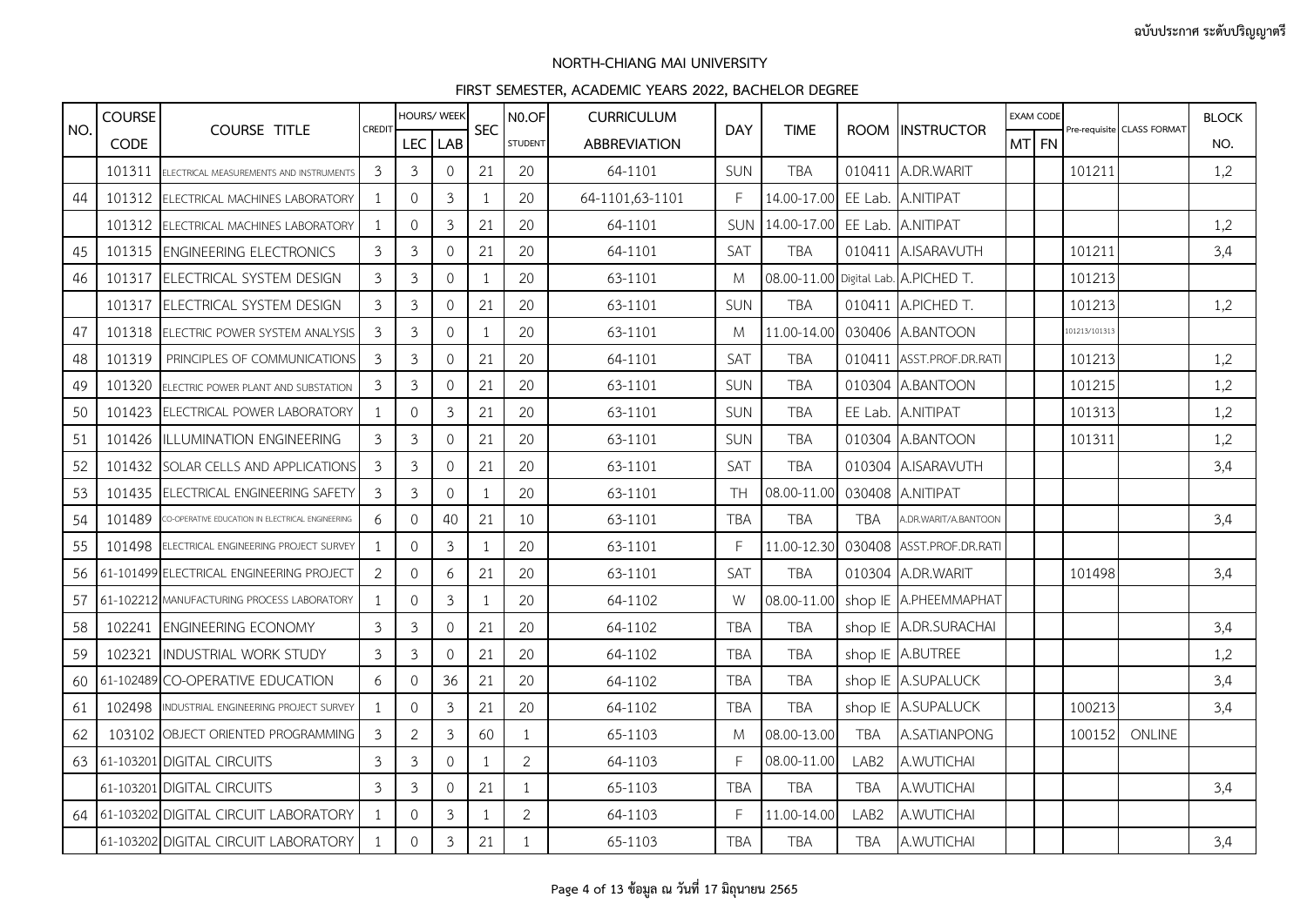|     | <b>COURSE</b> |                                                  |                | HOURS/ WEEK      |                |            | N <sub>0.OF</sub> | <b>CURRICULUM</b>   |            |             |                  |                                      |       | <b>EXAM CODE</b> |               |                            | <b>BLOCK</b> |
|-----|---------------|--------------------------------------------------|----------------|------------------|----------------|------------|-------------------|---------------------|------------|-------------|------------------|--------------------------------------|-------|------------------|---------------|----------------------------|--------------|
| NO. | <b>CODE</b>   | <b>COURSE TITLE</b>                              | CREDIT         | LEC <sup> </sup> | <b>LAB</b>     | <b>SEC</b> | <b>STUDENT</b>    | <b>ABBREVIATION</b> | <b>DAY</b> | <b>TIME</b> | <b>ROOM</b>      | <b>INSTRUCTOR</b>                    | MT FN |                  |               | Pre-requisite CLASS FORMAT | NO.          |
|     | 101311        | ELECTRICAL MEASUREMENTS AND INSTRUMENTS          | 3              | 3                | $\mathbf{0}$   | 21         | 20                | 64-1101             | SUN        | <b>TBA</b>  | 010411           | A.DR.WARIT                           |       |                  | 101211        |                            | 1,2          |
| 44  | 101312        | ELECTRICAL MACHINES LABORATORY                   |                | 0                | $\mathfrak{Z}$ | 1          | 20                | 64-1101,63-1101     | F          | 14.00-17.00 | EE Lab.          | A.NITIPAT                            |       |                  |               |                            |              |
|     | 101312        | ELECTRICAL MACHINES LABORATORY                   | -1             | 0                | $\mathfrak{Z}$ | 21         | 20                | 64-1101             | <b>SUN</b> | 14.00-17.00 | EE Lab.          | A.NITIPAT                            |       |                  |               |                            | 1,2          |
| 45  | 101315        | <b>ENGINEERING ELECTRONICS</b>                   | 3              | $\mathfrak{Z}$   | $\mathbf 0$    | 21         | 20                | 64-1101             | SAT        | <b>TBA</b>  |                  | 010411 A.ISARAVUTH                   |       |                  | 101211        |                            | 3,4          |
| 46  | 101317        | ELECTRICAL SYSTEM DESIGN                         | 3              | $\mathfrak{Z}$   | $\mathbf 0$    | 1          | 20                | 63-1101             | M          |             |                  | 08.00-11.00 Digital Lab. A.PICHED T. |       |                  | 101213        |                            |              |
|     | 101317        | ELECTRICAL SYSTEM DESIGN                         | 3              | $\mathfrak{Z}$   | $\mathbf{0}$   | 21         | 20                | 63-1101             | SUN        | <b>TBA</b>  | 010411           | A.PICHED T.                          |       |                  | 101213        |                            | 1,2          |
| 47  |               | 101318 ELECTRIC POWER SYSTEM ANALYSIS            | 3              | $\mathfrak{Z}$   | $\mathbf 0$    | 1          | 20                | 63-1101             | M          | 11.00-14.00 |                  | 030406 A.BANTOON                     |       |                  | 101213/101313 |                            |              |
| 48  | 101319        | PRINCIPLES OF COMMUNICATIONS                     | 3              | 3                | $\mathbf{0}$   | 21         | 20                | 64-1101             | SAT        | <b>TBA</b>  | 010411           | ASST.PROF.DR.RATI                    |       |                  | 101213        |                            | 1,2          |
| 49  | 101320        | ELECTRIC POWER PLANT AND SUBSTATION              | 3              | $\mathfrak{Z}$   | $\Omega$       | 21         | 20                | 63-1101             | SUN        | <b>TBA</b>  | 010304           | A.BANTOON                            |       |                  | 101215        |                            | 1,2          |
| 50  | 101423        | <b>ELECTRICAL POWER LABORATORY</b>               | $\mathbf 1$    | $\mathsf{O}$     | $\mathfrak{Z}$ | 21         | 20                | 63-1101             | SUN        | <b>TBA</b>  | EE Lab.          | A.NITIPAT                            |       |                  | 101313        |                            | 1,2          |
| 51  | 101426        | ILLUMINATION ENGINEERING                         | 3              | 3                | $\mathbf{0}$   | 21         | 20                | 63-1101             | SUN        | <b>TBA</b>  | 010304           | A.BANTOON                            |       |                  | 101311        |                            | 1,2          |
| 52  | 101432        | SOLAR CELLS AND APPLICATIONS                     | 3              | $\mathfrak{Z}$   | $\mathbf 0$    | 21         | 20                | 63-1101             | SAT        | <b>TBA</b>  | 010304           | A.ISARAVUTH                          |       |                  |               |                            | 3,4          |
| 53  | 101435        | ELECTRICAL ENGINEERING SAFETY                    | 3              | 3                | $\mathbf{0}$   | 1          | 20                | 63-1101             | <b>TH</b>  | 08.00-11.00 |                  | 030408 A.NITIPAT                     |       |                  |               |                            |              |
| 54  | 101489        | CO-OPERATIVE EDUCATION IN ELECTRICAL ENGINEERING | 6              | $\mathbf{0}$     | 40             | 21         | 10                | 63-1101             | <b>TBA</b> | <b>TBA</b>  | <b>TBA</b>       | A.DR.WARIT/A.BANTOON                 |       |                  |               |                            | 3,4          |
| 55  | 101498        | ELECTRICAL ENGINEERING PROJECT SURVEY            | $\overline{1}$ | $\mathbf{0}$     | $\mathfrak{Z}$ | 1          | 20                | 63-1101             | F          | 11.00-12.30 | 030408           | ASST.PROF.DR.RATI                    |       |                  |               |                            |              |
| 56  |               | 61-101499 ELECTRICAL ENGINEERING PROJECT         | 2              | $\mathbf{0}$     | 6              | 21         | 20                | 63-1101             | SAT        | <b>TBA</b>  |                  | 010304 A.DR.WARIT                    |       |                  | 101498        |                            | 3,4          |
| 57  |               | 61-102212 MANUFACTURING PROCESS LABORATORY       | 1              | $\mathbf{0}$     | $\mathfrak{Z}$ | 1          | 20                | 64-1102             | W          | 08.00-11.00 |                  | shop IE A.PHEEMMAPHAT                |       |                  |               |                            |              |
| 58  | 102241        | <b>ENGINEERING ECONOMY</b>                       | 3              | 3                | $\mathbf{0}$   | 21         | 20                | 64-1102             | <b>TBA</b> | <b>TBA</b>  | shop IE          | A.DR.SURACHAI                        |       |                  |               |                            | 3,4          |
| 59  |               | 102321 INDUSTRIAL WORK STUDY                     | 3              | $\mathfrak{Z}$   | $\mathbf 0$    | 21         | 20                | 64-1102             | <b>TBA</b> | <b>TBA</b>  |                  | shop IE A.BUTREE                     |       |                  |               |                            | 1,2          |
| 60  |               | 61-102489 CO-OPERATIVE EDUCATION                 | 6              | $\mathbf{0}$     | 36             | 21         | 20                | 64-1102             | <b>TBA</b> | <b>TBA</b>  |                  | shop IE A.SUPALUCK                   |       |                  |               |                            | 3,4          |
| 61  | 102498        | INDUSTRIAL ENGINEERING PROJECT SURVEY            | $\overline{1}$ | $\mathbf{0}$     | $\mathfrak{Z}$ | 21         | 20                | 64-1102             | <b>TBA</b> | <b>TBA</b>  | shop IE          | A.SUPALUCK                           |       |                  | 100213        |                            | 3,4          |
| 62  |               | 103102 OBJECT ORIENTED PROGRAMMING               | 3              | $\overline{2}$   | $\mathfrak{Z}$ | 60         | $\mathbf{1}$      | 65-1103             | M          | 08.00-13.00 | <b>TBA</b>       | A.SATIANPONG                         |       |                  | 100152        | ONLINE                     |              |
| 63  |               | 61-103201 DIGITAL CIRCUITS                       | 3              | 3                | $\mathbf{0}$   | 1          | $\overline{2}$    | 64-1103             | F          | 08.00-11.00 | LAB <sub>2</sub> | A.WUTICHAI                           |       |                  |               |                            |              |
|     |               | 61-103201 DIGITAL CIRCUITS                       | 3              | $\mathfrak{Z}$   | $\mathbf{0}$   | 21         | $\mathbf{1}$      | 65-1103             | <b>TBA</b> | <b>TBA</b>  | <b>TBA</b>       | A.WUTICHAI                           |       |                  |               |                            | 3,4          |
| 64  |               | 61-103202 DIGITAL CIRCUIT LABORATORY             |                | $\mathbf{0}$     | $\mathfrak{Z}$ | 1          | $\overline{2}$    | 64-1103             | F          | 11.00-14.00 | LAB <sub>2</sub> | A.WUTICHAI                           |       |                  |               |                            |              |
|     |               | 61-103202 DIGITAL CIRCUIT LABORATORY             | 1              | $\mathsf{O}$     | $\mathfrak{Z}$ | 21         | $\mathbf{1}$      | 65-1103             | <b>TBA</b> | TBA         | TBA              | A.WUTICHAI                           |       |                  |               |                            | 3,4          |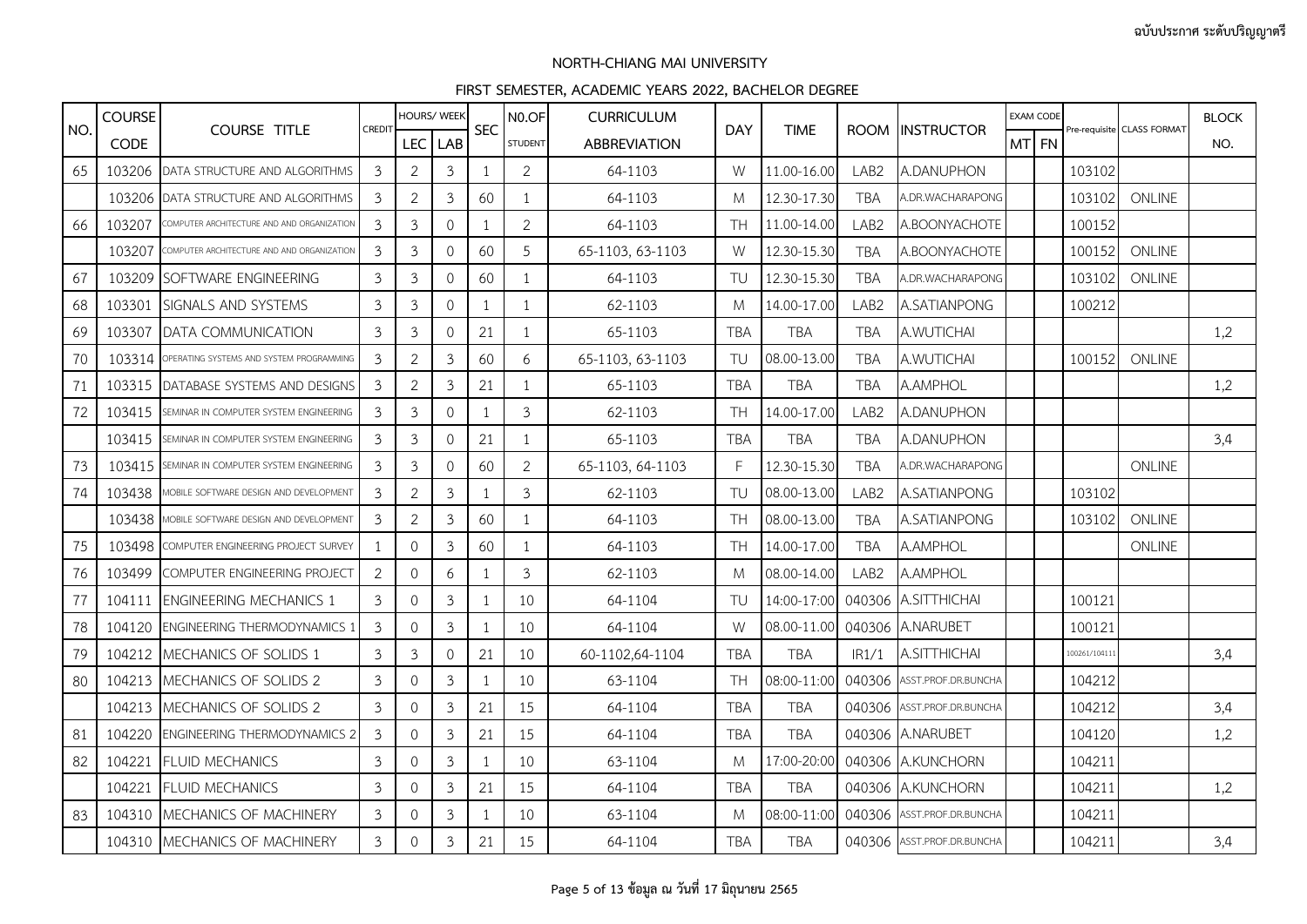|     | <b>COURSE</b> |                                            |                |                | HOURS/ WEEK    |              | N <sub>0.OF</sub> | <b>CURRICULUM</b>   |            |             |                  |                            |       | <b>EXAM CODE</b> |               |                            | <b>BLOCK</b> |
|-----|---------------|--------------------------------------------|----------------|----------------|----------------|--------------|-------------------|---------------------|------------|-------------|------------------|----------------------------|-------|------------------|---------------|----------------------------|--------------|
| NO. | <b>CODE</b>   | <b>COURSE TITLE</b>                        | CREDIT         |                | LEC LAB        | <b>SEC</b>   | <b>STUDENT</b>    | <b>ABBREVIATION</b> | <b>DAY</b> | <b>TIME</b> | <b>ROOM</b>      | <b>INSTRUCTOR</b>          | MT FN |                  |               | Pre-requisite CLASS FORMAT | NO.          |
| 65  | 103206        | DATA STRUCTURE AND ALGORITHMS              | $\overline{3}$ | $\overline{2}$ | $\mathfrak{Z}$ | $\mathbf{1}$ | $\overline{2}$    | 64-1103             | W          | 11.00-16.00 | LAB <sub>2</sub> | A.DANUPHON                 |       |                  | 103102        |                            |              |
|     | 103206        | DATA STRUCTURE AND ALGORITHMS              | 3              | $\overline{2}$ | 3              | 60           | $\mathbf{1}$      | 64-1103             | M          | 12.30-17.30 | <b>TBA</b>       | A.DR.WACHARAPONG           |       |                  | 103102        | ONLINE                     |              |
| 66  | 103207        | COMPUTER ARCHITECTURE AND AND ORGANIZATION | $\mathfrak{Z}$ | $\mathfrak{Z}$ | $\mathbf 0$    | $\mathbf{1}$ | $\overline{2}$    | 64-1103             | <b>TH</b>  | 11.00-14.00 | LAB <sub>2</sub> | A.BOONYACHOTE              |       |                  | 100152        |                            |              |
|     | 103207        | COMPUTER ARCHITECTURE AND AND ORGANIZATION | 3              | $\mathfrak{Z}$ | $\mathbf{0}$   | 60           | 5                 | 65-1103, 63-1103    | W          | 12.30-15.30 | <b>TBA</b>       | A.BOONYACHOTE              |       |                  | 100152        | ONLINE                     |              |
| 67  | 103209        | SOFTWARE ENGINEERING                       | 3              | $\mathfrak{Z}$ | $\mathbf{0}$   | 60           | $\mathbf{1}$      | 64-1103             | TU         | 12.30-15.30 | <b>TBA</b>       | A.DR.WACHARAPONG           |       |                  | 103102        | ONLINE                     |              |
| 68  | 103301        | SIGNALS AND SYSTEMS                        | $\mathfrak{Z}$ | 3              | $\mathbf 0$    | $\mathbf{1}$ | $\mathbf{1}$      | 62-1103             | M          | 14.00-17.00 | LAB <sub>2</sub> | A.SATIANPONG               |       |                  | 100212        |                            |              |
| 69  | 103307        | DATA COMMUNICATION                         | 3              | $\mathfrak{Z}$ | $\mathbf{0}$   | 21           | $\mathbf{1}$      | 65-1103             | <b>TBA</b> | <b>TBA</b>  | <b>TBA</b>       | A.WUTICHAI                 |       |                  |               |                            | 1,2          |
| 70  | 103314        | OPERATING SYSTEMS AND SYSTEM PROGRAMMING   | 3              | $\overline{2}$ | 3              | 60           | 6                 | 65-1103, 63-1103    | TU         | 08.00-13.00 | <b>TBA</b>       | A.WUTICHAI                 |       |                  | 100152        | ONLINE                     |              |
| 71  | 103315        | DATABASE SYSTEMS AND DESIGNS               | 3              | $\overline{2}$ | $\mathfrak{Z}$ | 21           | $\mathbf{1}$      | 65-1103             | <b>TBA</b> | <b>TBA</b>  | <b>TBA</b>       | A.AMPHOL                   |       |                  |               |                            | 1,2          |
| 72  | 103415        | SEMINAR IN COMPUTER SYSTEM ENGINEERING     | 3              | $\mathfrak{Z}$ | $\mathbf 0$    | $\mathbf 1$  | 3                 | 62-1103             | <b>TH</b>  | 14.00-17.00 | LAB <sub>2</sub> | A.DANUPHON                 |       |                  |               |                            |              |
|     | 103415        | SEMINAR IN COMPUTER SYSTEM ENGINEERING     | 3              | $\mathfrak{Z}$ | $\circ$        | 21           | $\mathbf{1}$      | 65-1103             | <b>TBA</b> | <b>TBA</b>  | <b>TBA</b>       | A.DANUPHON                 |       |                  |               |                            | 3,4          |
| 73  | 103415        | SEMINAR IN COMPUTER SYSTEM ENGINEERING     | 3              | $\mathfrak{Z}$ | $\mathbf{0}$   | 60           | $\overline{2}$    | 65-1103, 64-1103    | F          | 12.30-15.30 | <b>TBA</b>       | A.DR.WACHARAPONG           |       |                  |               | <b>ONLINE</b>              |              |
| 74  | 103438        | AOBILE SOFTWARE DESIGN AND DEVELOPMENT     | 3              | $\overline{2}$ | $\mathfrak{Z}$ |              | $\mathfrak{Z}$    | 62-1103             | TU         | 08.00-13.00 | LAB <sub>2</sub> | A.SATIANPONG               |       |                  | 103102        |                            |              |
|     | 103438        | MOBILE SOFTWARE DESIGN AND DEVELOPMENT     | $\mathfrak{Z}$ | $\overline{2}$ | $\mathfrak{Z}$ | 60           | $\mathbf{1}$      | 64-1103             | <b>TH</b>  | 08.00-13.00 | <b>TBA</b>       | A.SATIANPONG               |       |                  | 103102        | ONLINE                     |              |
| 75  | 103498        | COMPUTER ENGINEERING PROJECT SURVEY        | 1              | $\Omega$       | 3              | 60           | $\mathbf{1}$      | 64-1103             | <b>TH</b>  | 14.00-17.00 | <b>TBA</b>       | A.AMPHOL                   |       |                  |               | <b>ONLINE</b>              |              |
| 76  | 103499        | COMPUTER ENGINEERING PROJECT               | 2              | $\overline{0}$ | 6              |              | $\mathfrak{Z}$    | 62-1103             | M          | 08.00-14.00 | LAB <sub>2</sub> | A.AMPHOL                   |       |                  |               |                            |              |
| 77  | 104111        | <b>ENGINEERING MECHANICS 1</b>             | $\mathfrak{Z}$ | $\circ$        | $\mathfrak{Z}$ | 1            | 10                | 64-1104             | TU         | 14:00-17:00 | 040306           | A.SITTHICHAI               |       |                  | 100121        |                            |              |
| 78  | 104120        | <b>ENGINEERING THERMODYNAMICS 1</b>        | 3              | 0              | $\mathfrak{Z}$ | $\mathbf{1}$ | 10                | 64-1104             | W          | 08.00-11.00 | 040306           | A.NARUBET                  |       |                  | 100121        |                            |              |
| 79  | 104212        | MECHANICS OF SOLIDS 1                      | 3              | 3              | $\mathbf 0$    | 21           | 10                | 60-1102,64-1104     | <b>TBA</b> | <b>TBA</b>  | IR1/1            | <b>A.SITTHICHAI</b>        |       |                  | 100261/104111 |                            | 3,4          |
| 80  | 104213        | MECHANICS OF SOLIDS 2                      | $\mathfrak{Z}$ | $\circ$        | $\mathfrak{Z}$ | 1            | 10                | 63-1104             | <b>TH</b>  | 08:00-11:00 | 040306           | ASST.PROF.DR.BUNCHA        |       |                  | 104212        |                            |              |
|     | 104213        | MECHANICS OF SOLIDS 2                      | 3              | 0              | 3              | 21           | 15                | 64-1104             | <b>TBA</b> | <b>TBA</b>  | 040306           | ASST.PROF.DR.BUNCHA        |       |                  | 104212        |                            | 3,4          |
| 81  | 104220        | <b>ENGINEERING THERMODYNAMICS 2</b>        | 3              | $\mathbf{0}$   | $\mathfrak{Z}$ | 21           | 15                | 64-1104             | <b>TBA</b> | <b>TBA</b>  | 040306           | A.NARUBET                  |       |                  | 104120        |                            | 1,2          |
| 82  | 104221        | <b>FLUID MECHANICS</b>                     | $\mathfrak{Z}$ | $\circ$        | $\mathfrak{Z}$ | 1            | 10                | 63-1104             | M          | 17:00-20:00 | 040306           | A.KUNCHORN                 |       |                  | 104211        |                            |              |
|     | 104221        | <b>FLUID MECHANICS</b>                     | 3              | 0              | 3              | 21           | 15                | 64-1104             | <b>TBA</b> | <b>TBA</b>  | 040306           | A.KUNCHORN                 |       |                  | 104211        |                            | 1,2          |
| 83  | 104310        | MECHANICS OF MACHINERY                     | 3              | $\overline{0}$ | $\mathfrak z$  | 1            | 10                | 63-1104             | M          | 08:00-11:00 | 040306           | ASST.PROF.DR.BUNCHA        |       |                  | 104211        |                            |              |
|     | 104310        | MECHANICS OF MACHINERY                     | $\mathfrak{Z}$ | $\circ$        | $\mathfrak{Z}$ | 21           | 15                | 64-1104             | <b>TBA</b> | <b>TBA</b>  |                  | 040306 ASST.PROF.DR.BUNCHA |       |                  | 104211        |                            | 3,4          |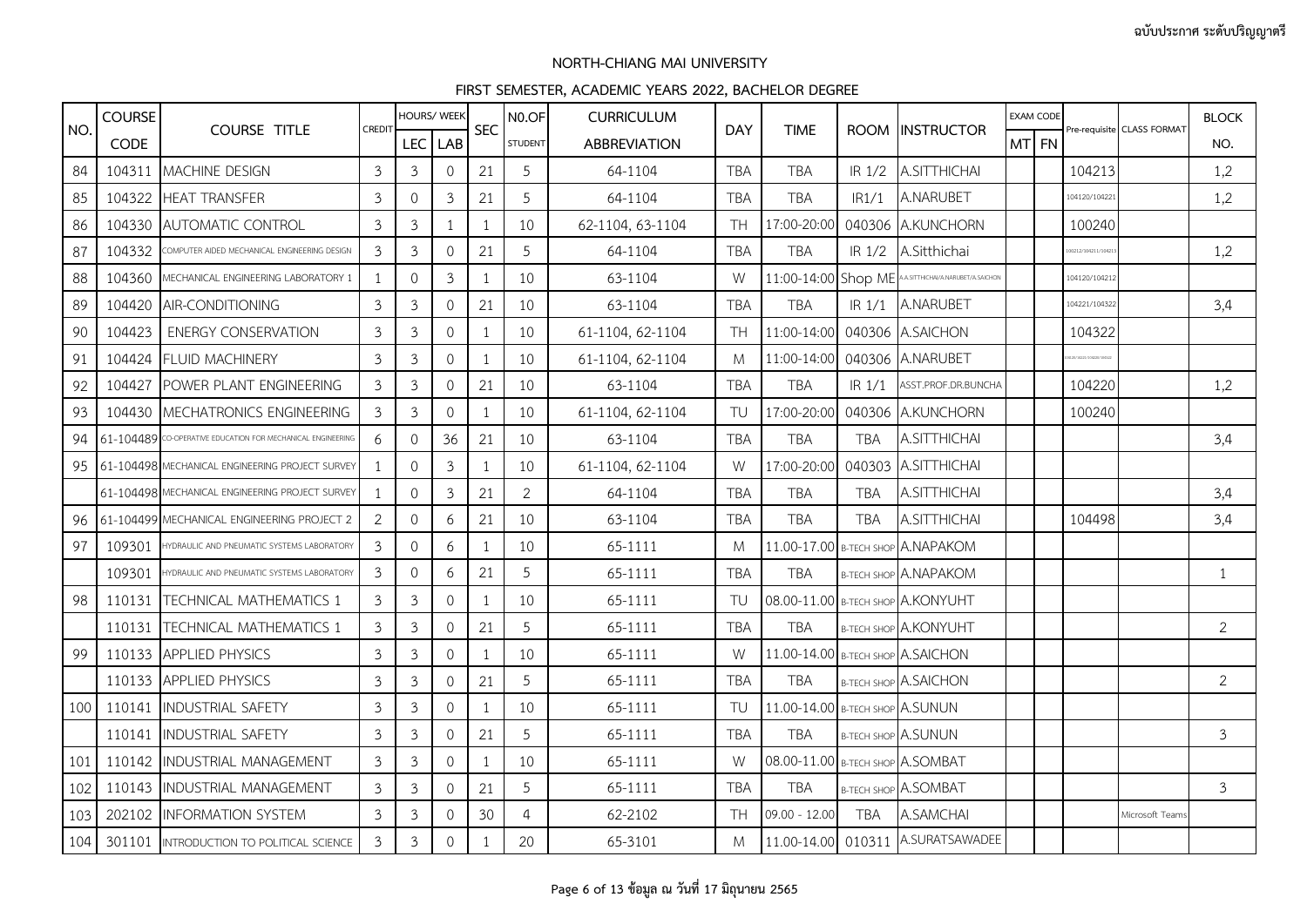|     | <b>COURSE</b> |                                                             |                |                | <b>HOURS/ WEEK</b>  |              | N <sub>0.OF</sub> | <b>CURRICULUM</b>   |            |                                   |                   |                                                     | <b>EXAM CODE</b> |                     |                            | <b>BLOCK</b>   |
|-----|---------------|-------------------------------------------------------------|----------------|----------------|---------------------|--------------|-------------------|---------------------|------------|-----------------------------------|-------------------|-----------------------------------------------------|------------------|---------------------|----------------------------|----------------|
| NO. | <b>CODE</b>   | <b>COURSE TITLE</b>                                         | CREDIT         | <b>LEC</b>     | LAB                 | <b>SEC</b>   | <b>STUDENT</b>    | <b>ABBREVIATION</b> | <b>DAY</b> | <b>TIME</b>                       |                   | ROOM INSTRUCTOR                                     | MT FN            |                     | Pre-requisite CLASS FORMAT | NO.            |
| 84  |               | 104311 MACHINE DESIGN                                       | $\overline{3}$ | $\mathfrak{Z}$ | $\mathbf{0}$        | 21           | 5                 | 64-1104             | <b>TBA</b> | <b>TBA</b>                        | IR 1/2            | A.SITTHICHAI                                        |                  | 104213              |                            | 1,2            |
| 85  | 104322        | <b>HEAT TRANSFER</b>                                        | 3              | $\mathbf{0}$   | $\mathfrak{Z}$      | 21           | 5                 | 64-1104             | <b>TBA</b> | <b>TBA</b>                        | IR1/1             | A.NARUBET                                           |                  | 104120/104221       |                            | 1,2            |
| 86  | 104330        | <b>AUTOMATIC CONTROL</b>                                    | $\mathfrak{Z}$ | $\mathfrak{Z}$ | 1                   | 1            | 10                | 62-1104, 63-1104    | <b>TH</b>  | 17:00-20:00                       |                   | 040306 A.KUNCHORN                                   |                  | 100240              |                            |                |
| 87  | 104332        | COMPUTER AIDED MECHANICAL ENGINEERING DESIGN                | 3              | 3              | $\mathbf 0$         | 21           | 5                 | 64-1104             | <b>TBA</b> | <b>TBA</b>                        |                   | IR 1/2 A.Sitthichai                                 |                  | 00212/104211/10421  |                            | 1,2            |
| 88  | 104360        | MECHANICAL ENGINEERING LABORATORY 1                         | $\overline{1}$ | $\mathbf{0}$   | $\mathfrak{Z}$      | 1            | 10                | 63-1104             | W          |                                   |                   | 11:00-14:00 Shop ME AASITTHICHAVA.NARUBET/A.SAICHON |                  | 104120/104212       |                            |                |
| 89  | 104420        | AIR-CONDITIONING                                            | $\mathfrak{Z}$ | 3              | $\mathbf 0$         | 21           | 10                | 63-1104             | <b>TBA</b> | <b>TBA</b>                        | IR <sub>1/1</sub> | A.NARUBET                                           |                  | 104221/104322       |                            | 3,4            |
| 90  | 104423        | <b>ENERGY CONSERVATION</b>                                  | 3              | 3              | $\mathsf{O}\xspace$ | 1            | 10                | 61-1104, 62-1104    | <b>TH</b>  | 11:00-14:00                       |                   | 040306 A.SAICHON                                    |                  | 104322              |                            |                |
| 91  |               | 104424 FLUID MACHINERY                                      | 3              | $\mathfrak{Z}$ | $\mathbf 0$         | 1            | 10                | 61-1104, 62-1104    | M          | 11:00-14:00                       |                   | 040306 A.NARUBET                                    |                  | 20/14221/104220/104 |                            |                |
| 92  | 104427        | POWER PLANT ENGINEERING                                     | $\mathfrak{Z}$ | 3              | $\mathbf 0$         | 21           | 10                | 63-1104             | <b>TBA</b> | <b>TBA</b>                        | IR <sub>1/1</sub> | ASST.PROF.DR.BUNCHA                                 |                  | 104220              |                            | 1,2            |
| 93  | 104430        | MECHATRONICS ENGINEERING                                    | 3              | 3              | $\mathbf 0$         | -1           | 10                | 61-1104, 62-1104    | TU         | 17:00-20:00                       |                   | 040306 A.KUNCHORN                                   |                  | 100240              |                            |                |
| 94  |               | 61-104489 CO-OPERATIVE EDUCATION FOR MECHANICAL ENGINEERING | 6              | $\circ$        | 36                  | 21           | 10                | 63-1104             | <b>TBA</b> | <b>TBA</b>                        | TBA               | A.SITTHICHAI                                        |                  |                     |                            | 3,4            |
| 95  |               | 61-104498 MECHANICAL ENGINEERING PROJECT SURVEY             | -1             | $\mathbf{0}$   | $\mathbf{3}$        | 1            | 10                | 61-1104, 62-1104    | W          | 17:00-20:00                       |                   | 040303 A.SITTHICHAI                                 |                  |                     |                            |                |
|     |               | 61-104498 MECHANICAL ENGINEERING PROJECT SURVEY             |                | $\mathbf{0}$   | $\mathfrak{Z}$      | 21           | $\overline{2}$    | 64-1104             | <b>TBA</b> | <b>TBA</b>                        | <b>TBA</b>        | A.SITTHICHAI                                        |                  |                     |                            | 3,4            |
| 96  |               | 61-104499 MECHANICAL ENGINEERING PROJECT 2                  | $\overline{2}$ | $\mathsf{O}$   | 6                   | 21           | 10                | 63-1104             | <b>TBA</b> | <b>TBA</b>                        | <b>TBA</b>        | A.SITTHICHAI                                        |                  | 104498              |                            | 3,4            |
| 97  | 109301        | HYDRAULIC AND PNEUMATIC SYSTEMS LABORATORY                  | 3              | $\Omega$       | 6                   | -1           | 10                | 65-1111             | M          |                                   |                   | 11.00-17.00 B-TECH SHOP A.NAPAKOM                   |                  |                     |                            |                |
|     | 109301        | HYDRAULIC AND PNEUMATIC SYSTEMS LABORATORY                  | 3              | $\mathbf{0}$   | 6                   | 21           | 5                 | 65-1111             | <b>TBA</b> | <b>TBA</b>                        |                   | <b>B-TECH SHOP A.NAPAKOM</b>                        |                  |                     |                            | 1              |
| 98  | 110131        | <b>TECHNICAL MATHEMATICS 1</b>                              | 3              | $\mathfrak{Z}$ | $\mathbf 0$         | 1            | 10                | 65-1111             | TU         |                                   |                   | 08.00-11.00 B-TECH SHOP A.KONYUHT                   |                  |                     |                            |                |
|     | 110131        | <b>ITECHNICAL MATHEMATICS 1</b>                             | 3              | 3              | $\Omega$            | 21           | 5                 | 65-1111             | <b>TBA</b> | <b>TBA</b>                        |                   | <b>B-TECH SHOP A.KONYUHT</b>                        |                  |                     |                            | 2              |
| 99  |               | 110133 APPLIED PHYSICS                                      | 3              | 3              | $\mathbf{0}$        | 1            | 10                | 65-1111             | W          | 11.00-14.00 B-TECH SHOP A.SAICHON |                   |                                                     |                  |                     |                            |                |
|     |               | 110133 APPLIED PHYSICS                                      | $\mathfrak{Z}$ | $\mathfrak{Z}$ | $\mathbf 0$         | 21           | 5                 | 65-1111             | <b>TBA</b> | <b>TBA</b>                        |                   | <b>B-TECH SHOP A.SAICHON</b>                        |                  |                     |                            | $\overline{2}$ |
| 100 |               | 110141 INDUSTRIAL SAFETY                                    | 3              | 3              | $\mathbf{0}$        | -1           | 10                | 65-1111             | TU         | 11.00-14.00 B-TECH SHOP A.SUNUN   |                   |                                                     |                  |                     |                            |                |
|     |               | 110141 INDUSTRIAL SAFETY                                    | 3              | 3              | $\mathbf{0}$        | 21           | 5                 | 65-1111             | <b>TBA</b> | <b>TBA</b>                        |                   | <b>B-TECH SHOP A.SUNUN</b>                          |                  |                     |                            | 3              |
| 101 |               | 110142 INDUSTRIAL MANAGEMENT                                | 3              | $\mathfrak{Z}$ | $\mathbf 0$         | 1            | 10                | 65-1111             | W          | 08.00-11.00 B-TECH SHOP A.SOMBAT  |                   |                                                     |                  |                     |                            |                |
| 102 |               | 110143 INDUSTRIAL MANAGEMENT                                | 3              | 3              | $\mathbf{0}$        | 21           | 5                 | 65-1111             | <b>TBA</b> | <b>TBA</b>                        |                   | <b>B-TECH SHOP A.SOMBAT</b>                         |                  |                     |                            | 3              |
| 103 |               | 202102 INFORMATION SYSTEM                                   | 3              | 3              | $\mathbf{0}$        | 30           | 4                 | 62-2102             | <b>TH</b>  | 09.00 - 12.00                     | <b>TBA</b>        | A.SAMCHAI                                           |                  |                     | Microsoft Teams            |                |
| 104 |               | 301101 INTRODUCTION TO POLITICAL SCIENCE                    | 3              | $\mathfrak{Z}$ | $\mathsf{O}\xspace$ | $\mathbf{1}$ | 20                | 65-3101             | M          |                                   |                   | 11.00-14.00 010311 A.SURATSAWADEE                   |                  |                     |                            |                |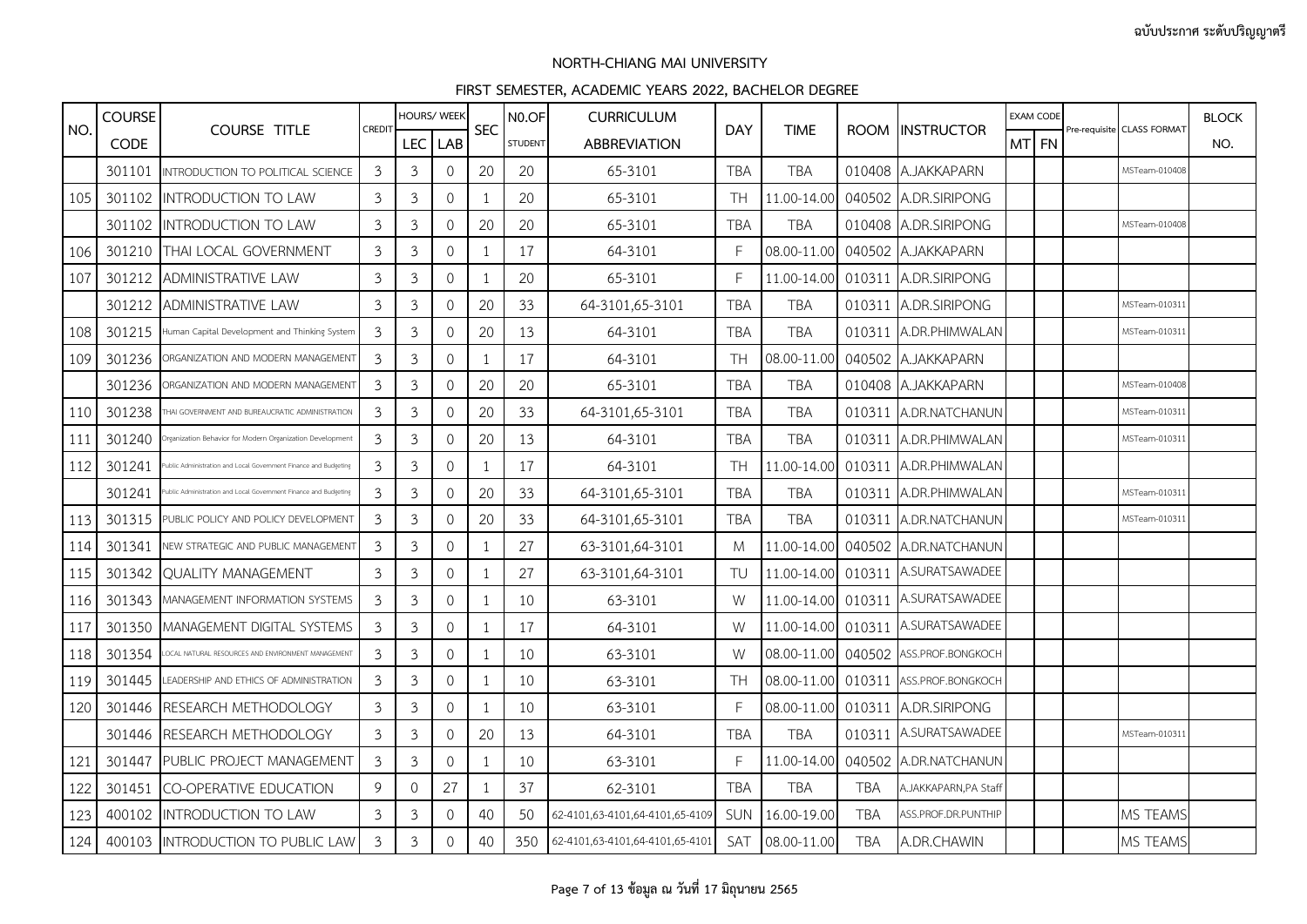|     | <b>COURSE</b> |                                                                 |                |                | HOURS/ WEEK         |                | N <sub>0.OF</sub> | <b>CURRICULUM</b>               |              |             |            |                          |       | <b>EXAM CODE</b> |                            | <b>BLOCK</b> |
|-----|---------------|-----------------------------------------------------------------|----------------|----------------|---------------------|----------------|-------------------|---------------------------------|--------------|-------------|------------|--------------------------|-------|------------------|----------------------------|--------------|
| NO. | <b>CODE</b>   | <b>COURSE TITLE</b>                                             | CREDIT         | LEC I          | LAB                 | <b>SEC</b>     | <b>STUDENT</b>    | <b>ABBREVIATION</b>             | <b>DAY</b>   | <b>TIME</b> |            | ROOM IINSTRUCTOR         | MT FN |                  | Pre-requisite CLASS FORMAT | NO.          |
|     | 301101        | INTRODUCTION TO POLITICAL SCIENCE                               | $\mathfrak{Z}$ | 3              | $\mathbf 0$         | 20             | 20                | 65-3101                         | <b>TBA</b>   | <b>TBA</b>  |            | 010408 A.JAKKAPARN       |       |                  | MSTeam-010408              |              |
| 105 |               | 301102 INTRODUCTION TO LAW                                      | 3              | 3              | $\mathbf{O}$        | $\overline{1}$ | 20                | 65-3101                         | <b>TH</b>    | 11.00-14.00 |            | 040502 A.DR.SIRIPONG     |       |                  |                            |              |
|     |               | 301102 INTRODUCTION TO LAW                                      | $\mathfrak{Z}$ | 3              | $\mathbf{O}$        | 20             | 20                | 65-3101                         | <b>TBA</b>   | <b>TBA</b>  |            | 010408 A.DR.SIRIPONG     |       |                  | MSTeam-010408              |              |
| 106 | 301210        | <b>THAI LOCAL GOVERNMENT</b>                                    | 3              | 3              | 0                   | $\mathbf{1}$   | 17                | 64-3101                         | F            | 08.00-11.00 |            | 040502 A.JAKKAPARN       |       |                  |                            |              |
| 107 | 301212        | <b>ADMINISTRATIVE LAW</b>                                       | 3              | $\mathfrak{Z}$ | $\mathcal{O}$       | 1              | 20                | 65-3101                         | $\mathsf{F}$ | 11.00-14.00 |            | 010311 A.DR.SIRIPONG     |       |                  |                            |              |
|     | 301212        | <b>ADMINISTRATIVE LAW</b>                                       | 3              | 3              | $\mathcal{O}$       | 20             | 33                | 64-3101,65-3101                 | <b>TBA</b>   | TBA         |            | 010311 A.DR.SIRIPONG     |       |                  | MSTeam-010311              |              |
| 108 | 301215        | Human Capital Development and Thinking System                   | 3              | 3              | 0                   | 20             | 13                | 64-3101                         | <b>TBA</b>   | TBA         |            | 010311 A.DR.PHIMWALAN    |       |                  | MSTeam-01031:              |              |
| 109 | 301236        | ORGANIZATION AND MODERN MANAGEMENT                              | $\mathfrak{Z}$ | $\mathfrak{Z}$ | 0                   | -1             | 17                | 64-3101                         | <b>TH</b>    | 08.00-11.00 |            | 040502 A.JAKKAPARN       |       |                  |                            |              |
|     | 301236        | ORGANIZATION AND MODERN MANAGEMENT                              | 3              | 3              | $\Omega$            | 20             | 20                | 65-3101                         | TBA          | TBA         |            | 010408 A.JAKKAPARN       |       |                  | MSTeam-010408              |              |
| 110 | 301238        | THAI GOVERNMENT AND BUREAUCRATIC ADMINISTRATION                 | 3              | 3              | 0                   | 20             | 33                | 64-3101,65-3101                 | <b>TBA</b>   | TBA         |            | 010311 A.DR.NATCHANUN    |       |                  | MSTeam-010311              |              |
| 111 | 301240        | reanization Behavior for Modern Oreanization Development        | 3              | $\mathfrak{Z}$ | 0                   | 20             | 13                | 64-3101                         | <b>TBA</b>   | <b>TBA</b>  |            | 010311 A.DR.PHIMWALAN    |       |                  | MSTeam-010311              |              |
| 112 | 301241        | ublic Administration and Local Government Finance and Budgeting | 3              | 3              | $\mathcal{O}$       | $\lceil$       | 17                | 64-3101                         | <b>TH</b>    | 11.00-14.00 |            | 010311 A.DR.PHIMWALAN    |       |                  |                            |              |
|     | 301241        | ublic Administration and Local Government Finance and Budgeting | 3              | 3              | $\overline{0}$      | 20             | 33                | 64-3101,65-3101                 | <b>TBA</b>   | TBA         |            | 010311 A.DR.PHIMWALAN    |       |                  | MSTeam-010311              |              |
| 113 | 301315        | PUBLIC POLICY AND POLICY DEVELOPMENT                            | 3              | 3              | $\Omega$            | 20             | 33                | 64-3101,65-3101                 | <b>TBA</b>   | <b>TBA</b>  |            | 010311 A.DR.NATCHANUN    |       |                  | MSTeam-010311              |              |
| 114 | 301341        | NEW STRATEGIC AND PUBLIC MANAGEMENT                             | 3              | 3              | $\mathbf 0$         |                | 27                | 63-3101,64-3101                 | M            | 11.00-14.00 |            | 040502 A.DR.NATCHANUN    |       |                  |                            |              |
| 115 | 301342        | <b>QUALITY MANAGEMENT</b>                                       | 3              | 3              | 0                   | -1             | 27                | 63-3101,64-3101                 | TU           | 11.00-14.00 |            | 010311 A.SURATSAWADEE    |       |                  |                            |              |
| 116 | 301343        | MANAGEMENT INFORMATION SYSTEMS                                  | 3              | 3              | $\Omega$            | 1              | 10                | 63-3101                         | W            | 11.00-14.00 |            | 010311 A.SURATSAWADEE    |       |                  |                            |              |
| 117 | 301350        | MANAGEMENT DIGITAL SYSTEMS                                      | 3              | 3              | $\mathsf{O}\xspace$ | -1             | 17                | 64-3101                         | W            | 11.00-14.00 |            | 010311 A.SURATSAWADEE    |       |                  |                            |              |
| 118 | 301354        | OCAL NATURAL RESOURCES AND ENVIRONMENT MANAGEMENT               | 3              | 3              | 0                   | -1             | 10                | 63-3101                         | W            | 08.00-11.00 | 040502     | ASS.PROF.BONGKOCH        |       |                  |                            |              |
| 119 | 301445        | LEADERSHIP AND ETHICS OF ADMINISTRATION                         | 3              | 3              | $\Omega$            | 1              | 10                | 63-3101                         | <b>TH</b>    | 08.00-11.00 |            | 010311 ASS.PROF.BONGKOCH |       |                  |                            |              |
| 120 | 301446        | RESEARCH METHODOLOGY                                            | 3              | 3              | 0                   | $\overline{1}$ | 10                | 63-3101                         | $\mathsf{F}$ | 08.00-11.00 |            | 010311 A.DR.SIRIPONG     |       |                  |                            |              |
|     | 301446        | RESEARCH METHODOLOGY                                            | $\mathfrak{Z}$ | $\mathfrak{Z}$ | 0                   | 20             | 13                | 64-3101                         | <b>TBA</b>   | <b>TBA</b>  |            | 010311 A.SURATSAWADEE    |       |                  | MSTeam-010311              |              |
| 121 | 301447        | PUBLIC PROJECT MANAGEMENT                                       | 3              | 3              | $\mathbf{O}$        | -1             | 10                | 63-3101                         | E            | 11.00-14.00 |            | 040502 A.DR.NATCHANUN    |       |                  |                            |              |
| 122 | 301451        | <b>CO-OPERATIVE EDUCATION</b>                                   | 9              | $\Omega$       | 27                  | -1             | 37                | 62-3101                         | TBA          | <b>TBA</b>  | <b>TBA</b> | A.JAKKAPARN, PA Staff    |       |                  |                            |              |
| 123 |               | 400102 INTRODUCTION TO LAW                                      | 3              | $\mathfrak{Z}$ | 0                   | 40             | 50                | 62-4101,63-4101,64-4101,65-4109 | SUN          | 16.00-19.00 | <b>TBA</b> | ASS.PROF.DR.PUNTHIP      |       |                  | MS TEAMS                   |              |
| 124 |               | 400103 INTRODUCTION TO PUBLIC LAW                               | 3              | 3              | $\mathbf{O}$        | 40             | 350               | 62-4101,63-4101,64-4101,65-4101 | SAT          | 08.00-11.00 | <b>TBA</b> | A.DR.CHAWIN              |       |                  | MS TEAMS                   |              |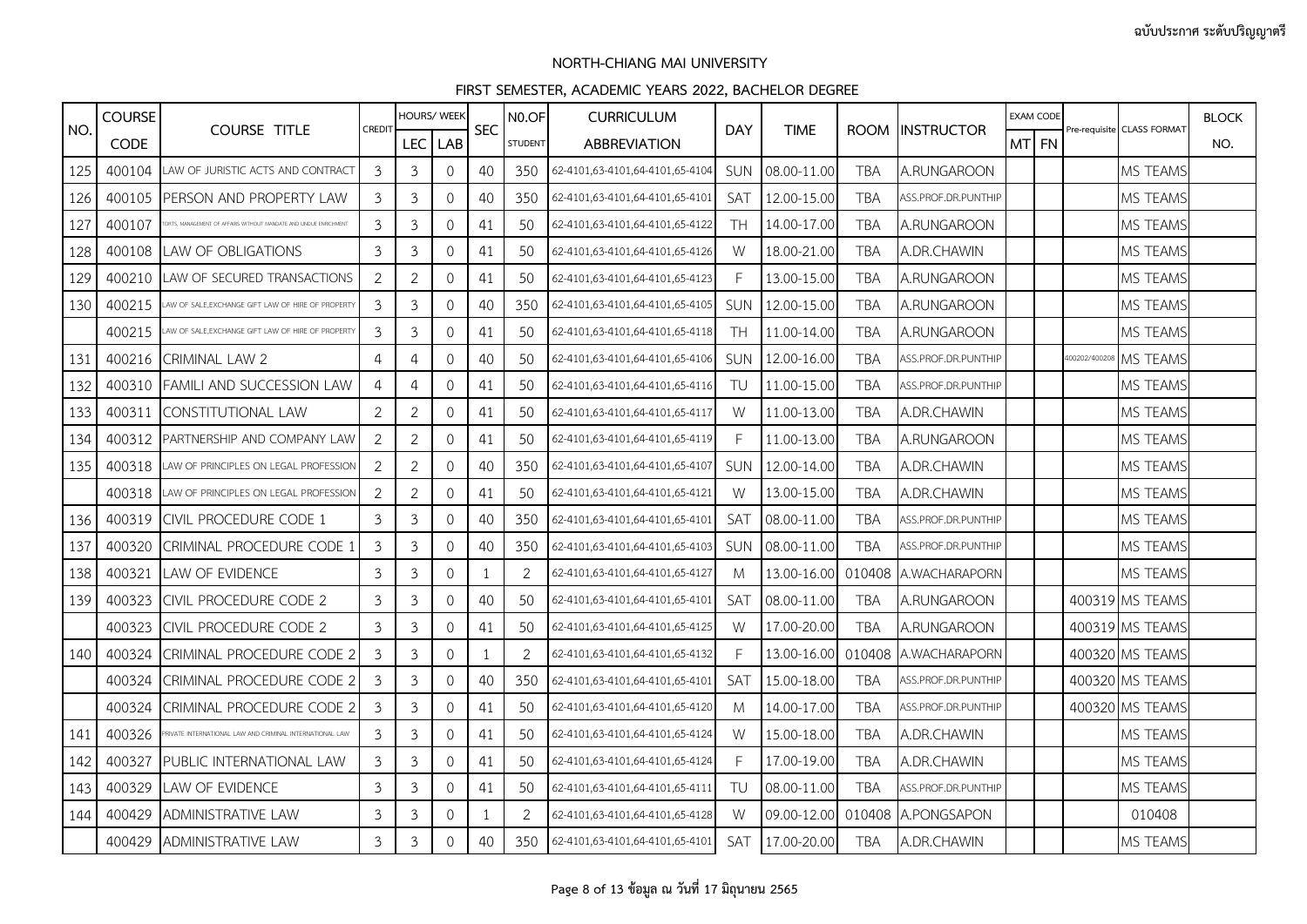|     | <b>COURSE</b> |                                                                 |                | HOURS/ WEEK    |              |            | N <sub>0</sub> .OF | <b>CURRICULUM</b>               |            |             |             |                      |       | <b>EXAM CODE</b> |                            | <b>BLOCK</b> |
|-----|---------------|-----------------------------------------------------------------|----------------|----------------|--------------|------------|--------------------|---------------------------------|------------|-------------|-------------|----------------------|-------|------------------|----------------------------|--------------|
| NO. | <b>CODE</b>   | <b>COURSE TITLE</b>                                             | CREDIT         | LEC.           | LAB          | <b>SEC</b> | <b>STUDENT</b>     | <b>ABBREVIATION</b>             | <b>DAY</b> | <b>TIME</b> | <b>ROOM</b> | <b>INSTRUCTOR</b>    | MT FN |                  | Pre-requisite CLASS FORMAT | NO.          |
| 125 | 400104        | LAW OF JURISTIC ACTS AND CONTRACT                               | $\mathbf{3}$   | 3              | $\mathbf 0$  | 40         | 350                | 62-4101,63-4101,64-4101,65-4104 | SUN        | 08.00-11.00 | TBA         | A.RUNGAROON          |       |                  | MS TEAMS                   |              |
| 126 | 400105        | PERSON AND PROPERTY LAW                                         | 3              | 3              | $\mathbf{0}$ | 40         | 350                | 62-4101,63-4101,64-4101,65-4101 | <b>SAT</b> | 12.00-15.00 | TBA         | ASS.PROF.DR.PUNTHIP  |       |                  | MS TEAMS                   |              |
| 127 | 400107        | RTS, MANAGEMENT OF AFFAIRS WITHOUT MANDATE AND UNDUE ENRICHMENT | 3              | 3              | $\mathbf 0$  | 41         | 50                 | 62-4101,63-4101,64-4101,65-4122 | <b>TH</b>  | 14.00-17.00 | <b>TBA</b>  | A.RUNGAROON          |       |                  | MS TEAMS                   |              |
| 128 | 400108        | AW OF OBLIGATIONS                                               | 3              | 3              | $\mathbf{0}$ | 41         | 50                 | 62-4101,63-4101,64-4101,65-4126 | W          | 18.00-21.00 | <b>TBA</b>  | A.DR.CHAWIN          |       |                  | MS TEAMS                   |              |
| 129 | 400210        | LAW OF SECURED TRANSACTIONS                                     | 2              | 2              | $\mathbf{0}$ | 41         | 50                 | 62-4101,63-4101,64-4101,65-4123 | F          | 13.00-15.00 | TBA         | A.RUNGAROON          |       |                  | MS TEAMS                   |              |
| 130 | 400215        | AW OF SALE, EXCHANGE GIFT LAW OF HIRE OF PROPERTY               | 3              | 3              | $\mathbf{0}$ | 40         | 350                | 62-4101,63-4101,64-4101,65-4105 | <b>SUN</b> | 12.00-15.00 | <b>TBA</b>  | A.RUNGAROON          |       |                  | MS TEAMS                   |              |
|     | 400215        | AW OF SALE, EXCHANGE GIFT LAW OF HIRE OF PROPERT                | 3              | 3              | $\mathbf{0}$ | 41         | 50                 | 62-4101,63-4101,64-4101,65-4118 | TH         | 11.00-14.00 | TBA         | A.RUNGAROON          |       |                  | MS TEAMS                   |              |
| 131 | 400216        | CRIMINAL LAW 2                                                  | 4              | 4              | $\mathbf{0}$ | 40         | 50                 | 62-4101,63-4101,64-4101,65-4106 | SUN        | 12.00-16.00 | TBA         | ASS.PROF.DR.PUNTHIP  |       |                  | 400202/400208 MS TEAMS     |              |
| 132 | 400310        | FAMILI AND SUCCESSION LAW                                       | 4              | 4              | $\mathbf{0}$ | 41         | 50                 | 62-4101,63-4101,64-4101,65-4116 | TU         | 11.00-15.00 | <b>TBA</b>  | ASS.PROF.DR.PUNTHIP  |       |                  | MS TEAMS                   |              |
| 133 | 400311        | CONSTITUTIONAL LAW                                              | $\overline{2}$ | 2              | $\mathbf{0}$ | 41         | 50                 | 62-4101,63-4101,64-4101,65-4117 | W          | 11.00-13.00 | TBA         | A.DR.CHAWIN          |       |                  | MS TEAMS                   |              |
| 134 | 400312        | PARTNERSHIP AND COMPANY LAW                                     | 2              | $\overline{2}$ | $\mathbf{0}$ | 41         | 50                 | 62-4101,63-4101,64-4101,65-4119 | F          | 11.00-13.00 | TBA         | A.RUNGAROON          |       |                  | MS TEAMS                   |              |
| 135 | 400318        | AW OF PRINCIPLES ON LEGAL PROFESSION                            | $\overline{2}$ | $\overline{2}$ | $\mathbf{0}$ | 40         | 350                | 62-4101,63-4101,64-4101,65-4107 | <b>SUN</b> | 12.00-14.00 | <b>TBA</b>  | A.DR.CHAWIN          |       |                  | MS TEAMS                   |              |
|     | 400318        | LAW OF PRINCIPLES ON LEGAL PROFESSION                           | $\overline{2}$ | 2              | $\mathbf{0}$ | 41         | 50                 | 62-4101,63-4101,64-4101,65-4121 | W          | 13.00-15.00 | TBA         | A.DR.CHAWIN          |       |                  | <b>MS TEAMS</b>            |              |
| 136 | 400319        | CIVIL PROCEDURE CODE 1                                          | 3              | 3              | $\mathbf 0$  | 40         | 350                | 62-4101,63-4101,64-4101,65-4101 | <b>SAT</b> | 08.00-11.00 | TBA         | ASS.PROF.DR.PUNTHIP  |       |                  | MS TEAMS                   |              |
| 137 | 400320        | CRIMINAL PROCEDURE CODE 1                                       | 3              | 3              | $\mathbf{0}$ | 40         | 350                | 62-4101,63-4101,64-4101,65-4103 | <b>SUN</b> | 08.00-11.00 | <b>TBA</b>  | ASS.PROF.DR.PUNTHIP  |       |                  | <b>MS TEAMS</b>            |              |
| 138 | 400321        | LAW OF EVIDENCE                                                 | 3              | 3              | $\mathbf{0}$ | -1         | 2                  | 62-4101,63-4101,64-4101,65-4127 | M          | 13.00-16.00 |             | 010408 A.WACHARAPORN |       |                  | <b>MS TEAMS</b>            |              |
| 139 | 400323        | CIVIL PROCEDURE CODE 2                                          | 3              | 3              | $\mathbf 0$  | 40         | 50                 | 62-4101,63-4101,64-4101,65-4101 | <b>SAT</b> | 08.00-11.00 | TBA         | A.RUNGAROON          |       |                  | 400319 MS TEAMS            |              |
|     | 400323        | CIVIL PROCEDURE CODE 2                                          | 3              | 3              | $\mathbf{0}$ | 41         | 50                 | 62-4101,63-4101,64-4101,65-4125 | W          | 17.00-20.00 | TBA         | A.RUNGAROON          |       |                  | 400319 MS TEAMS            |              |
| 140 | 400324        | CRIMINAL PROCEDURE CODE 2                                       | 3              | 3              | $\mathbf 0$  | 1          | 2                  | 62-4101,63-4101,64-4101,65-4132 | F          | 13.00-16.00 |             | 010408 A.WACHARAPORN |       |                  | 400320 MS TEAMS            |              |
|     | 400324        | CRIMINAL PROCEDURE CODE 2                                       | 3              | 3              | $\mathbf 0$  | 40         | 350                | 62-4101,63-4101,64-4101,65-4101 | <b>SAT</b> | 15.00-18.00 | TBA         | ASS.PROF.DR.PUNTHIP  |       |                  | 400320 MS TEAMS            |              |
|     | 400324        | CRIMINAL PROCEDURE CODE 2                                       | 3              | 3              | $\Omega$     | 41         | 50                 | 62-4101,63-4101,64-4101,65-4120 | M          | 14.00-17.00 | TBA         | ASS.PROF.DR.PUNTHIP  |       |                  | 400320 MS TEAMS            |              |
| 141 | 400326        | IVATE INTERNATIONAL LAW AND CRIMINAL INTERNATIONAL LAW          | 3              | 3              | $\mathbf{0}$ | 41         | 50                 | 62-4101,63-4101,64-4101,65-4124 | W          | 15.00-18.00 | TBA         | A.DR.CHAWIN          |       |                  | <b>MS TEAMS</b>            |              |
| 142 | 400327        | PUBLIC INTERNATIONAL LAW                                        | 3              | 3              | $\mathbf 0$  | 41         | 50                 | 62-4101,63-4101,64-4101,65-4124 | F          | 17.00-19.00 | TBA         | A.DR.CHAWIN          |       |                  | MS TEAMS                   |              |
| 143 | 400329        | LAW OF EVIDENCE                                                 | 3              | 3              | $\Omega$     | 41         | 50                 | 62-4101,63-4101,64-4101,65-4111 | TU         | 08.00-11.00 | <b>TBA</b>  | ASS.PROF.DR.PUNTHIP  |       |                  | MS TEAMS                   |              |
| 144 | 400429        | ADMINISTRATIVE LAW                                              | 3              | 3              | $\mathbf 0$  | -1         | 2                  | 62-4101,63-4101,64-4101,65-4128 | W          | 09.00-12.00 |             | 010408 A.PONGSAPON   |       |                  | 010408                     |              |
|     | 400429        | <b>ADMINISTRATIVE LAW</b>                                       | $\mathfrak{Z}$ | $\mathfrak{Z}$ | $\mathbf 0$  | 40         | 350                | 62-4101,63-4101,64-4101,65-4101 | <b>SAT</b> | 17.00-20.00 | <b>TBA</b>  | A.DR.CHAWIN          |       |                  | MS TEAMS                   |              |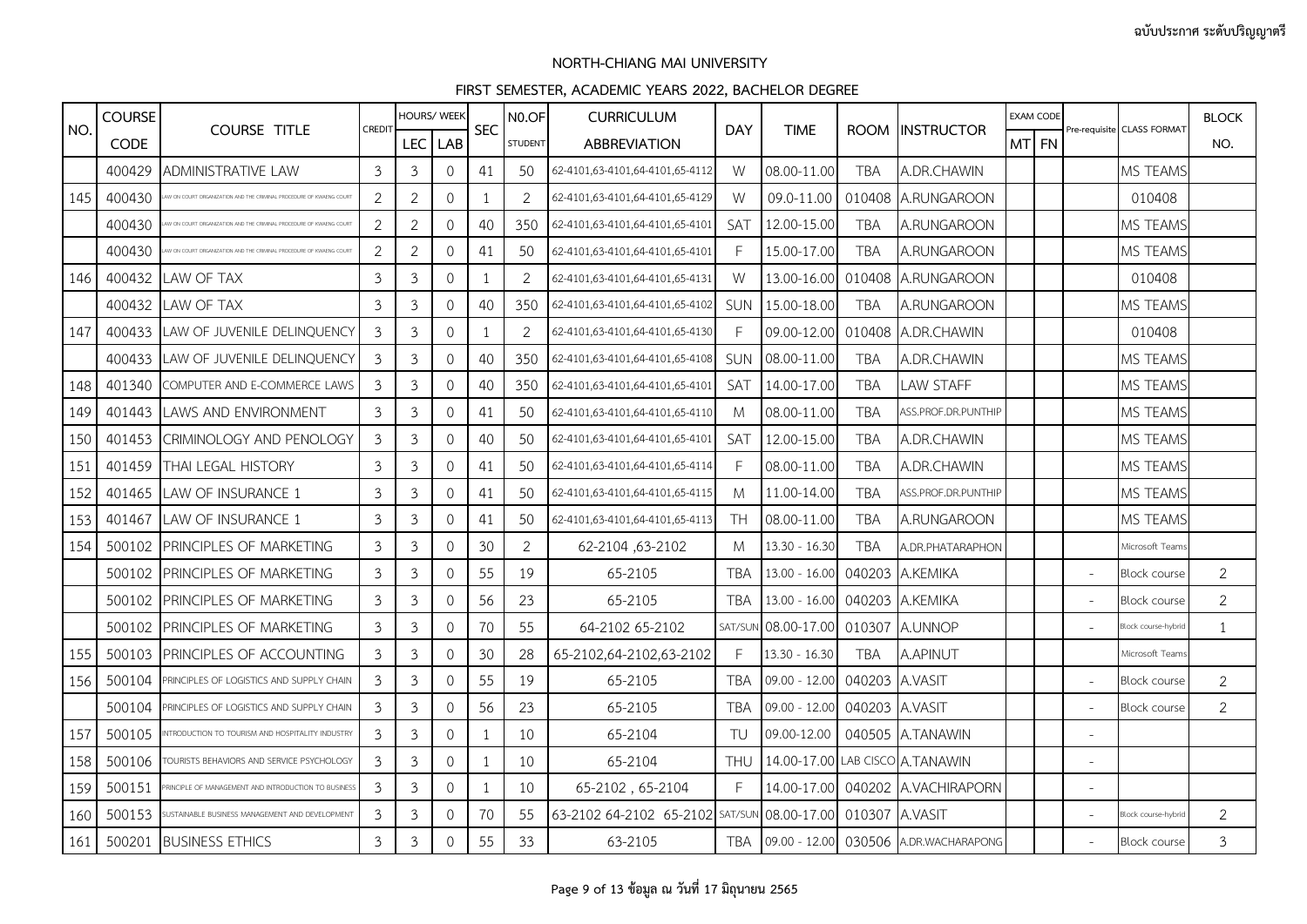|     | <b>COURSE</b> |                                                                   |                | HOURS/ WEEK    |                     | <b>SEC</b>   | N <sub>0.OF</sub> | <b>CURRICULUM</b>               |            |                 |                |                                       |       | <b>EXAM CODE</b> |                          |                            | <b>BLOCK</b>   |
|-----|---------------|-------------------------------------------------------------------|----------------|----------------|---------------------|--------------|-------------------|---------------------------------|------------|-----------------|----------------|---------------------------------------|-------|------------------|--------------------------|----------------------------|----------------|
| NO. | <b>CODE</b>   | <b>COURSE TITLE</b>                                               | <b>CREDIT</b>  | LEC.           | LAB                 |              | <b>STUDENT</b>    | <b>ABBREVIATION</b>             | <b>DAY</b> | <b>TIME</b>     |                | ROOM INSTRUCTOR                       | MT FN |                  |                          | Pre-requisite CLASS FORMAT | NO.            |
|     | 400429        | ADMINISTRATIVE LAW                                                | $\mathfrak{Z}$ | 3              | $\mathbf{0}$        | 41           | 50                | 62-4101,63-4101,64-4101,65-4112 | W          | 08.00-11.00     | <b>TBA</b>     | A.DR.CHAWIN                           |       |                  |                          | MS TEAMS                   |                |
| 145 | 400430        | V ON COURT ORGANIZATION AND THE CRIMINAL PROCEDURE OF KWAENG COUR | $\overline{2}$ | $\overline{2}$ | $\mathbf{0}$        | 1            | $\overline{2}$    | 62-4101,63-4101,64-4101,65-4129 | W          | 09.0-11.00      |                | 010408 A.RUNGAROON                    |       |                  |                          | 010408                     |                |
|     | 400430        | V ON COURT ORGANIZATION AND THE CRIMINAL PROCEDURE OF KWAENG COUR | $\overline{2}$ | $\overline{2}$ | $\circ$             | 40           | 350               | 62-4101,63-4101,64-4101,65-4101 | SAT        | 12.00-15.00     | <b>TBA</b>     | A.RUNGAROON                           |       |                  |                          | MS TEAMS                   |                |
|     | 400430        |                                                                   | $\overline{2}$ | 2              | $\mathbf{0}$        | 41           | 50                | 62-4101,63-4101,64-4101,65-4101 | F          | 15.00-17.00     | <b>TBA</b>     | A.RUNGAROON                           |       |                  |                          | MS TEAMS                   |                |
| 146 | 400432        | LAW OF TAX                                                        | 3              | 3              | $\mathbf{0}$        | $\mathbf{1}$ | 2                 | 62-4101,63-4101,64-4101,65-4131 | W          | 13.00-16.00     |                | 010408 A.RUNGAROON                    |       |                  |                          | 010408                     |                |
|     | 400432        | LAW OF TAX                                                        | $\mathfrak{Z}$ | 3              | $\mathsf{O}\xspace$ | 40           | 350               | 62-4101,63-4101,64-4101,65-4102 | <b>SUN</b> | 15.00-18.00     | <b>TBA</b>     | A.RUNGAROON                           |       |                  |                          | MS TEAMS                   |                |
| 147 | 400433        | LAW OF JUVENILE DELINQUENCY                                       | 3              | 3              | $\mathbf{0}$        | 1            | 2                 | 62-4101,63-4101,64-4101,65-4130 | F          | 09.00-12.00     |                | 010408 A.DR.CHAWIN                    |       |                  |                          | 010408                     |                |
|     | 400433        | LAW OF JUVENILE DELINQUENCY                                       | 3              | 3              | $\mathbf{0}$        | 40           | 350               | 62-4101,63-4101,64-4101,65-4108 | SUN        | 08.00-11.00     | <b>TBA</b>     | A.DR.CHAWIN                           |       |                  |                          | MS TEAMS                   |                |
| 148 | 401340        | COMPUTER AND E-COMMERCE LAWS                                      | 3              | 3              | $\circ$             | 40           | 350               | 62-4101,63-4101,64-4101,65-4101 | SAT        | 14.00-17.00     | <b>TBA</b>     | LAW STAFF                             |       |                  |                          | MS TEAMS                   |                |
| 149 | 401443        | LAWS AND ENVIRONMENT                                              | $\mathfrak{Z}$ | 3              | $\mathbf{0}$        | 41           | 50                | 62-4101,63-4101,64-4101,65-4110 | M          | 08.00-11.00     | TBA            | ASS.PROF.DR.PUNTHIP                   |       |                  |                          | MS TEAMS                   |                |
| 150 | 401453        | <b>CRIMINOLOGY AND PENOLOGY</b>                                   | 3              | 3              | $\mathbf{0}$        | 40           | 50                | 62-4101,63-4101,64-4101,65-4101 | <b>SAT</b> | 12.00-15.00     | <b>TBA</b>     | A.DR.CHAWIN                           |       |                  |                          | MS TEAMS                   |                |
| 151 | 401459        | THAI LEGAL HISTORY                                                | $\mathfrak{Z}$ | 3              | $\circ$             | 41           | 50                | 62-4101,63-4101,64-4101,65-4114 | F          | 08.00-11.00     | <b>TBA</b>     | A.DR.CHAWIN                           |       |                  |                          | MS TEAMS                   |                |
| 152 | 401465        | LAW OF INSURANCE 1                                                | $\overline{3}$ | 3              | $\mathbf{0}$        | 41           | 50                | 62-4101,63-4101,64-4101,65-4115 | M          | 11.00-14.00     | <b>TBA</b>     | ASS.PROF.DR.PUNTHIP                   |       |                  |                          | MS TEAMS                   |                |
| 153 | 401467        | LAW OF INSURANCE 1                                                | 3              | 3              | $\mathbf{0}$        | 41           | 50                | 62-4101,63-4101,64-4101,65-4113 | <b>TH</b>  | 08.00-11.00     | TBA            | A.RUNGAROON                           |       |                  |                          | MS TEAMS                   |                |
| 154 | 500102        | PRINCIPLES OF MARKETING                                           | $\mathfrak{Z}$ | 3              | $\mathbf 0$         | 30           | $\overline{2}$    | 62-2104,63-2102                 | M          | $13.30 - 16.30$ | <b>TBA</b>     | <b>A.DR.PHATARAPHON</b>               |       |                  |                          | Microsoft Teams            |                |
|     | 500102        | PRINCIPLES OF MARKETING                                           | $\overline{3}$ | 3              | $\mathbf 0$         | 55           | 19                | 65-2105                         | <b>TBA</b> | $13.00 - 16.00$ |                | 040203 A.KEMIKA                       |       |                  | $\overline{\phantom{a}}$ | <b>Block course</b>        | $\overline{2}$ |
|     | 500102        | PRINCIPLES OF MARKETING                                           | 3              | 3              | $\mathbf{0}$        | 56           | 23                | 65-2105                         | <b>TBA</b> | $13.00 - 16.00$ |                | 040203 A.KEMIKA                       |       |                  | $\sim$                   | <b>Block course</b>        | 2              |
|     | 500102        | PRINCIPLES OF MARKETING                                           | $\mathfrak{Z}$ | 3              | $\mathbf 0$         | 70           | 55                | 64-2102 65-2102                 | SAT/SUM    | 08.00-17.00     | 010307         | A.UNNOP                               |       |                  |                          | Block course-hybrid        | 1              |
| 155 | 500103        | PRINCIPLES OF ACCOUNTING                                          | 3              | 3              | $\mathbf 0$         | 30           | 28                | 65-2102,64-2102,63-2102         | E          | $13.30 - 16.30$ | <b>TBA</b>     | A.APINUT                              |       |                  |                          | Microsoft Teams            |                |
| 156 | 500104        | PRINCIPLES OF LOGISTICS AND SUPPLY CHAIN                          | 3              | 3              | $\mathbf 0$         | 55           | 19                | 65-2105                         | <b>TBA</b> | $09.00 - 12.00$ | 040203 A.VASIT |                                       |       |                  | $\sim$                   | <b>Block course</b>        | $\overline{2}$ |
|     | 500104        | PRINCIPLES OF LOGISTICS AND SUPPLY CHAIN                          | 3              | $\mathfrak{Z}$ | $\mathbf{0}$        | 56           | 23                | 65-2105                         | <b>TBA</b> | $09.00 - 12.00$ | 040203 A.VASIT |                                       |       |                  | $\overline{\phantom{a}}$ | <b>Block course</b>        | $\overline{2}$ |
| 157 | 500105        | <b>ITRODUCTION TO TOURISM AND HOSPITALITY INDUSTRY</b>            | $\overline{3}$ | 3              | $\mathbf 0$         | 1            | 10                | 65-2104                         | TU         | 09.00-12.00     |                | 040505 A.TANAWIN                      |       |                  | $\overline{\phantom{m}}$ |                            |                |
| 158 | 500106        | TOURISTS BEHAVIORS AND SERVICE PSYCHOLOGY                         | 3              | 3              | $\mathbf 0$         | $\mathbf{1}$ | 10                | 65-2104                         | <b>THU</b> |                 |                | 14.00-17.00 LAB CISCO A.TANAWIN       |       |                  | $\overline{\phantom{a}}$ |                            |                |
| 159 | 500151        | RINCIPLE OF MANAGEMENT AND INTRODUCTION TO BUSINESS               | 3              | $\mathfrak{Z}$ | $\mathbf{0}$        | 1            | 10                | 65-2102, 65-2104                | F          |                 |                | 14.00-17.00 040202 A.VACHIRAPORN      |       |                  | $\overline{\phantom{a}}$ |                            |                |
| 160 | 500153        | USTAINABLE BUSINESS MANAGEMENT AND DEVELOPMENT                    | $\overline{3}$ | 3              | $\mathbf 0$         | 70           | 55                | 63-2102 64-2102 65-2102 SAT/SUN |            | 08.00-17.00     | 010307 A.VASIT |                                       |       |                  | $\overline{\phantom{m}}$ | Block course-hybrid        | $\overline{2}$ |
| 161 | 500201        | <b>BUSINESS ETHICS</b>                                            | $\mathfrak{Z}$ | 3              | $\mathsf{O}\xspace$ | 55           | 33                | 63-2105                         | TBA        |                 |                | 09.00 - 12.00 030506 A.DR.WACHARAPONG |       |                  |                          | <b>Block course</b>        | $\mathfrak{Z}$ |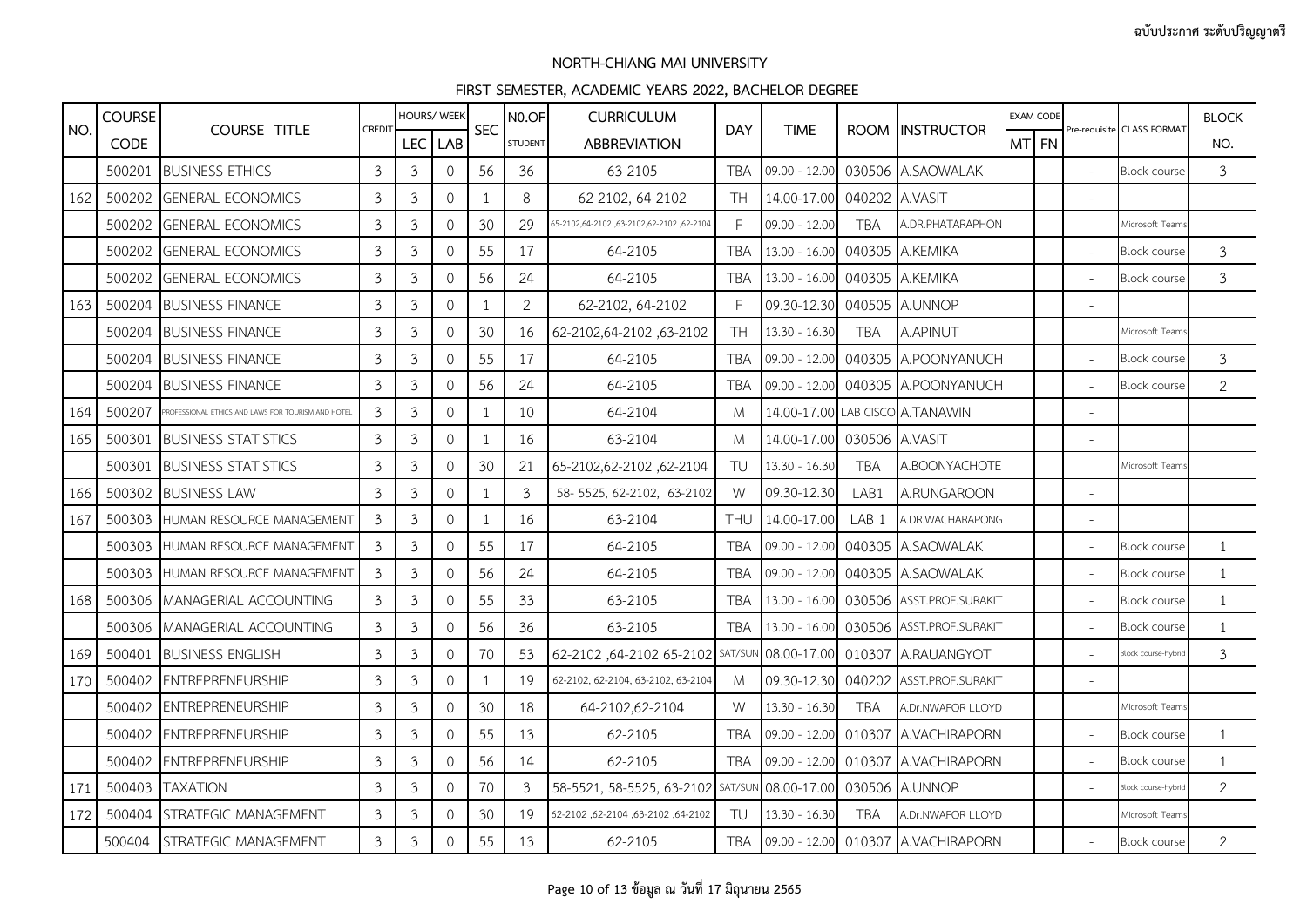|     | <b>COURSE</b> |                                                    |                |                | <b>HOURS/ WEEK</b>  |              | N <sub>0.OF</sub> | <b>CURRICULUM</b>                              |            |                      |                  |                                 | <b>EXAM CODE</b> |       |                |                            | <b>BLOCK</b>   |
|-----|---------------|----------------------------------------------------|----------------|----------------|---------------------|--------------|-------------------|------------------------------------------------|------------|----------------------|------------------|---------------------------------|------------------|-------|----------------|----------------------------|----------------|
| NO. | <b>CODE</b>   | <b>COURSE TITLE</b>                                | CREDIT         |                | LEC LAB             | <b>SEC</b>   | <b>STUDENT</b>    | <b>ABBREVIATION</b>                            | <b>DAY</b> | <b>TIME</b>          | <b>ROOM</b>      | <b>INSTRUCTOR</b>               |                  | MT FN |                | Pre-requisite CLASS FORMAT | NO.            |
|     | 500201        | <b>BUSINESS ETHICS</b>                             | $\mathfrak{Z}$ | $\overline{3}$ | $\mathbf 0$         | 56           | 36                | 63-2105                                        | <b>TBA</b> | $09.00 - 12.00$      | 030506           | A.SAOWALAK                      |                  |       |                | <b>Block course</b>        | $\mathfrak{Z}$ |
| 162 | 500202        | <b>GENERAL ECONOMICS</b>                           | 3              | 3              | $\mathbf{0}$        |              | 8                 | 62-2102, 64-2102                               | <b>TH</b>  | 14.00-17.00          | 040202           | A.VASIT                         |                  |       |                |                            |                |
|     | 500202        | <b>GENERAL ECONOMICS</b>                           | 3              | $\mathfrak{Z}$ | $\Omega$            | 30           | 29                | 62-2102, 2102, 2102, 2102, 2102, 2102, 25-2102 | F          | $09.00 - 12.00$      | <b>TBA</b>       | A.DR.PHATARAPHON                |                  |       |                | Microsoft Team:            |                |
|     | 500202        | <b>GENERAL ECONOMICS</b>                           | $\mathfrak{Z}$ | $\mathfrak{Z}$ | $\mathsf{O}\xspace$ | 55           | 17                | 64-2105                                        | <b>TBA</b> | $13.00 - 16.00$      | 040305           | A.KEMIKA                        |                  |       | $\overline{a}$ | <b>Block course</b>        | $\mathfrak{Z}$ |
|     | 500202        | <b>GENERAL ECONOMICS</b>                           | 3              | 3              | $\mathbf{0}$        | 56           | 24                | 64-2105                                        | <b>TBA</b> | $13.00 - 16.00$      | 040305           | A.KEMIKA                        |                  |       | $\sim$         | <b>Block course</b>        | 3              |
| 163 | 500204        | <b>BUSINESS FINANCE</b>                            | 3              | 3              | $\Omega$            | $\mathbf{1}$ | $\overline{2}$    | 62-2102, 64-2102                               | F          | 09.30-12.30          | 040505           | A.UNNOP                         |                  |       |                |                            |                |
|     | 500204        | <b>BUSINESS FINANCE</b>                            | $\mathfrak{Z}$ | $\mathfrak{Z}$ | $\mathsf{O}\xspace$ | 30           | 16                | 62-2102,64-2102,63-2102                        | <b>TH</b>  | $13.30 - 16.30$      | <b>TBA</b>       | A.APINUT                        |                  |       |                | Microsoft Team:            |                |
|     | 500204        | <b>BUSINESS FINANCE</b>                            | 3              | 3              | $\mathbf{0}$        | 55           | 17                | 64-2105                                        | <b>TBA</b> | $09.00 - 12.00$      | 040305           | A.POONYANUCH                    |                  |       | $\sim$         | <b>Block course</b>        | 3              |
|     | 500204        | <b>BUSINESS FINANCE</b>                            | $\mathfrak{Z}$ | $\mathfrak{Z}$ | $\mathbf{0}$        | 56           | 24                | 64-2105                                        | <b>TBA</b> | $09.00 - 12.00$      | 040305           | A.POONYANUCH                    |                  |       |                | <b>Block course</b>        | $\overline{2}$ |
| 164 | 500207        | PROFESSIONAL ETHICS AND LAWS FOR TOURISM AND HOTEL | 3              | $\mathfrak{Z}$ | $\mathsf{O}\xspace$ | $\mathbf{1}$ | 10                | 64-2104                                        | M          |                      |                  | 14.00-17.00 LAB CISCO A.TANAWIN |                  |       |                |                            |                |
| 165 | 500301        | <b>BUSINESS STATISTICS</b>                         | $\mathfrak{Z}$ | $\mathfrak{Z}$ | $\mathbf{0}$        | 1            | 16                | 63-2104                                        | M          | 14.00-17.00          | 030506           | A.VASIT                         |                  |       |                |                            |                |
|     | 500301        | <b>BUSINESS STATISTICS</b>                         | 3              | $\mathfrak{Z}$ | $\mathbf{0}$        | 30           | 21                | 65-2102,62-2102,62-2104                        | TU         | $13.30 - 16.30$      | <b>TBA</b>       | A.BOONYACHOTE                   |                  |       |                | Microsoft Teams            |                |
| 166 | 500302        | <b>BUSINESS LAW</b>                                | $\mathfrak{Z}$ | $\mathfrak{Z}$ | 0                   | 1            | $\mathfrak{Z}$    | 58-5525, 62-2102, 63-2102                      | W          | 09.30-12.30          | LAB1             | A.RUNGAROON                     |                  |       |                |                            |                |
| 167 | 500303        | HUMAN RESOURCE MANAGEMENT                          | $\mathfrak{Z}$ | $\mathfrak{Z}$ | $\mathbf{0}$        | 1            | 16                | 63-2104                                        | <b>THU</b> | 14.00-17.00          | LAB <sub>1</sub> | A.DR.WACHARAPONG                |                  |       |                |                            |                |
|     | 500303        | HUMAN RESOURCE MANAGEMENT                          | 3              | 3              | $\Omega$            | 55           | 17                | 64-2105                                        | <b>TBA</b> | 09.00 - 12.00        | 040305           | A.SAOWALAK                      |                  |       |                | <b>Block course</b>        | $\mathbf{1}$   |
|     | 500303        | HUMAN RESOURCE MANAGEMENT                          | 3              | 3              | $\mathbf 0$         | 56           | 24                | 64-2105                                        | <b>TBA</b> | 09.00 - 12.00        | 040305           | A.SAOWALAK                      |                  |       |                | <b>Block course</b>        | 1              |
| 168 | 500306        | MANAGERIAL ACCOUNTING                              | $\mathfrak{Z}$ | $\mathfrak{Z}$ | $\mathbf 0$         | 55           | 33                | 63-2105                                        | <b>TBA</b> | $13.00 - 16.00$      | 030506           | ASST.PROF.SURAKIT               |                  |       | $\sim$         | <b>Block course</b>        | $\mathbf{1}$   |
|     | 500306        | MANAGERIAL ACCOUNTING                              | 3              | 3              | $\Omega$            | 56           | 36                | 63-2105                                        | <b>TBA</b> | $13.00 - 16.00$      | 030506           | ASST.PROF.SURAKIT               |                  |       |                | <b>Block course</b>        | $\mathbf{1}$   |
| 169 | 500401        | <b>BUSINESS ENGLISH</b>                            | 3              | 3              | $\circ$             | 70           | 53                | 62-2102,64-2102 65-2102 SAT/SUN                |            | 08.00-17.00          | 010307           | A.RAUANGYOT                     |                  |       |                | Block course-hybric        | 3              |
| 170 | 500402        | <b>ENTREPRENEURSHIP</b>                            | $\mathfrak{Z}$ | $\mathfrak{Z}$ | $\mathbf 0$         | 1            | 19                | 62-2102, 62-2104, 63-2102, 63-2104             | M          | 09.30-12.30          | 040202           | ASST.PROF.SURAKIT               |                  |       |                |                            |                |
|     | 500402        | <b>ENTREPRENEURSHIP</b>                            | 3              | 3              | $\Omega$            | 30           | 18                | 64-2102,62-2104                                | W          | $13.30 - 16.30$      | <b>TBA</b>       | A.Dr.NWAFOR LLOYD               |                  |       |                | Microsoft Teams            |                |
|     | 500402        | <b>ENTREPRENEURSHIP</b>                            | 3              | 3              | $\mathbf 0$         | 55           | 13                | 62-2105                                        | <b>TBA</b> | $09.00 - 12.00$      | 010307           | A.VACHIRAPORN                   |                  |       |                | <b>Block course</b>        | 1              |
|     | 500402        | <b>ENTREPRENEURSHIP</b>                            | $\mathfrak{Z}$ | $\mathfrak{Z}$ | $\mathbf 0$         | 56           | 14                | 62-2105                                        | <b>TBA</b> | 09.00 - 12.00        | 010307           | A.VACHIRAPORN                   |                  |       |                | <b>Block course</b>        | 1              |
| 171 | 500403        | <b>TAXATION</b>                                    | 3              | 3              | $\Omega$            | 70           | 3                 | 58-5521, 58-5525, 63-2102 SAT/SUN              |            | 08.00-17.00          | 030506           | A.UNNOP                         |                  |       |                | Block course-hybric        | $\overline{2}$ |
| 172 | 500404        | STRATEGIC MANAGEMENT                               | 3              | 3              | $\mathbf{0}$        | 30           | 19                | 62-2102, 62-2104, 63-2104, 62-2102             | TU         | $13.30 - 16.30$      | <b>TBA</b>       | A.Dr.NWAFOR LLOYD               |                  |       |                | Microsoft Team             |                |
|     | 500404        | STRATEGIC MANAGEMENT                               | $\mathfrak{Z}$ | $\mathfrak{Z}$ | $\mathbf 0$         | 55           | 13                | 62-2105                                        | <b>TBA</b> | 09.00 - 12.00 010307 |                  | A.VACHIRAPORN                   |                  |       |                | Block course               | $\overline{2}$ |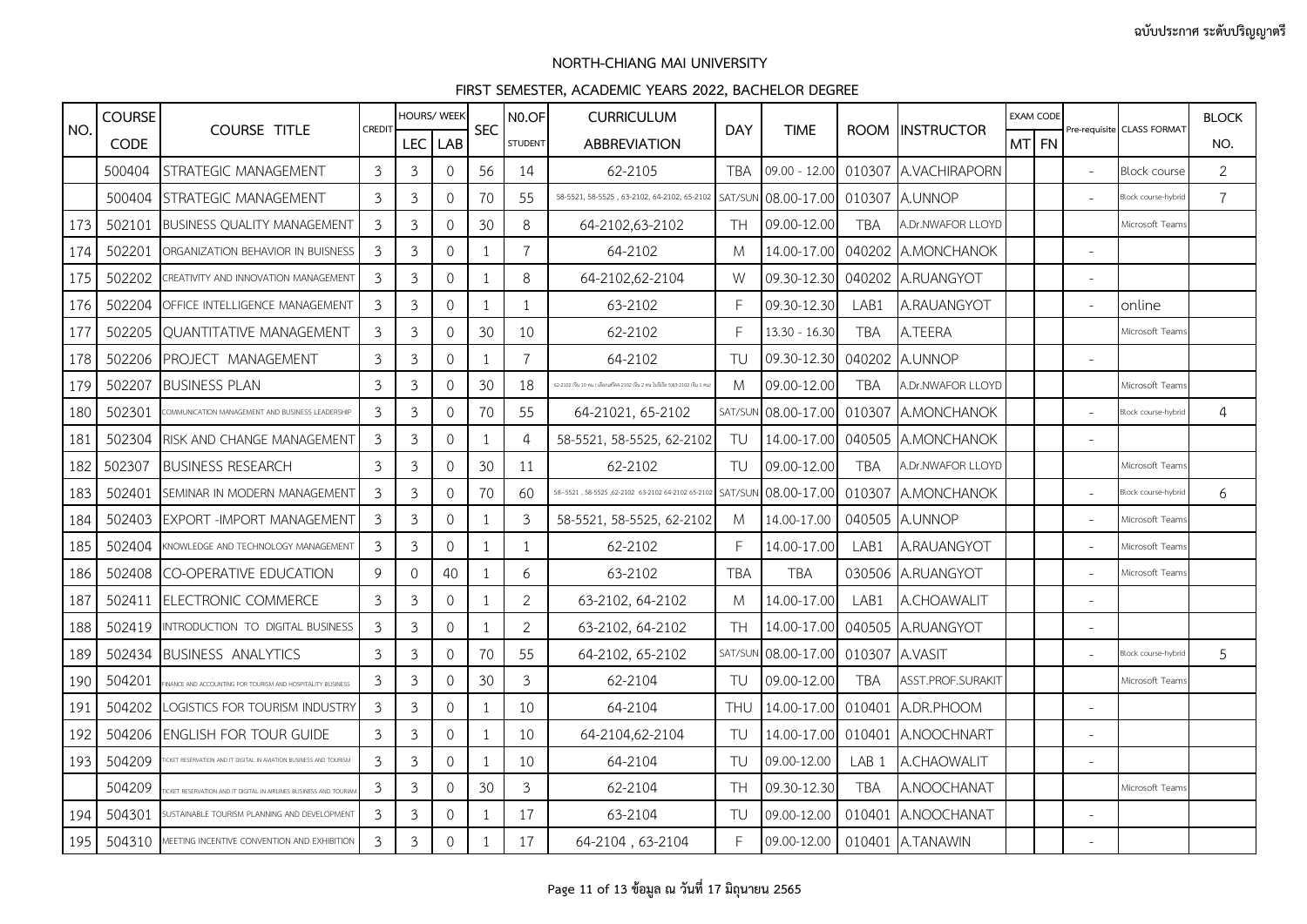|     | <b>COURSE</b> |                                                                 |                | <b>HOURS/ WEEK</b> |                     |                          | N <sub>0.OF</sub> | <b>CURRICULUM</b>                                                             |            |                 |                  |                              | <b>EXAM CODE</b> |  |                          |                            | <b>BLOCK</b>   |
|-----|---------------|-----------------------------------------------------------------|----------------|--------------------|---------------------|--------------------------|-------------------|-------------------------------------------------------------------------------|------------|-----------------|------------------|------------------------------|------------------|--|--------------------------|----------------------------|----------------|
| NO. | <b>CODE</b>   | <b>COURSE TITLE</b>                                             | <b>CREDIT</b>  | LEC <sup>I</sup>   | LAB                 | <b>SEC</b>               | <b>STUDENT</b>    | <b>ABBREVIATION</b>                                                           | <b>DAY</b> | <b>TIME</b>     |                  | ROOM INSTRUCTOR              | MT FN            |  |                          | Pre-requisite CLASS FORMAT | NO.            |
|     | 500404        | STRATEGIC MANAGEMENT                                            | 3              | 3                  | $\mathbf{O}$        | 56                       | 14                | 62-2105                                                                       | TBA        | $09.00 - 12.00$ |                  | 010307 A.VACHIRAPORN         |                  |  | $\mathbb{L}$             | <b>Block course</b>        | $\overline{2}$ |
|     | 500404        | STRATEGIC MANAGEMENT                                            | 3              | 3                  | $\mathbf{O}$        | 70                       | 55                | 58-5521, 58-5525, 63-2102, 64-2102, 65-2102                                   | SAT/SUM    | 08.00-17.00     |                  | 010307 A.UNNOP               |                  |  | $\sim$                   | Block course-hybric        | $\overline{7}$ |
| 173 | 502101        | <b>BUSINESS QUALITY MANAGEMENT</b>                              | 3              | 3                  | $\mathbf{O}$        | 30                       | 8                 | 64-2102,63-2102                                                               | TH.        | 09.00-12.00     | <b>TBA</b>       | A.Dr.NWAFOR LLOYD            |                  |  |                          | Microsoft Teams            |                |
| 174 | 502201        | ORGANIZATION BEHAVIOR IN BUISNESS                               | 3              | $\mathfrak{Z}$     | $\mathbf{O}$        | -1                       | $\overline{7}$    | 64-2102                                                                       | M          | 14.00-17.00     |                  | 040202 A.MONCHANOK           |                  |  | ÷                        |                            |                |
| 175 | 502202        | CREATIVITY AND INNOVATION MANAGEMENT                            | 3              | 3                  | $\circ$             | -1                       | 8                 | 64-2102,62-2104                                                               | W          | 09.30-12.30     |                  | 040202 A.RUANGYOT            |                  |  | $\overline{a}$           |                            |                |
| 176 | 502204        | OFFICE INTELLIGENCE MANAGEMENT                                  | 3              | 3                  | $\circ$             | -1                       | $\mathbf{1}$      | 63-2102                                                                       | F          | 09.30-12.30     | LAB1             | A.RAUANGYOT                  |                  |  | $\overline{\phantom{a}}$ | online                     |                |
| 177 | 502205        | OUANTITATIVE MANAGEMENT                                         | 3              | 3                  | $\mathbf{O}$        | 30                       | 10                | 62-2102                                                                       | F          | $13.30 - 16.30$ | <b>TBA</b>       | A.TEERA                      |                  |  |                          | Microsoft Team             |                |
| 178 | 502206        | PROJECT MANAGEMENT                                              | 3              | $\mathfrak{Z}$     | 0                   | - 1                      | $\overline{7}$    | 64-2102                                                                       | TU         | 09.30-12.30     | 040202           | A.UNNOP                      |                  |  |                          |                            |                |
| 179 | 502207        | <b>BUSINESS PLAN</b>                                            | 3              | 3                  | $\circ$             | 30                       | 18                | 62-2102 (ซีน 10 คน ) เลือกเสรี64-2102 (ซีน 2 คน ในซีเรีย 5)63-2102 (ซีน 1 คน) | M          | 09.00-12.00     | <b>TBA</b>       | A.Dr.NWAFOR LLOYD            |                  |  |                          | Microsoft Team             |                |
| 180 | 502301        | COMMUNICATION MANAGEMENT AND BUSINESS LEADERSHIP                | 3              | 3                  | $\mathbf{O}$        | 70                       | 55                | 64-21021, 65-2102                                                             | SAT/SUI    | 08.00-17.00     |                  | 010307 A.MONCHANOK           |                  |  |                          | Block course-hybric        | $\overline{a}$ |
| 181 | 502304        | RISK AND CHANGE MANAGEMENT                                      | $\mathfrak{Z}$ | $\mathfrak{Z}$     | $\mathsf{O}\xspace$ | -1                       | $\overline{4}$    | 58-5521, 58-5525, 62-2102                                                     | TU         | 14.00-17.00     | 040505           | A.MONCHANOK                  |                  |  |                          |                            |                |
| 182 | 502307        | <b>BUSINESS RESEARCH</b>                                        | 3              | 3                  | $\circ$             | 30                       | 11                | 62-2102                                                                       | TU         | 09.00-12.00     | <b>TBA</b>       | A.Dr.NWAFOR LLOYD            |                  |  |                          | Microsoft Team             |                |
| 183 | 502401        | SEMINAR IN MODERN MANAGEMENT                                    | 3              | 3                  | 0                   | 70                       | 60                | 58-5521, 58-5525, 62-2102 63-2102 64-2102 65-2102                             | SAT/SUI    | 08.00-17.00     | 010307           | <b>A.MONCHANOK</b>           |                  |  | $\overline{a}$           | Block course-hybric        | 6              |
| 184 | 502403        | <b>EXPORT -IMPORT MANAGEMENT</b>                                | 3              | $\mathfrak{Z}$     | $\Omega$            | -1                       | $\mathfrak{Z}$    | 58-5521, 58-5525, 62-2102                                                     | M          | 14.00-17.00     |                  | 040505 A.UNNOP               |                  |  | $\overline{a}$           | Microsoft Team:            |                |
| 185 | 502404        | KNOWLEDGE AND TECHNOLOGY MANAGEMENT                             | 3              | 3                  | $\Omega$            |                          | $\mathbf{1}$      | 62-2102                                                                       | F          | 14.00-17.00     | LAB1             | A.RAUANGYOT                  |                  |  | $\sim$                   | Microsoft Team:            |                |
| 186 | 502408        | CO-OPERATIVE EDUCATION                                          | 9              | 0                  | 40                  | $\mathbf{1}$             | 6                 | 63-2102                                                                       | TBA        | <b>TBA</b>      |                  | 030506 A.RUANGYOT            |                  |  | $\sim$                   | Microsoft Team:            |                |
| 187 | 502411        | ELECTRONIC COMMERCE                                             | 3              | 3                  | $\mathbf{O}$        | $\mathbf{1}$             | $\overline{2}$    | 63-2102, 64-2102                                                              | M          | 14.00-17.00     | LAB1             | A.CHOAWALIT                  |                  |  | $\overline{a}$           |                            |                |
| 188 | 502419        | INTRODUCTION TO DIGITAL BUSINESS                                | 3              | 3                  | $\mathbf{O}$        | -1                       | $\overline{2}$    | 63-2102, 64-2102                                                              | <b>TH</b>  | 14.00-17.00     | 040505           | A.RUANGYOT                   |                  |  | $\overline{a}$           |                            |                |
| 189 | 502434        | <b>BUSINESS ANALYTICS</b>                                       | 3              | 3                  | 0                   | 70                       | 55                | 64-2102, 65-2102                                                              | SAT/SUM    | 08.00-17.00     | 010307           | A.VASIT                      |                  |  |                          | Block course-hybric        | $\overline{5}$ |
| 190 | 504201        | NANCE AND ACCOUNTING FOR TOURISM AND HOSPITALITY BUSINESS       | 3              | 3                  | $\Omega$            | 30                       | $\mathbf{3}$      | 62-2104                                                                       | TU         | 09.00-12.00     | <b>TBA</b>       | ASST.PROF.SURAKIT            |                  |  |                          | Microsoft Teams            |                |
| 191 | 504202        | LOGISTICS FOR TOURISM INDUSTRY                                  | 3              | 3                  | $\Omega$            | -1                       | 10                | 64-2104                                                                       | <b>THU</b> | 14.00-17.00     |                  | 010401 A.DR.PHOOM            |                  |  | $\overline{a}$           |                            |                |
| 192 | 504206        | ENGLISH FOR TOUR GUIDE                                          | 3              | $\mathfrak{Z}$     | 0                   | $\mathbf{1}$             | 10                | 64-2104,62-2104                                                               | TU         | 14.00-17.00     | 010401           | A.NOOCHNART                  |                  |  |                          |                            |                |
| 193 | 504209        |                                                                 | 3              | 3                  | $\Omega$            | $\overline{\phantom{a}}$ | 10                | 64-2104                                                                       | TU         | 09.00-12.00     | LAB <sub>1</sub> | A.CHAOWALIT                  |                  |  | $\overline{a}$           |                            |                |
|     | 504209        | CKET RESERVATION AND IT DIGITAL IN AIRLINES BUSINESS AND TOURIA | 3              | 3                  | $\mathbf{O}$        | 30                       | 3                 | 62-2104                                                                       | <b>TH</b>  | 09.30-12.30     | <b>TBA</b>       | A.NOOCHANAT                  |                  |  |                          | Microsoft Teams            |                |
| 194 | 504301        | USTAINABLE TOURISM PLANNING AND DEVELOPMENT                     | 3              | 3                  | 0                   | -1                       | 17                | 63-2104                                                                       | TU         | 09.00-12.00     | 010401           | A.NOOCHANAT                  |                  |  |                          |                            |                |
| 195 | 504310        | MEETING INCENTIVE CONVENTION AND EXHIBITION                     | 3              | $\mathfrak{Z}$     | 0                   | 1                        | 17                | 64-2104, 63-2104                                                              | F          |                 |                  | 09.00-12.00 010401 A.TANAWIN |                  |  |                          |                            |                |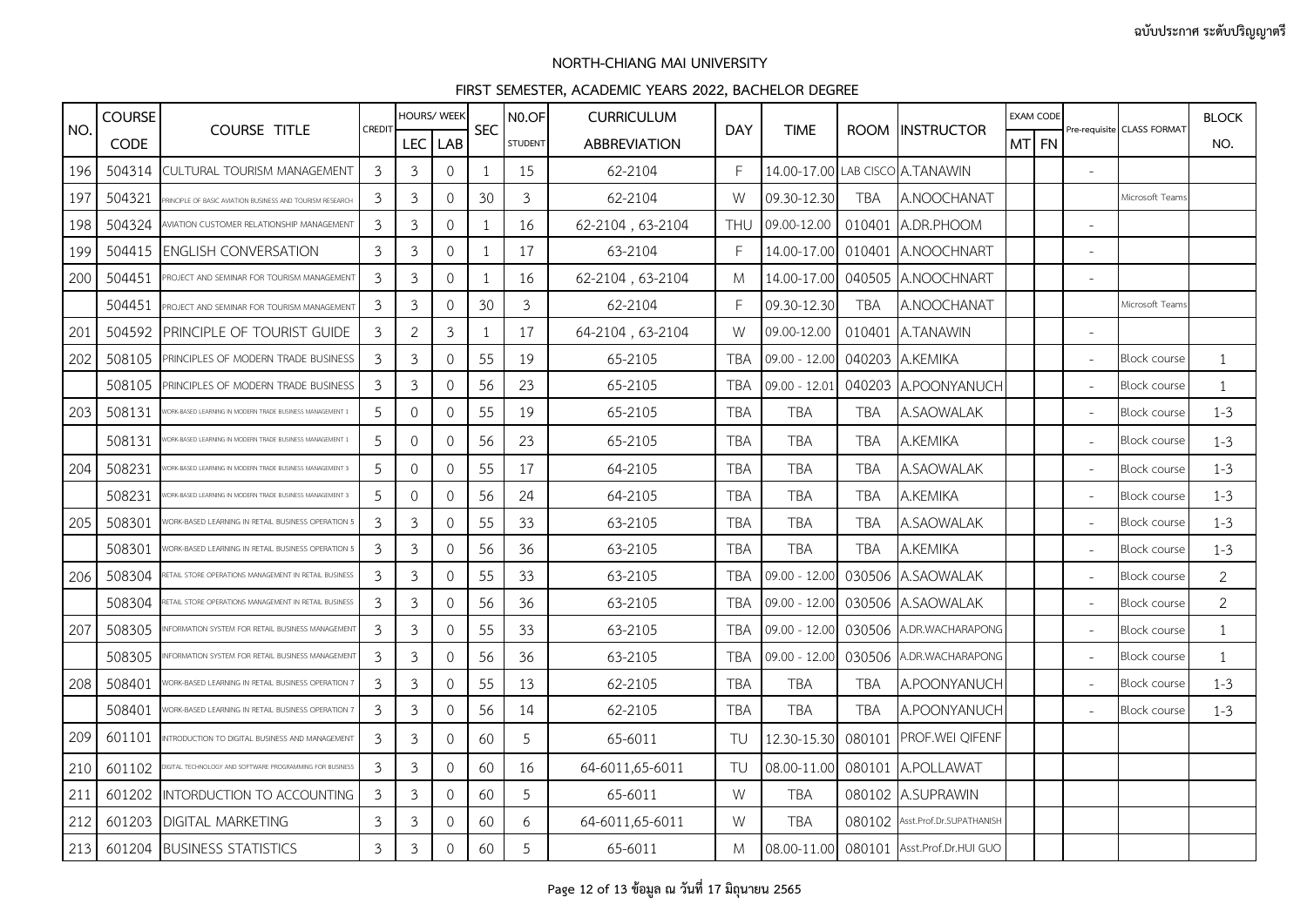|     | <b>COURSE</b> |                                                          |                | <b>HOURS/ WEEK</b> |                     |              | N <sub>0.OF</sub> | <b>CURRICULUM</b>   |            |                 |            |                                         | <b>EXAM CODE</b> |  |                          |                            | <b>BLOCK</b>   |
|-----|---------------|----------------------------------------------------------|----------------|--------------------|---------------------|--------------|-------------------|---------------------|------------|-----------------|------------|-----------------------------------------|------------------|--|--------------------------|----------------------------|----------------|
| NO. | <b>CODE</b>   | <b>COURSE TITLE</b>                                      | <b>CREDIT</b>  | LEC <sup>I</sup>   | <b>LAB</b>          | <b>SEC</b>   | <b>STUDENT</b>    | <b>ABBREVIATION</b> | <b>DAY</b> | <b>TIME</b>     |            | ROOM INSTRUCTOR                         | MT FN            |  |                          | Pre-requisite CLASS FORMAT | NO.            |
| 196 | 504314        | CULTURAL TOURISM MANAGEMENT                              | 3              | 3                  | $\mathcal{O}$       | 1            | 15                | 62-2104             | F          |                 |            | 14.00-17.00 LAB CISCO A.TANAWIN         |                  |  | $\overline{\phantom{a}}$ |                            |                |
| 197 | 504321        | RINCIPLE OF BASIC AVIATION BUSINESS AND TOURISM RESEARCH | 3              | 3                  | $\mathcal{O}$       | 30           | $\mathfrak{Z}$    | 62-2104             | W          | 09.30-12.30     | <b>TBA</b> | A.NOOCHANAT                             |                  |  |                          | Microsoft Teams            |                |
| 198 | 504324        | AVIATION CUSTOMER RELATIONSHIP MANAGEMENT                | 3              | $\mathfrak{Z}$     | 0                   |              | 16                | 62-2104, 63-2104    | <b>THU</b> | 09.00-12.00     |            | 010401 A.DR.PHOOM                       |                  |  | $\overline{\phantom{0}}$ |                            |                |
| 199 | 504415        | <b>ENGLISH CONVERSATION</b>                              | 3              | $\mathfrak{Z}$     | 0                   | 1            | 17                | 63-2104             | F          | 14.00-17.00     |            | 010401 A.NOOCHNART                      |                  |  | $\overline{a}$           |                            |                |
| 200 | 504451        | ROJECT AND SEMINAR FOR TOURISM MANAGEMENT                | 3              | 3                  | $\Omega$            |              | 16                | 62-2104, 63-2104    | M          | 14.00-17.00     |            | 040505 A.NOOCHNART                      |                  |  | $\sim$                   |                            |                |
|     | 504451        | PROJECT AND SEMINAR FOR TOURISM MANAGEMENT               | 3              | 3                  | 0                   | 30           | 3                 | 62-2104             | F          | 09.30-12.30     | <b>TBA</b> | A.NOOCHANAT                             |                  |  |                          | Microsoft Team             |                |
| 201 | 504592        | PRINCIPLE OF TOURIST GUIDE                               | 3              | $\overline{2}$     | $\mathfrak{Z}$      | $\mathbf{1}$ | 17                | 64-2104, 63-2104    | W          | 09.00-12.00     | 010401     | A.TANAWIN                               |                  |  |                          |                            |                |
| 202 | 508105        | PRINCIPLES OF MODERN TRADE BUSINESS                      | 3              | 3                  | $\circ$             | 55           | 19                | 65-2105             | <b>TBA</b> | $09.00 - 12.00$ |            | 040203 A.KEMIKA                         |                  |  | $\sim$                   | <b>Block course</b>        | $\mathbf{1}$   |
|     | 508105        | PRINCIPLES OF MODERN TRADE BUSINESS                      | 3              | 3                  | 0                   | 56           | 23                | 65-2105             | TBA        | $09.00 - 12.01$ |            | 040203 A.POONYANUCH                     |                  |  | $\sim$                   | <b>Block course</b>        | 1              |
| 203 | 508131        | ORK-BASED LEARNING IN MODERN TRADE BUSINESS MANAGEMENT ! | 5              | $\circ$            | $\mathbf 0$         | 55           | 19                | 65-2105             | <b>TBA</b> | <b>TBA</b>      | <b>TBA</b> | A.SAOWALAK                              |                  |  | $\sim$                   | Block course               | $1 - 3$        |
|     | 508131        | ORK-BASED LEARNING IN MODERN TRADE BUSINESS MANAGEMENT   | 5              | 0                  | $\mathbf{0}$        | 56           | 23                | 65-2105             | <b>TBA</b> | <b>TBA</b>      | <b>TBA</b> | A.KEMIKA                                |                  |  | $\sim$                   | <b>Block course</b>        | $1 - 3$        |
| 204 | 508231        |                                                          | 5              | $\circ$            | $\mathsf{O}\xspace$ | 55           | 17                | 64-2105             | <b>TBA</b> | <b>TBA</b>      | <b>TBA</b> | A.SAOWALAK                              |                  |  | $\overline{\phantom{a}}$ | Block course               | $1 - 3$        |
|     | 508231        | ORK-BASED LEARNING IN MODERN TRADE BUSINESS MANAGEMENT   | 5              | $\mathcal{O}$      | $\mathcal{O}$       | 56           | 24                | 64-2105             | <b>TBA</b> | <b>TBA</b>      | <b>TBA</b> | A.KEMIKA                                |                  |  | $\sim$                   | <b>Block course</b>        | $1 - 3$        |
| 205 | 508301        | /ORK-BASED LEARNING IN RETAIL BUSINESS OPERATION 5       | 3              | 3                  | $\mathbf{O}$        | 55           | 33                | 63-2105             | TBA        | <b>TBA</b>      | <b>TBA</b> | A.SAOWALAK                              |                  |  | $\overline{\phantom{a}}$ | <b>Block course</b>        | $1 - 3$        |
|     | 508301        | ORK-BASED LEARNING IN RETAIL BUSINESS OPERATION          | 3              | 3                  | $\mathbf{0}$        | 56           | 36                | 63-2105             | <b>TBA</b> | <b>TBA</b>      | <b>TBA</b> | A.KEMIKA                                |                  |  | $\overline{\phantom{a}}$ | <b>Block course</b>        | $1 - 3$        |
| 206 | 508304        | ETAIL STORE OPERATIONS MANAGEMENT IN RETAIL BUSINES      | 3              | 3                  | $\circ$             | 55           | 33                | 63-2105             | TBA        | 09.00 - 12.00   | 030506     | A.SAOWALAK                              |                  |  | $\overline{\phantom{a}}$ | <b>Block course</b>        | $\overline{2}$ |
|     | 508304        | ETAIL STORE OPERATIONS MANAGEMENT IN RETAIL BUSINES:     | 3              | 3                  | $\Omega$            | 56           | 36                | 63-2105             | <b>TBA</b> | 09.00 - 12.00   |            | 030506 A.SAOWALAK                       |                  |  | $\overline{\phantom{a}}$ | <b>Block course</b>        | $\overline{2}$ |
| 207 | 508305        | IFORMATION SYSTEM FOR RETAIL BUSINESS MANAGEMENT         | 3              | 3                  | 0                   | 55           | 33                | 63-2105             | TBA        | 09.00 - 12.00   | 030506     | A.DR.WACHARAPONG                        |                  |  | $\sim$                   | <b>Block course</b>        | $\mathbf{1}$   |
|     | 508305        | IFORMATION SYSTEM FOR RETAIL BUSINESS MANAGEMENT         | 3              | $\mathfrak{Z}$     | 0                   | 56           | 36                | 63-2105             | TBA        | $09.00 - 12.00$ |            | 030506 A.DR.WACHARAPONG                 |                  |  | $\overline{a}$           | <b>Block course</b>        | $\mathbf{1}$   |
| 208 | 508401        | /ORK-BASED LEARNING IN RETAIL BUSINESS OPERATION         | 3              | 3                  | $\Omega$            | 55           | 13                | 62-2105             | TBA        | <b>TBA</b>      | <b>TBA</b> | A.POONYANUCH                            |                  |  | $\sim$                   | <b>Block course</b>        | $1 - 3$        |
|     | 508401        | ORK-BASED LEARNING IN RETAIL BUSINESS OPERATION          | 3              | $\mathfrak{Z}$     | $\mathsf{O}\xspace$ | 56           | 14                | 62-2105             | <b>TBA</b> | <b>TBA</b>      | <b>TBA</b> | A.POONYANUCH                            |                  |  |                          | <b>Block course</b>        | $1 - 3$        |
| 209 | 601101        | NTRODUCTION TO DIGITAL BUSINESS AND MANAGEMENT           | 3              | $\mathfrak{Z}$     | 0                   | 60           | 5                 | 65-6011             | TU         | 12.30-15.30     |            | 080101 PROF.WEI QIFENF                  |                  |  |                          |                            |                |
| 210 | 601102        | GITAL TECHNOLOGY AND SOFTWARE PROGRAMMING FOR BUSINESS   | 3              | $\mathfrak{Z}$     | $\mathbf{O}$        | 60           | 16                | 64-6011,65-6011     | TU         | 08.00-11.00     | 080101     | A.POLLAWAT                              |                  |  |                          |                            |                |
| 211 | 601202        | INTORDUCTION TO ACCOUNTING                               | 3              | 3                  | $\mathbf{O}$        | 60           | 5                 | 65-6011             | W          | <b>TBA</b>      |            | 080102 A.SUPRAWIN                       |                  |  |                          |                            |                |
| 212 | 601203        | <b>DIGITAL MARKETING</b>                                 | 3              | 3                  | 0                   | 60           | 6                 | 64-6011,65-6011     | W          | <b>TBA</b>      |            | 080102 Asst.Prof.Dr.SUPATHANISH         |                  |  |                          |                            |                |
| 213 |               | 601204 BUSINESS STATISTICS                               | $\mathfrak{Z}$ | $\mathfrak{Z}$     | $\mathsf{O}\xspace$ | 60           | 5                 | 65-6011             | M          |                 |            | 08.00-11.00 080101 Asst.Prof.Dr.HUI GUO |                  |  |                          |                            |                |